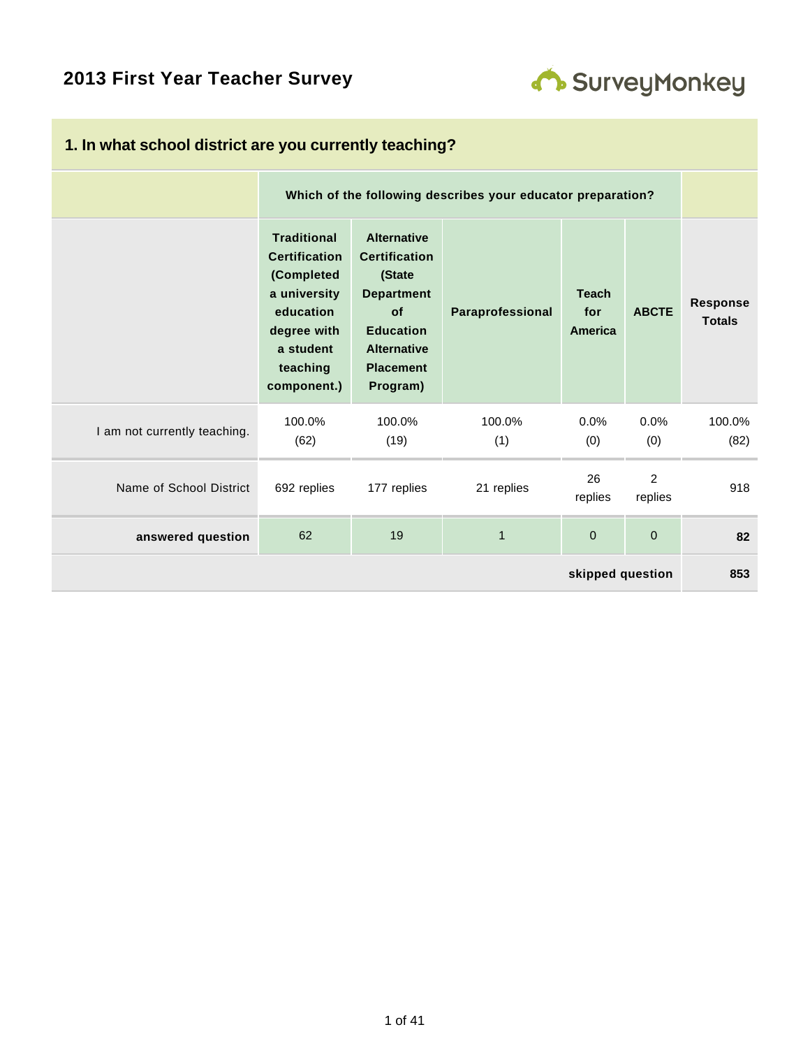# **2013 First Year Teacher Survey**



| 1. In what school district are you currently teaching? |                                                                                                                                              |                                                                                                                                                           |                  |                                |                           |                           |  |  |
|--------------------------------------------------------|----------------------------------------------------------------------------------------------------------------------------------------------|-----------------------------------------------------------------------------------------------------------------------------------------------------------|------------------|--------------------------------|---------------------------|---------------------------|--|--|
|                                                        |                                                                                                                                              | Which of the following describes your educator preparation?                                                                                               |                  |                                |                           |                           |  |  |
|                                                        | <b>Traditional</b><br><b>Certification</b><br>(Completed<br>a university<br>education<br>degree with<br>a student<br>teaching<br>component.) | <b>Alternative</b><br><b>Certification</b><br>(State<br><b>Department</b><br>of<br><b>Education</b><br><b>Alternative</b><br><b>Placement</b><br>Program) | Paraprofessional | <b>Teach</b><br>for<br>America | <b>ABCTE</b>              | Response<br><b>Totals</b> |  |  |
| I am not currently teaching.                           | 100.0%<br>(62)                                                                                                                               | 100.0%<br>(19)                                                                                                                                            | 100.0%<br>(1)    | 0.0%<br>(0)                    | 0.0%<br>(0)               | 100.0%<br>(82)            |  |  |
| Name of School District                                | 692 replies                                                                                                                                  | 177 replies                                                                                                                                               | 21 replies       | 26<br>replies                  | $\overline{2}$<br>replies | 918                       |  |  |
| answered question                                      | 62                                                                                                                                           | 19                                                                                                                                                        | $\mathbf{1}$     | $\mathbf 0$                    | $\Omega$                  | 82                        |  |  |
| skipped question                                       |                                                                                                                                              |                                                                                                                                                           |                  |                                |                           |                           |  |  |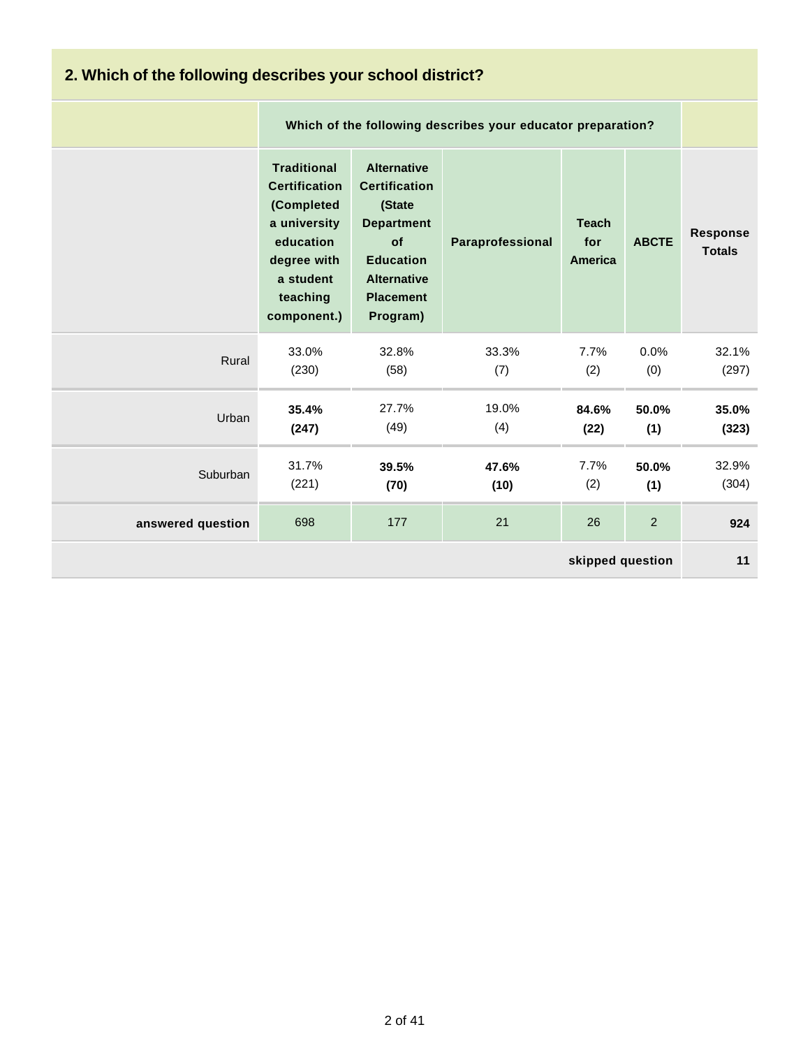| 2. Which of the following describes your school district? |                                                                                                                                              |                                                                                                                                                           |                  |                                       |              |                                  |  |  |
|-----------------------------------------------------------|----------------------------------------------------------------------------------------------------------------------------------------------|-----------------------------------------------------------------------------------------------------------------------------------------------------------|------------------|---------------------------------------|--------------|----------------------------------|--|--|
|                                                           |                                                                                                                                              | Which of the following describes your educator preparation?                                                                                               |                  |                                       |              |                                  |  |  |
|                                                           | <b>Traditional</b><br><b>Certification</b><br>(Completed<br>a university<br>education<br>degree with<br>a student<br>teaching<br>component.) | <b>Alternative</b><br><b>Certification</b><br>(State<br><b>Department</b><br>of<br><b>Education</b><br><b>Alternative</b><br><b>Placement</b><br>Program) | Paraprofessional | <b>Teach</b><br>for<br><b>America</b> | <b>ABCTE</b> | <b>Response</b><br><b>Totals</b> |  |  |
| Rural                                                     | 33.0%<br>(230)                                                                                                                               | 32.8%<br>(58)                                                                                                                                             | 33.3%<br>(7)     | 7.7%<br>(2)                           | 0.0%<br>(0)  | 32.1%<br>(297)                   |  |  |
| Urban                                                     | 35.4%<br>(247)                                                                                                                               | 27.7%<br>(49)                                                                                                                                             | 19.0%<br>(4)     | 84.6%<br>(22)                         | 50.0%<br>(1) | 35.0%<br>(323)                   |  |  |
| Suburban                                                  | 31.7%<br>(221)                                                                                                                               | 39.5%<br>(70)                                                                                                                                             | 47.6%<br>(10)    | 7.7%<br>(2)                           | 50.0%<br>(1) | 32.9%<br>(304)                   |  |  |
| answered question                                         | 698                                                                                                                                          | 177                                                                                                                                                       | 21               | 26                                    | 2            | 924                              |  |  |
| skipped question                                          |                                                                                                                                              |                                                                                                                                                           |                  |                                       |              |                                  |  |  |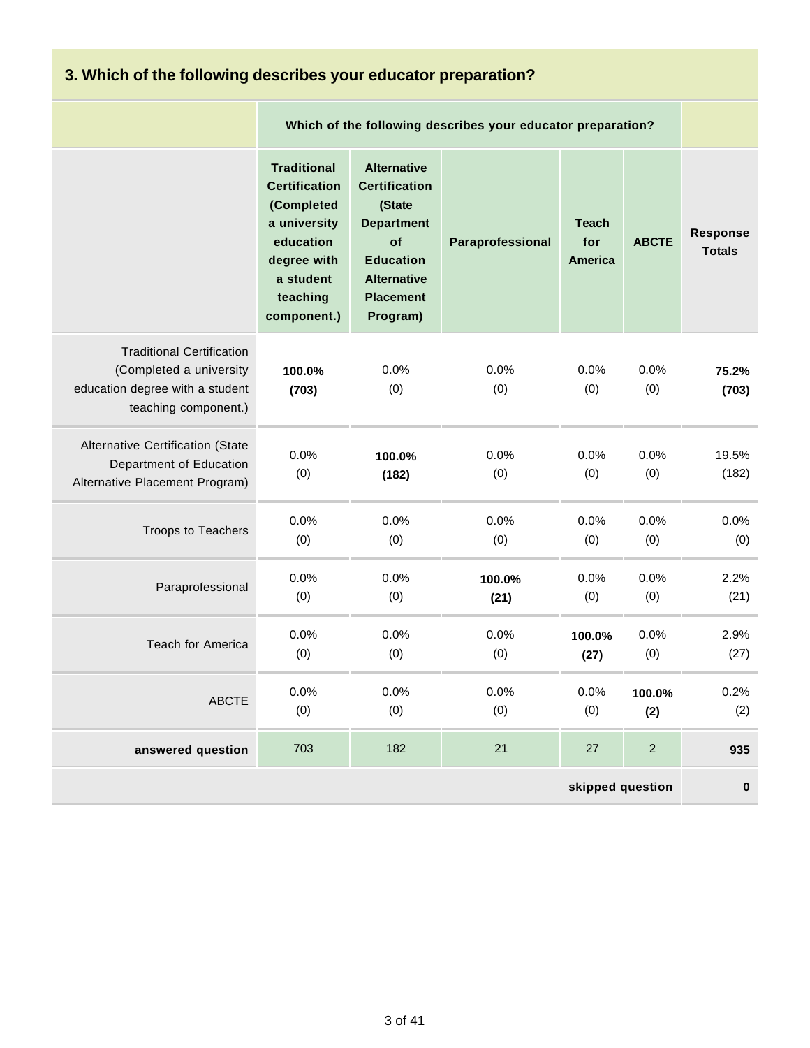| 3. Which of the following describes your educator preparation?                                                         |                                                                                                                                              |                                                                                                                                                           |                                                             |                                       |                |                                  |  |  |
|------------------------------------------------------------------------------------------------------------------------|----------------------------------------------------------------------------------------------------------------------------------------------|-----------------------------------------------------------------------------------------------------------------------------------------------------------|-------------------------------------------------------------|---------------------------------------|----------------|----------------------------------|--|--|
|                                                                                                                        |                                                                                                                                              |                                                                                                                                                           | Which of the following describes your educator preparation? |                                       |                |                                  |  |  |
|                                                                                                                        | <b>Traditional</b><br><b>Certification</b><br>(Completed<br>a university<br>education<br>degree with<br>a student<br>teaching<br>component.) | <b>Alternative</b><br><b>Certification</b><br>(State<br><b>Department</b><br>of<br><b>Education</b><br><b>Alternative</b><br><b>Placement</b><br>Program) | Paraprofessional                                            | <b>Teach</b><br>for<br><b>America</b> | <b>ABCTE</b>   | <b>Response</b><br><b>Totals</b> |  |  |
| <b>Traditional Certification</b><br>(Completed a university<br>education degree with a student<br>teaching component.) | 100.0%<br>(703)                                                                                                                              | 0.0%<br>(0)                                                                                                                                               | 0.0%<br>(0)                                                 | 0.0%<br>(0)                           | 0.0%<br>(0)    | 75.2%<br>(703)                   |  |  |
| Alternative Certification (State<br>Department of Education<br>Alternative Placement Program)                          | 0.0%<br>(0)                                                                                                                                  | 100.0%<br>(182)                                                                                                                                           | 0.0%<br>(0)                                                 | 0.0%<br>(0)                           | 0.0%<br>(0)    | 19.5%<br>(182)                   |  |  |
| Troops to Teachers                                                                                                     | 0.0%<br>(0)                                                                                                                                  | 0.0%<br>(0)                                                                                                                                               | 0.0%<br>(0)                                                 | 0.0%<br>(0)                           | 0.0%<br>(0)    | 0.0%<br>(0)                      |  |  |
| Paraprofessional                                                                                                       | 0.0%<br>(0)                                                                                                                                  | 0.0%<br>(0)                                                                                                                                               | 100.0%<br>(21)                                              | 0.0%<br>(0)                           | 0.0%<br>(0)    | 2.2%<br>(21)                     |  |  |
| Teach for America                                                                                                      | 0.0%<br>(0)                                                                                                                                  | 0.0%<br>(0)                                                                                                                                               | 0.0%<br>(0)                                                 | 100.0%<br>(27)                        | 0.0%<br>(0)    | 2.9%<br>(27)                     |  |  |
| <b>ABCTE</b>                                                                                                           | 0.0%<br>(0)                                                                                                                                  | 0.0%<br>(0)                                                                                                                                               | 0.0%<br>(0)                                                 | 0.0%<br>(0)                           | 100.0%<br>(2)  | 0.2%<br>(2)                      |  |  |
| answered question                                                                                                      | 703                                                                                                                                          | 182                                                                                                                                                       | 21                                                          | 27                                    | $\overline{2}$ | 935                              |  |  |
| skipped question                                                                                                       |                                                                                                                                              |                                                                                                                                                           |                                                             |                                       |                |                                  |  |  |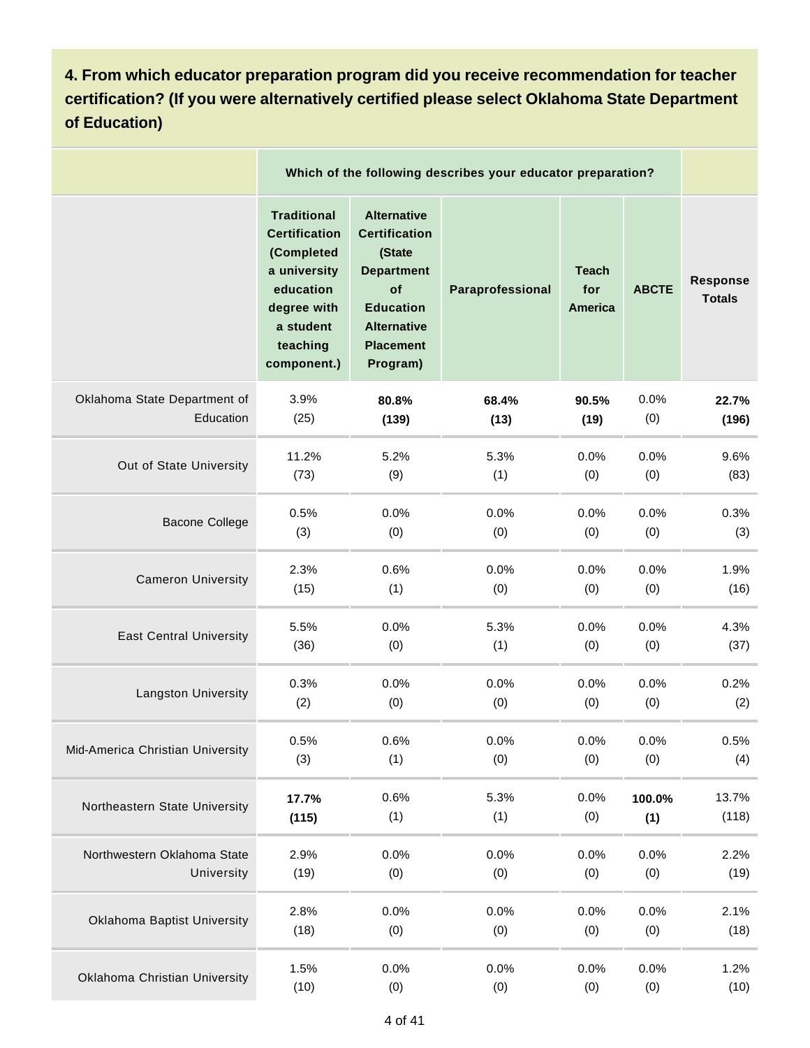**4. From which educator preparation program did you receive recommendation for teacher certification? (If you were alternatively certified please select Oklahoma State Department of Education)**

|                                    |                                                                                                                                              | Which of the following describes your educator preparation?                                                                                               |                  |                                       |              |                                  |  |  |  |
|------------------------------------|----------------------------------------------------------------------------------------------------------------------------------------------|-----------------------------------------------------------------------------------------------------------------------------------------------------------|------------------|---------------------------------------|--------------|----------------------------------|--|--|--|
|                                    | <b>Traditional</b><br><b>Certification</b><br>(Completed<br>a university<br>education<br>degree with<br>a student<br>teaching<br>component.) | <b>Alternative</b><br><b>Certification</b><br>(State<br><b>Department</b><br>of<br><b>Education</b><br><b>Alternative</b><br><b>Placement</b><br>Program) | Paraprofessional | <b>Teach</b><br>for<br><b>America</b> | <b>ABCTE</b> | <b>Response</b><br><b>Totals</b> |  |  |  |
| Oklahoma State Department of       | 3.9%                                                                                                                                         | 80.8%                                                                                                                                                     | 68.4%            | 90.5%                                 | 0.0%         | 22.7%                            |  |  |  |
| Education                          | (25)                                                                                                                                         | (139)                                                                                                                                                     | (13)             | (19)                                  | (0)          | (196)                            |  |  |  |
| Out of State University            | 11.2%                                                                                                                                        | 5.2%                                                                                                                                                      | 5.3%             | 0.0%                                  | 0.0%         | 9.6%                             |  |  |  |
|                                    | (73)                                                                                                                                         | (9)                                                                                                                                                       | (1)              | (0)                                   | (0)          | (83)                             |  |  |  |
| <b>Bacone College</b>              | 0.5%                                                                                                                                         | 0.0%                                                                                                                                                      | 0.0%             | 0.0%                                  | 0.0%         | 0.3%                             |  |  |  |
|                                    | (3)                                                                                                                                          | (0)                                                                                                                                                       | (0)              | (0)                                   | (0)          | (3)                              |  |  |  |
| <b>Cameron University</b>          | 2.3%                                                                                                                                         | 0.6%                                                                                                                                                      | 0.0%             | 0.0%                                  | 0.0%         | 1.9%                             |  |  |  |
|                                    | (15)                                                                                                                                         | (1)                                                                                                                                                       | (0)              | (0)                                   | (0)          | (16)                             |  |  |  |
| <b>East Central University</b>     | 5.5%                                                                                                                                         | 0.0%                                                                                                                                                      | 5.3%             | 0.0%                                  | 0.0%         | 4.3%                             |  |  |  |
|                                    | (36)                                                                                                                                         | (0)                                                                                                                                                       | (1)              | (0)                                   | (0)          | (37)                             |  |  |  |
| Langston University                | 0.3%                                                                                                                                         | 0.0%                                                                                                                                                      | 0.0%             | 0.0%                                  | 0.0%         | 0.2%                             |  |  |  |
|                                    | (2)                                                                                                                                          | (0)                                                                                                                                                       | (0)              | (0)                                   | (0)          | (2)                              |  |  |  |
| Mid-America Christian University   | 0.5%                                                                                                                                         | 0.6%                                                                                                                                                      | 0.0%             | 0.0%                                  | 0.0%         | 0.5%                             |  |  |  |
|                                    | (3)                                                                                                                                          | (1)                                                                                                                                                       | (0)              | (0)                                   | (0)          | (4)                              |  |  |  |
| Northeastern State University      | 17.7%                                                                                                                                        | 0.6%                                                                                                                                                      | 5.3%             | 0.0%                                  | 100.0%       | 13.7%                            |  |  |  |
|                                    | (115)                                                                                                                                        | (1)                                                                                                                                                       | (1)              | (0)                                   | (1)          | (118)                            |  |  |  |
| Northwestern Oklahoma State        | 2.9%                                                                                                                                         | 0.0%                                                                                                                                                      | 0.0%             | 0.0%                                  | 0.0%         | 2.2%                             |  |  |  |
| University                         | (19)                                                                                                                                         | (0)                                                                                                                                                       | (0)              | (0)                                   | (0)          | (19)                             |  |  |  |
| <b>Oklahoma Baptist University</b> | 2.8%                                                                                                                                         | 0.0%                                                                                                                                                      | 0.0%             | 0.0%                                  | 0.0%         | 2.1%                             |  |  |  |
|                                    | (18)                                                                                                                                         | (0)                                                                                                                                                       | (0)              | (0)                                   | (0)          | (18)                             |  |  |  |
| Oklahoma Christian University      | 1.5%                                                                                                                                         | 0.0%                                                                                                                                                      | 0.0%             | 0.0%                                  | 0.0%         | 1.2%                             |  |  |  |
|                                    | (10)                                                                                                                                         | (0)                                                                                                                                                       | (0)              | (0)                                   | (0)          | (10)                             |  |  |  |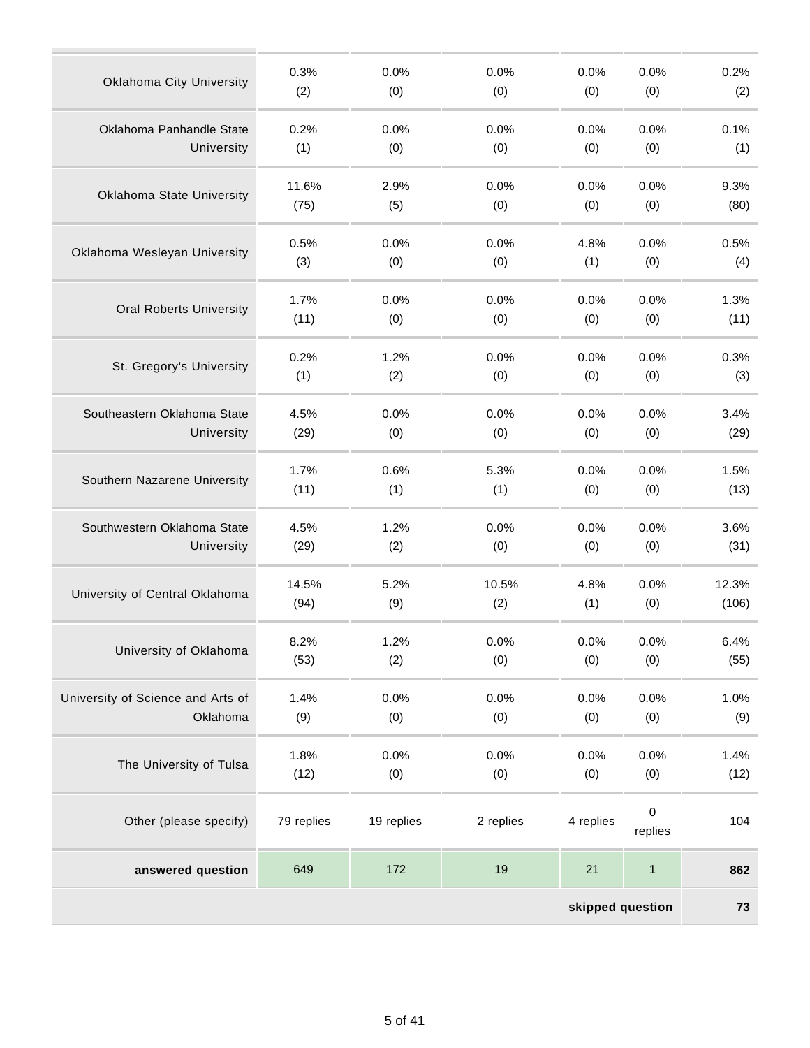| skipped question                  |            |            |           |           |                      |       |  |  |
|-----------------------------------|------------|------------|-----------|-----------|----------------------|-------|--|--|
| answered question                 | 649        | 172        | 19        | 21        | $\mathbf{1}$         | 862   |  |  |
| Other (please specify)            | 79 replies | 19 replies | 2 replies | 4 replies | $\pmb{0}$<br>replies | 104   |  |  |
| The University of Tulsa           | 1.8%       | 0.0%       | 0.0%      | 0.0%      | 0.0%                 | 1.4%  |  |  |
|                                   | (12)       | (0)        | (0)       | (0)       | (0)                  | (12)  |  |  |
| University of Science and Arts of | 1.4%       | 0.0%       | 0.0%      | 0.0%      | 0.0%                 | 1.0%  |  |  |
| Oklahoma                          | (9)        | (0)        | (0)       | (0)       | (0)                  | (9)   |  |  |
| University of Oklahoma            | 8.2%       | 1.2%       | 0.0%      | 0.0%      | 0.0%                 | 6.4%  |  |  |
|                                   | (53)       | (2)        | (0)       | (0)       | (0)                  | (55)  |  |  |
| University of Central Oklahoma    | 14.5%      | 5.2%       | 10.5%     | 4.8%      | 0.0%                 | 12.3% |  |  |
|                                   | (94)       | (9)        | (2)       | (1)       | (0)                  | (106) |  |  |
| Southwestern Oklahoma State       | 4.5%       | 1.2%       | 0.0%      | 0.0%      | 0.0%                 | 3.6%  |  |  |
| University                        | (29)       | (2)        | (0)       | (0)       | (0)                  | (31)  |  |  |
| Southern Nazarene University      | 1.7%       | 0.6%       | 5.3%      | 0.0%      | 0.0%                 | 1.5%  |  |  |
|                                   | (11)       | (1)        | (1)       | (0)       | (0)                  | (13)  |  |  |
| Southeastern Oklahoma State       | 4.5%       | 0.0%       | 0.0%      | 0.0%      | 0.0%                 | 3.4%  |  |  |
| University                        | (29)       | (0)        | (0)       | (0)       | (0)                  | (29)  |  |  |
| St. Gregory's University          | 0.2%       | 1.2%       | 0.0%      | 0.0%      | 0.0%                 | 0.3%  |  |  |
|                                   | (1)        | (2)        | (0)       | (0)       | (0)                  | (3)   |  |  |
| <b>Oral Roberts University</b>    | 1.7%       | 0.0%       | 0.0%      | 0.0%      | 0.0%                 | 1.3%  |  |  |
|                                   | (11)       | (0)        | (0)       | (0)       | (0)                  | (11)  |  |  |
| Oklahoma Wesleyan University      | 0.5%       | 0.0%       | 0.0%      | 4.8%      | 0.0%                 | 0.5%  |  |  |
|                                   | (3)        | (0)        | (0)       | (1)       | (0)                  | (4)   |  |  |
| Oklahoma State University         | 11.6%      | 2.9%       | 0.0%      | 0.0%      | 0.0%                 | 9.3%  |  |  |
|                                   | (75)       | (5)        | (0)       | (0)       | (0)                  | (80)  |  |  |
| Oklahoma Panhandle State          | 0.2%       | 0.0%       | 0.0%      | 0.0%      | 0.0%                 | 0.1%  |  |  |
| University                        | (1)        | (0)        | (0)       | (0)       | (0)                  | (1)   |  |  |
| <b>Oklahoma City University</b>   | 0.3%       | 0.0%       | 0.0%      | 0.0%      | 0.0%                 | 0.2%  |  |  |
|                                   | (2)        | (0)        | (0)       | (0)       | (0)                  | (2)   |  |  |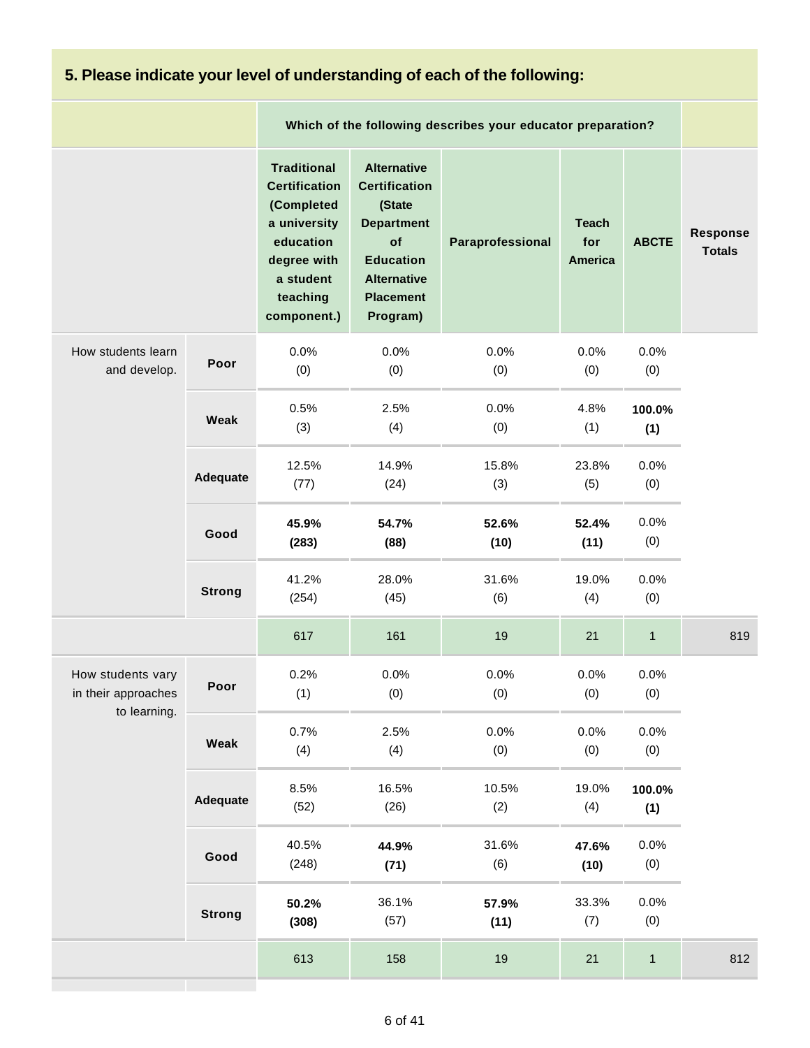# **5. Please indicate your level of understanding of each of the following:**

|                                                          |               |                                                                                                                                              |                                                                                                                                                           | Which of the following describes your educator preparation? |                                       |               |                           |
|----------------------------------------------------------|---------------|----------------------------------------------------------------------------------------------------------------------------------------------|-----------------------------------------------------------------------------------------------------------------------------------------------------------|-------------------------------------------------------------|---------------------------------------|---------------|---------------------------|
|                                                          |               | <b>Traditional</b><br><b>Certification</b><br>(Completed<br>a university<br>education<br>degree with<br>a student<br>teaching<br>component.) | <b>Alternative</b><br><b>Certification</b><br>(State<br><b>Department</b><br>of<br><b>Education</b><br><b>Alternative</b><br><b>Placement</b><br>Program) | Paraprofessional                                            | <b>Teach</b><br>for<br><b>America</b> | <b>ABCTE</b>  | Response<br><b>Totals</b> |
| How students learn<br>and develop.                       | Poor          | 0.0%<br>(0)                                                                                                                                  | 0.0%<br>(0)                                                                                                                                               | 0.0%<br>(0)                                                 | 0.0%<br>(0)                           | 0.0%<br>(0)   |                           |
|                                                          | Weak          | 0.5%<br>(3)                                                                                                                                  | 2.5%<br>(4)                                                                                                                                               | 0.0%<br>(0)                                                 | 4.8%<br>(1)                           | 100.0%<br>(1) |                           |
|                                                          | Adequate      | 12.5%<br>(77)                                                                                                                                | 14.9%<br>(24)                                                                                                                                             | 15.8%<br>(3)                                                | 23.8%<br>(5)                          | 0.0%<br>(0)   |                           |
|                                                          | Good          | 45.9%<br>(283)                                                                                                                               | 54.7%<br>(88)                                                                                                                                             | 52.6%<br>(10)                                               | 52.4%<br>(11)                         | 0.0%<br>(0)   |                           |
|                                                          | <b>Strong</b> | 41.2%<br>(254)                                                                                                                               | 28.0%<br>(45)                                                                                                                                             | 31.6%<br>(6)                                                | 19.0%<br>(4)                          | 0.0%<br>(0)   |                           |
|                                                          |               | 617                                                                                                                                          | 161                                                                                                                                                       | 19                                                          | 21                                    | $\mathbf{1}$  | 819                       |
| How students vary<br>in their approaches<br>to learning. | Poor          | 0.2%<br>(1)                                                                                                                                  | 0.0%<br>(0)                                                                                                                                               | 0.0%<br>(0)                                                 | 0.0%<br>(0)                           | 0.0%<br>(0)   |                           |
|                                                          | Weak          | 0.7%<br>(4)                                                                                                                                  | 2.5%<br>(4)                                                                                                                                               | 0.0%<br>(0)                                                 | 0.0%<br>(0)                           | 0.0%<br>(0)   |                           |
|                                                          | Adequate      | 8.5%<br>(52)                                                                                                                                 | 16.5%<br>(26)                                                                                                                                             | 10.5%<br>(2)                                                | 19.0%<br>(4)                          | 100.0%<br>(1) |                           |
|                                                          | Good          | 40.5%<br>(248)                                                                                                                               | 44.9%<br>(71)                                                                                                                                             | 31.6%<br>(6)                                                | 47.6%<br>(10)                         | 0.0%<br>(0)   |                           |
|                                                          | <b>Strong</b> | 50.2%<br>(308)                                                                                                                               | 36.1%<br>(57)                                                                                                                                             | 57.9%<br>(11)                                               | 33.3%<br>(7)                          | 0.0%<br>(0)   |                           |
|                                                          |               | 613                                                                                                                                          | 158                                                                                                                                                       | 19                                                          | 21                                    | $\mathbf{1}$  | 812                       |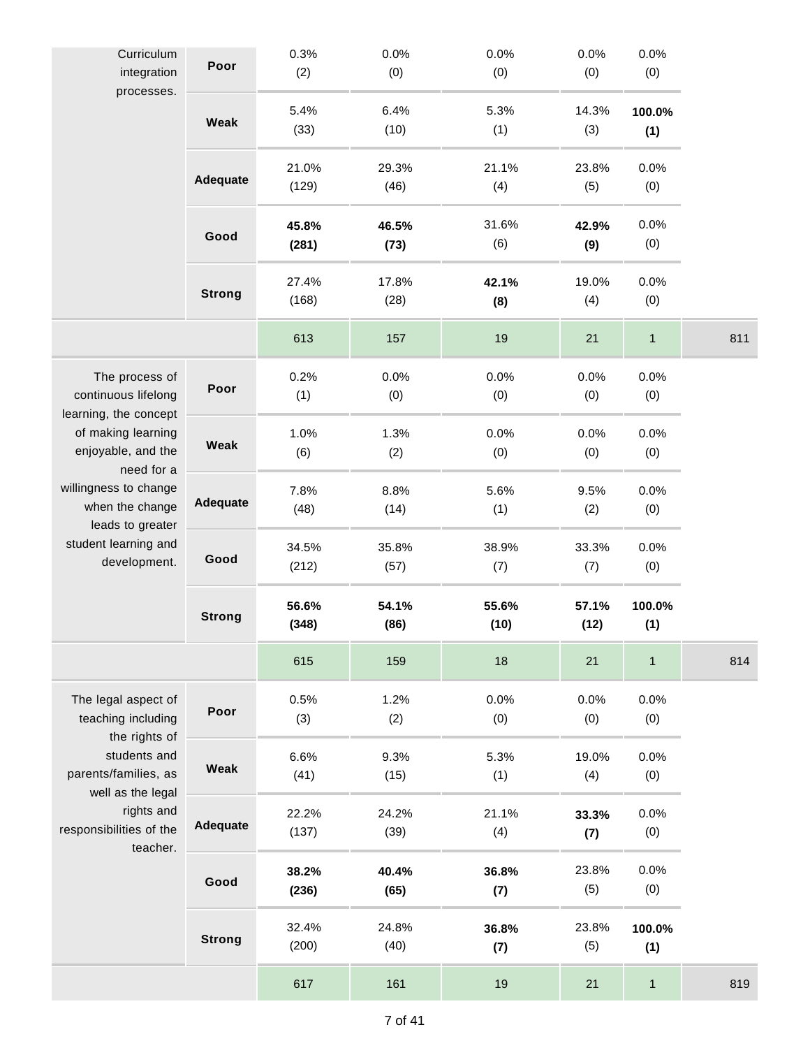| Curriculum<br>integration<br>processes.                                                                                                                                                                                          | Poor            | 0.3%<br>(2)    | 0.0%<br>(0)   | 0.0%<br>(0)   | 0.0%<br>(0)   | 0.0%<br>(0)   |     |
|----------------------------------------------------------------------------------------------------------------------------------------------------------------------------------------------------------------------------------|-----------------|----------------|---------------|---------------|---------------|---------------|-----|
|                                                                                                                                                                                                                                  | Weak            | 5.4%<br>(33)   | 6.4%<br>(10)  | 5.3%<br>(1)   | 14.3%<br>(3)  | 100.0%<br>(1) |     |
|                                                                                                                                                                                                                                  | Adequate        | 21.0%<br>(129) | 29.3%<br>(46) | 21.1%<br>(4)  | 23.8%<br>(5)  | 0.0%<br>(0)   |     |
|                                                                                                                                                                                                                                  | Good            | 45.8%<br>(281) | 46.5%<br>(73) | 31.6%<br>(6)  | 42.9%<br>(9)  | 0.0%<br>(0)   |     |
|                                                                                                                                                                                                                                  | <b>Strong</b>   | 27.4%<br>(168) | 17.8%<br>(28) | 42.1%<br>(8)  | 19.0%<br>(4)  | 0.0%<br>(0)   |     |
|                                                                                                                                                                                                                                  |                 | 613            | 157           | 19            | 21            | $\mathbf{1}$  | 811 |
| The process of<br>continuous lifelong<br>learning, the concept<br>of making learning<br>enjoyable, and the<br>need for a<br>willingness to change<br>when the change<br>leads to greater<br>student learning and<br>development. | Poor            | 0.2%<br>(1)    | 0.0%<br>(0)   | 0.0%<br>(0)   | 0.0%<br>(0)   | 0.0%<br>(0)   |     |
|                                                                                                                                                                                                                                  | Weak            | 1.0%<br>(6)    | 1.3%<br>(2)   | 0.0%<br>(0)   | 0.0%<br>(0)   | 0.0%<br>(0)   |     |
|                                                                                                                                                                                                                                  | <b>Adequate</b> | 7.8%<br>(48)   | 8.8%<br>(14)  | 5.6%<br>(1)   | 9.5%<br>(2)   | 0.0%<br>(0)   |     |
|                                                                                                                                                                                                                                  | Good            | 34.5%<br>(212) | 35.8%<br>(57) | 38.9%<br>(7)  | 33.3%<br>(7)  | 0.0%<br>(0)   |     |
|                                                                                                                                                                                                                                  | <b>Strong</b>   | 56.6%<br>(348) | 54.1%<br>(86) | 55.6%<br>(10) | 57.1%<br>(12) | 100.0%<br>(1) |     |
|                                                                                                                                                                                                                                  |                 | 615            | 159           | 18            | 21            | $\mathbf{1}$  | 814 |
| The legal aspect of<br>teaching including                                                                                                                                                                                        | Poor            | 0.5%<br>(3)    | 1.2%<br>(2)   | 0.0%<br>(0)   | 0.0%<br>(0)   | 0.0%<br>(0)   |     |
| the rights of<br>students and<br>parents/families, as<br>well as the legal<br>rights and<br>responsibilities of the<br>teacher.                                                                                                  | <b>Weak</b>     | 6.6%<br>(41)   | 9.3%<br>(15)  | 5.3%<br>(1)   | 19.0%<br>(4)  | 0.0%<br>(0)   |     |
|                                                                                                                                                                                                                                  | Adequate        | 22.2%<br>(137) | 24.2%<br>(39) | 21.1%<br>(4)  | 33.3%<br>(7)  | 0.0%<br>(0)   |     |
|                                                                                                                                                                                                                                  | Good            | 38.2%<br>(236) | 40.4%<br>(65) | 36.8%<br>(7)  | 23.8%<br>(5)  | 0.0%<br>(0)   |     |
|                                                                                                                                                                                                                                  | <b>Strong</b>   | 32.4%<br>(200) | 24.8%<br>(40) | 36.8%<br>(7)  | 23.8%<br>(5)  | 100.0%<br>(1) |     |
|                                                                                                                                                                                                                                  |                 | 617            | 161           | 19            | 21            | $\mathbf{1}$  | 819 |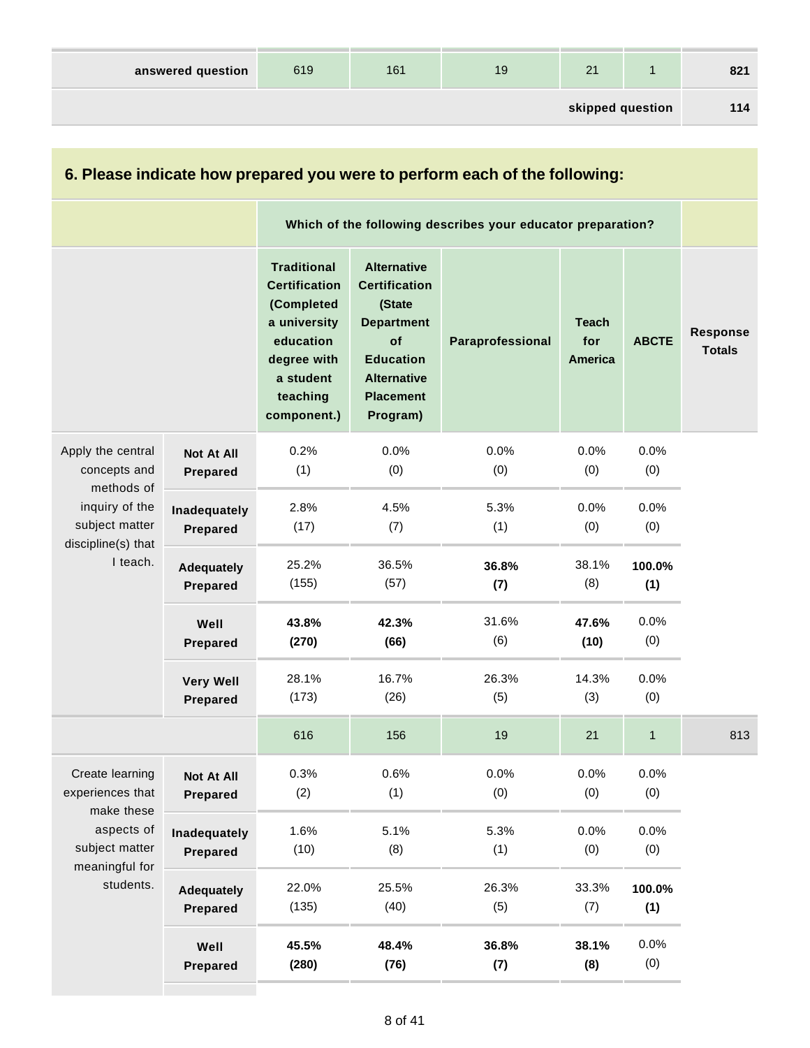| answered question | 619 | 161 | 19 | 21               | 821 |
|-------------------|-----|-----|----|------------------|-----|
|                   |     |     |    | skipped question | 114 |

| 6. Please indicate how prepared you were to perform each of the following:                                            |                                      |                                                                                                                                              |                                                                                                                                                           |                                                             |                                       |               |                           |  |
|-----------------------------------------------------------------------------------------------------------------------|--------------------------------------|----------------------------------------------------------------------------------------------------------------------------------------------|-----------------------------------------------------------------------------------------------------------------------------------------------------------|-------------------------------------------------------------|---------------------------------------|---------------|---------------------------|--|
|                                                                                                                       |                                      |                                                                                                                                              |                                                                                                                                                           | Which of the following describes your educator preparation? |                                       |               |                           |  |
|                                                                                                                       |                                      | <b>Traditional</b><br><b>Certification</b><br>(Completed<br>a university<br>education<br>degree with<br>a student<br>teaching<br>component.) | <b>Alternative</b><br><b>Certification</b><br>(State<br><b>Department</b><br>of<br><b>Education</b><br><b>Alternative</b><br><b>Placement</b><br>Program) | Paraprofessional                                            | <b>Teach</b><br>for<br><b>America</b> | <b>ABCTE</b>  | Response<br><b>Totals</b> |  |
| Apply the central<br>concepts and<br>methods of<br>inquiry of the<br>subject matter<br>discipline(s) that<br>I teach. | <b>Not At All</b><br><b>Prepared</b> | 0.2%<br>(1)                                                                                                                                  | 0.0%<br>(0)                                                                                                                                               | 0.0%<br>(0)                                                 | 0.0%<br>(0)                           | 0.0%<br>(0)   |                           |  |
|                                                                                                                       | Inadequately<br><b>Prepared</b>      | 2.8%<br>(17)                                                                                                                                 | 4.5%<br>(7)                                                                                                                                               | 5.3%<br>(1)                                                 | 0.0%<br>(0)                           | 0.0%<br>(0)   |                           |  |
|                                                                                                                       | <b>Adequately</b><br>Prepared        | 25.2%<br>(155)                                                                                                                               | 36.5%<br>(57)                                                                                                                                             | 36.8%<br>(7)                                                | 38.1%<br>(8)                          | 100.0%<br>(1) |                           |  |
|                                                                                                                       | Well<br>Prepared                     | 43.8%<br>(270)                                                                                                                               | 42.3%<br>(66)                                                                                                                                             | 31.6%<br>(6)                                                | 47.6%<br>(10)                         | 0.0%<br>(0)   |                           |  |
|                                                                                                                       | <b>Very Well</b><br>Prepared         | 28.1%<br>(173)                                                                                                                               | 16.7%<br>(26)                                                                                                                                             | 26.3%<br>(5)                                                | 14.3%<br>(3)                          | 0.0%<br>(0)   |                           |  |
|                                                                                                                       |                                      | 616                                                                                                                                          | 156                                                                                                                                                       | 19                                                          | 21                                    | $\mathbf{1}$  | 813                       |  |
| Create learning<br>experiences that<br>make these                                                                     | Not At All<br>Prepared               | 0.3%<br>(2)                                                                                                                                  | 0.6%<br>(1)                                                                                                                                               | 0.0%<br>(0)                                                 | 0.0%<br>(0)                           | 0.0%<br>(0)   |                           |  |
| aspects of<br>subject matter<br>meaningful for<br>students.                                                           | Inadequately<br>Prepared             | 1.6%<br>(10)                                                                                                                                 | 5.1%<br>(8)                                                                                                                                               | 5.3%<br>(1)                                                 | 0.0%<br>(0)                           | 0.0%<br>(0)   |                           |  |
|                                                                                                                       | <b>Adequately</b><br>Prepared        | 22.0%<br>(135)                                                                                                                               | 25.5%<br>(40)                                                                                                                                             | 26.3%<br>(5)                                                | 33.3%<br>(7)                          | 100.0%<br>(1) |                           |  |
|                                                                                                                       | Well<br>Prepared                     | 45.5%<br>(280)                                                                                                                               | 48.4%<br>(76)                                                                                                                                             | 36.8%<br>(7)                                                | 38.1%<br>(8)                          | 0.0%<br>(0)   |                           |  |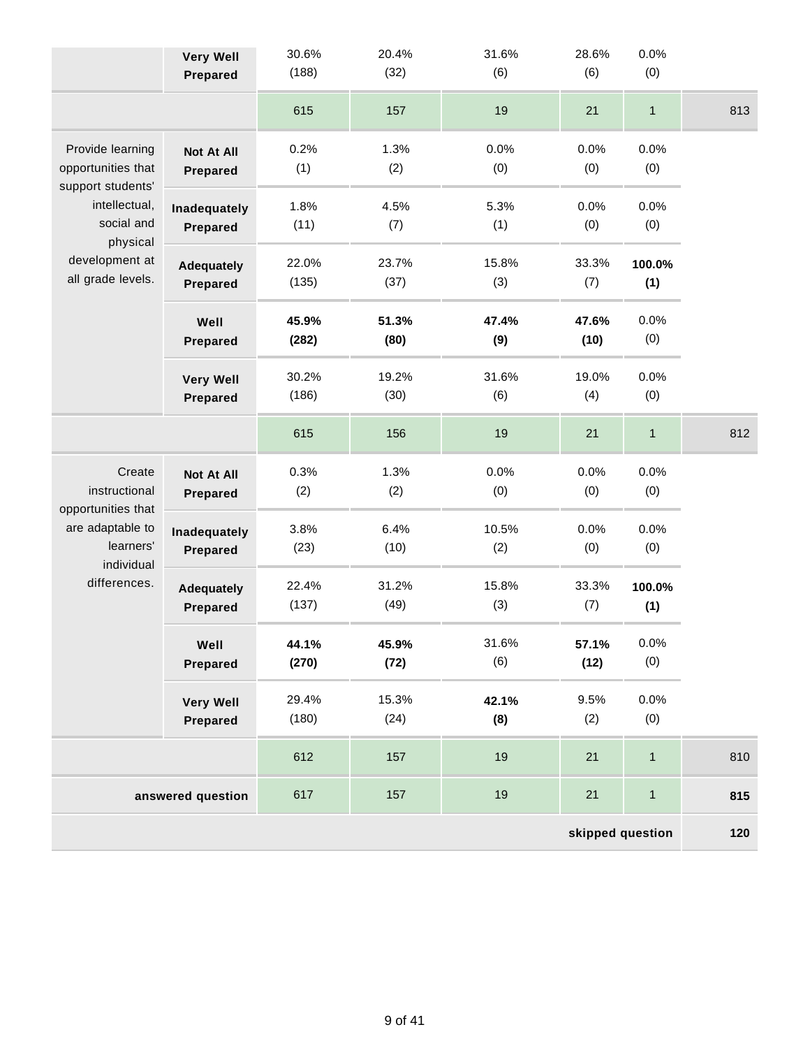|                                         | <b>Very Well</b><br>Prepared | 30.6%<br>(188) | 20.4%<br>(32) | 31.6%<br>(6) | 28.6%<br>(6)  | 0.0%<br>(0)  |     |  |  |
|-----------------------------------------|------------------------------|----------------|---------------|--------------|---------------|--------------|-----|--|--|
|                                         |                              |                |               |              |               |              |     |  |  |
|                                         |                              | 615            | 157           | 19           | 21            | $\mathbf{1}$ | 813 |  |  |
| Provide learning                        | <b>Not At All</b>            | 0.2%           | 1.3%          | 0.0%         | 0.0%          | 0.0%         |     |  |  |
| opportunities that<br>support students' | Prepared                     | (1)            | (2)           | (0)          | (0)           | (0)          |     |  |  |
| intellectual,<br>social and<br>physical | Inadequately                 | 1.8%           | 4.5%          | 5.3%         | 0.0%          | 0.0%         |     |  |  |
|                                         | Prepared                     | (11)           | (7)           | (1)          | (0)           | (0)          |     |  |  |
| development at<br>all grade levels.     | <b>Adequately</b>            | 22.0%          | 23.7%         | 15.8%        | 33.3%         | 100.0%       |     |  |  |
|                                         | Prepared                     | (135)          | (37)          | (3)          | (7)           | (1)          |     |  |  |
|                                         | Well                         | 45.9%<br>(282) | 51.3%<br>(80) | 47.4%        | 47.6%<br>(10) | 0.0%<br>(0)  |     |  |  |
|                                         | Prepared                     |                |               | (9)          |               |              |     |  |  |
|                                         | <b>Very Well</b>             | 30.2%<br>(186) | 19.2%<br>(30) | 31.6%<br>(6) | 19.0%<br>(4)  | 0.0%<br>(0)  |     |  |  |
|                                         | Prepared                     |                |               |              |               |              |     |  |  |
|                                         |                              | 615            | 156           | 19           | 21            | $\mathbf{1}$ | 812 |  |  |
| Create                                  | <b>Not At All</b>            | 0.3%           | 1.3%          | 0.0%         | 0.0%          | 0.0%         |     |  |  |
| instructional<br>opportunities that     | Prepared                     | (2)            | (2)           | (0)          | (0)           | (0)          |     |  |  |
| are adaptable to                        | Inadequately                 | 3.8%           | 6.4%          | 10.5%        | 0.0%          | 0.0%         |     |  |  |
| learners'<br>individual                 | Prepared                     | (23)           | (10)          | (2)          | (0)           | (0)          |     |  |  |
| differences.                            | <b>Adequately</b>            | 22.4%          | 31.2%         | 15.8%        | 33.3%         | 100.0%       |     |  |  |
|                                         | Prepared                     | (137)          | (49)          | (3)          | (7)           | (1)          |     |  |  |
|                                         | Well                         | 44.1%          | 45.9%         | 31.6%        | 57.1%         | 0.0%         |     |  |  |
|                                         | <b>Prepared</b>              | (270)          | (72)          | (6)          | (12)          | (0)          |     |  |  |
|                                         | <b>Very Well</b>             | 29.4%          | 15.3%         | 42.1%        | 9.5%          | 0.0%         |     |  |  |
|                                         | Prepared                     | (180)          | (24)          | (8)          | (2)           | (0)          |     |  |  |
|                                         |                              | 612            | 157           | 19           | 21            | $\mathbf{1}$ | 810 |  |  |
|                                         | answered question            | 617            | 157           | 19           | 21            | $\mathbf{1}$ | 815 |  |  |
| skipped question                        |                              |                |               |              |               |              |     |  |  |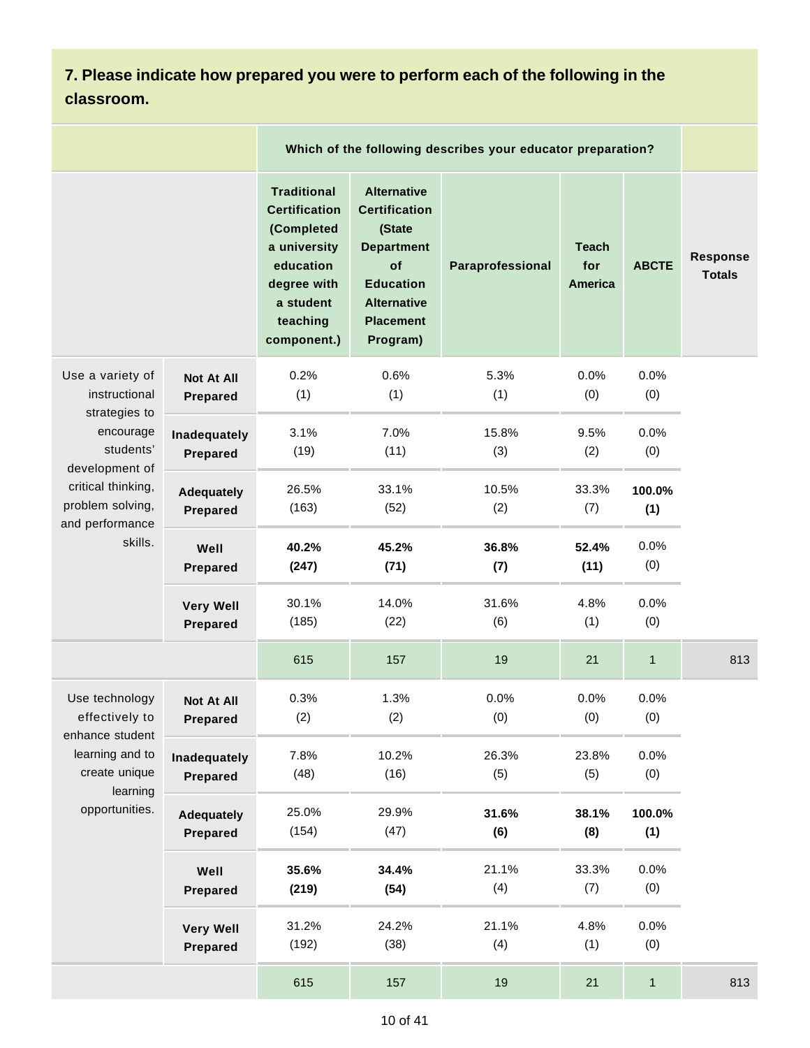**7. Please indicate how prepared you were to perform each of the following in the classroom.**

|                                                                                                                                                                        |                                      | Which of the following describes your educator preparation?                                                                                  |                                                                                                                                                           |                  |                                       |               |                           |
|------------------------------------------------------------------------------------------------------------------------------------------------------------------------|--------------------------------------|----------------------------------------------------------------------------------------------------------------------------------------------|-----------------------------------------------------------------------------------------------------------------------------------------------------------|------------------|---------------------------------------|---------------|---------------------------|
|                                                                                                                                                                        |                                      | <b>Traditional</b><br><b>Certification</b><br>(Completed<br>a university<br>education<br>degree with<br>a student<br>teaching<br>component.) | <b>Alternative</b><br><b>Certification</b><br>(State<br><b>Department</b><br>of<br><b>Education</b><br><b>Alternative</b><br><b>Placement</b><br>Program) | Paraprofessional | <b>Teach</b><br>for<br><b>America</b> | <b>ABCTE</b>  | Response<br><b>Totals</b> |
| Use a variety of<br>instructional<br>strategies to<br>encourage<br>students'<br>development of<br>critical thinking,<br>problem solving,<br>and performance<br>skills. | <b>Not At All</b><br><b>Prepared</b> | 0.2%<br>(1)                                                                                                                                  | 0.6%<br>(1)                                                                                                                                               | 5.3%<br>(1)      | 0.0%<br>(0)                           | 0.0%<br>(0)   |                           |
|                                                                                                                                                                        | Inadequately<br><b>Prepared</b>      | 3.1%<br>(19)                                                                                                                                 | 7.0%<br>(11)                                                                                                                                              | 15.8%<br>(3)     | 9.5%<br>(2)                           | 0.0%<br>(0)   |                           |
|                                                                                                                                                                        | <b>Adequately</b><br><b>Prepared</b> | 26.5%<br>(163)                                                                                                                               | 33.1%<br>(52)                                                                                                                                             | 10.5%<br>(2)     | 33.3%<br>(7)                          | 100.0%<br>(1) |                           |
|                                                                                                                                                                        | Well<br>Prepared                     | 40.2%<br>(247)                                                                                                                               | 45.2%<br>(71)                                                                                                                                             | 36.8%<br>(7)     | 52.4%<br>(11)                         | 0.0%<br>(0)   |                           |
|                                                                                                                                                                        | <b>Very Well</b><br>Prepared         | 30.1%<br>(185)                                                                                                                               | 14.0%<br>(22)                                                                                                                                             | 31.6%<br>(6)     | 4.8%<br>(1)                           | 0.0%<br>(0)   |                           |
|                                                                                                                                                                        |                                      | 615                                                                                                                                          | 157                                                                                                                                                       | 19               | 21                                    | $\mathbf 1$   | 813                       |
| Use technology<br>effectively to                                                                                                                                       | Not At All<br>Prepared               | 0.3%<br>(2)                                                                                                                                  | 1.3%<br>(2)                                                                                                                                               | 0.0%<br>(0)      | 0.0%<br>(0)                           | 0.0%<br>(0)   |                           |
| enhance student<br>learning and to<br>create unique<br>learning<br>opportunities.                                                                                      | Inadequately<br>Prepared             | 7.8%<br>(48)                                                                                                                                 | 10.2%<br>(16)                                                                                                                                             | 26.3%<br>(5)     | 23.8%<br>(5)                          | 0.0%<br>(0)   |                           |
|                                                                                                                                                                        | <b>Adequately</b><br>Prepared        | 25.0%<br>(154)                                                                                                                               | 29.9%<br>(47)                                                                                                                                             | 31.6%<br>(6)     | 38.1%<br>(8)                          | 100.0%<br>(1) |                           |
|                                                                                                                                                                        | Well<br><b>Prepared</b>              | 35.6%<br>(219)                                                                                                                               | 34.4%<br>(54)                                                                                                                                             | 21.1%<br>(4)     | 33.3%<br>(7)                          | 0.0%<br>(0)   |                           |
|                                                                                                                                                                        | <b>Very Well</b><br><b>Prepared</b>  | 31.2%<br>(192)                                                                                                                               | 24.2%<br>(38)                                                                                                                                             | 21.1%<br>(4)     | 4.8%<br>(1)                           | 0.0%<br>(0)   |                           |
|                                                                                                                                                                        |                                      | 615                                                                                                                                          | 157                                                                                                                                                       | 19               | 21                                    | $\mathbf{1}$  | 813                       |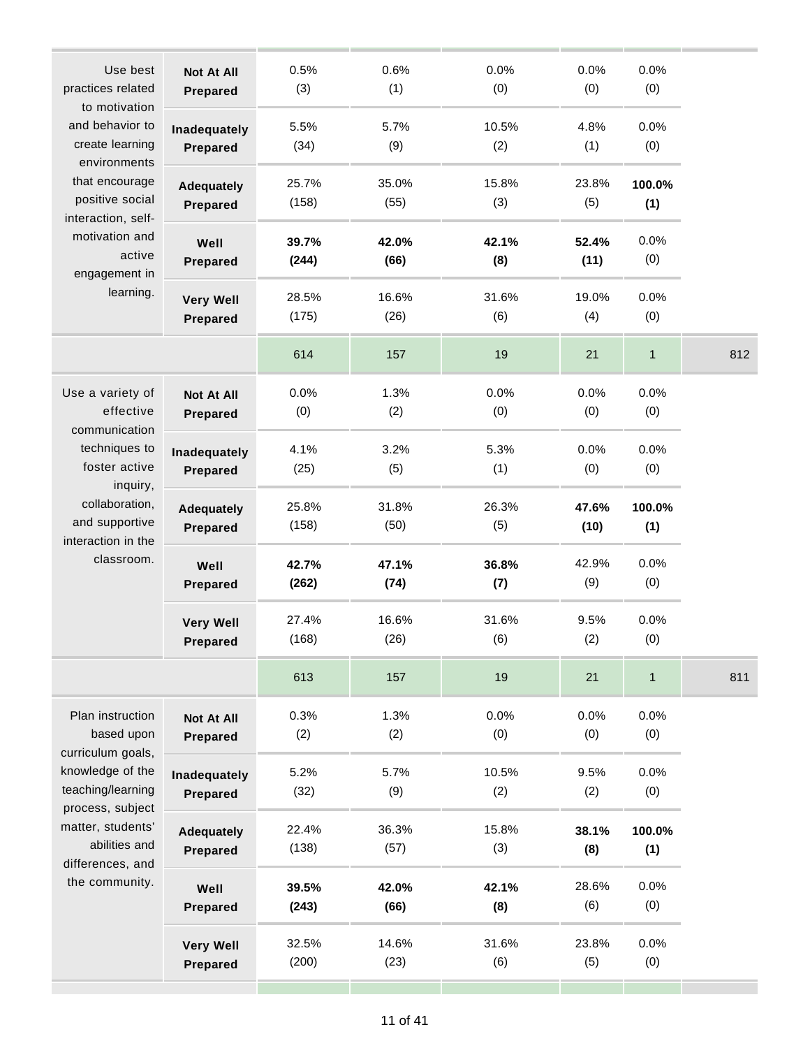| Use best<br>practices related<br>to motivation                                                                                                                       | <b>Not At All</b><br><b>Prepared</b> | 0.5%<br>(3)    | 0.6%<br>(1)   | 0.0%<br>(0)  | 0.0%<br>(0)   | 0.0%<br>(0)   |     |
|----------------------------------------------------------------------------------------------------------------------------------------------------------------------|--------------------------------------|----------------|---------------|--------------|---------------|---------------|-----|
| and behavior to<br>create learning<br>environments                                                                                                                   | Inadequately<br>Prepared             | 5.5%<br>(34)   | 5.7%<br>(9)   | 10.5%<br>(2) | 4.8%<br>(1)   | 0.0%<br>(0)   |     |
| that encourage<br>positive social<br>interaction, self-<br>motivation and<br>active<br>engagement in                                                                 | <b>Adequately</b><br>Prepared        | 25.7%<br>(158) | 35.0%<br>(55) | 15.8%<br>(3) | 23.8%<br>(5)  | 100.0%<br>(1) |     |
|                                                                                                                                                                      | Well<br><b>Prepared</b>              | 39.7%<br>(244) | 42.0%<br>(66) | 42.1%<br>(8) | 52.4%<br>(11) | 0.0%<br>(0)   |     |
| learning.                                                                                                                                                            | <b>Very Well</b><br>Prepared         | 28.5%<br>(175) | 16.6%<br>(26) | 31.6%<br>(6) | 19.0%<br>(4)  | 0.0%<br>(0)   |     |
|                                                                                                                                                                      |                                      | 614            | 157           | 19           | 21            | 1             | 812 |
| Use a variety of<br>effective<br>communication<br>techniques to<br>foster active<br>inquiry,<br>collaboration,<br>and supportive<br>interaction in the<br>classroom. | <b>Not At All</b><br>Prepared        | 0.0%<br>(0)    | 1.3%<br>(2)   | 0.0%<br>(0)  | 0.0%<br>(0)   | 0.0%<br>(0)   |     |
|                                                                                                                                                                      | Inadequately<br><b>Prepared</b>      | 4.1%<br>(25)   | 3.2%<br>(5)   | 5.3%<br>(1)  | 0.0%<br>(0)   | 0.0%<br>(0)   |     |
|                                                                                                                                                                      | <b>Adequately</b><br>Prepared        | 25.8%<br>(158) | 31.8%<br>(50) | 26.3%<br>(5) | 47.6%<br>(10) | 100.0%<br>(1) |     |
|                                                                                                                                                                      | Well<br>Prepared                     | 42.7%<br>(262) | 47.1%<br>(74) | 36.8%<br>(7) | 42.9%<br>(9)  | 0.0%<br>(0)   |     |
|                                                                                                                                                                      | <b>Very Well</b><br><b>Prepared</b>  | 27.4%<br>(168) | 16.6%<br>(26) | 31.6%<br>(6) | 9.5%<br>(2)   | 0.0%<br>(0)   |     |
|                                                                                                                                                                      |                                      | 613            | 157           | 19           | 21            | 1             | 811 |
| Plan instruction<br>based upon                                                                                                                                       | <b>Not At All</b><br>Prepared        | 0.3%<br>(2)    | 1.3%<br>(2)   | 0.0%<br>(0)  | 0.0%<br>(0)   | 0.0%<br>(0)   |     |
| curriculum goals,<br>knowledge of the<br>teaching/learning<br>process, subject<br>matter, students'<br>abilities and<br>differences, and<br>the community.           | Inadequately<br>Prepared             | 5.2%<br>(32)   | 5.7%<br>(9)   | 10.5%<br>(2) | 9.5%<br>(2)   | 0.0%<br>(0)   |     |
|                                                                                                                                                                      | <b>Adequately</b><br><b>Prepared</b> | 22.4%<br>(138) | 36.3%<br>(57) | 15.8%<br>(3) | 38.1%<br>(8)  | 100.0%<br>(1) |     |
|                                                                                                                                                                      | Well<br>Prepared                     | 39.5%<br>(243) | 42.0%<br>(66) | 42.1%<br>(8) | 28.6%<br>(6)  | 0.0%<br>(0)   |     |
|                                                                                                                                                                      | <b>Very Well</b><br>Prepared         | 32.5%<br>(200) | 14.6%<br>(23) | 31.6%<br>(6) | 23.8%<br>(5)  | 0.0%<br>(0)   |     |
|                                                                                                                                                                      |                                      |                |               |              |               |               |     |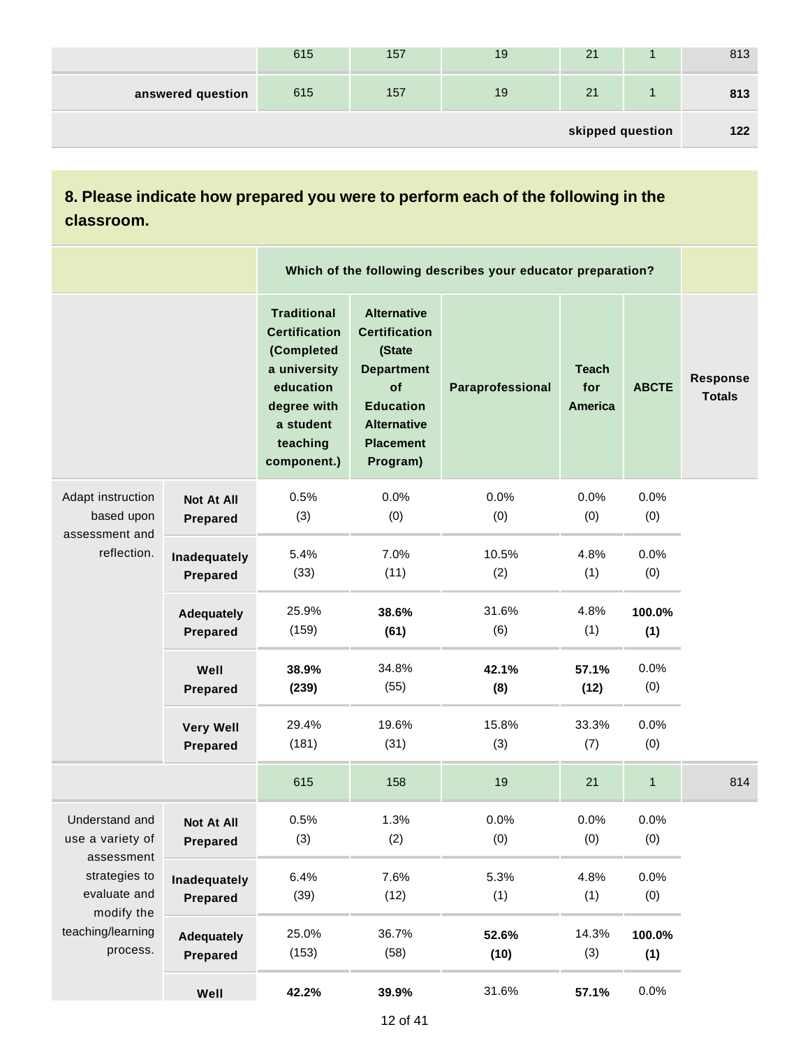| skipped question  |     |     |    |    |  |     |  |
|-------------------|-----|-----|----|----|--|-----|--|
|                   |     |     |    |    |  |     |  |
| answered question | 615 | 157 | 19 | 21 |  | 813 |  |
|                   | 615 | 157 | 19 | 21 |  | 813 |  |

## **8. Please indicate how prepared you were to perform each of the following in the classroom.**

|                                                                              |                                      |                                                                                                                                              |                                                                                                                                                           | Which of the following describes your educator preparation? |                                       |               |                                  |
|------------------------------------------------------------------------------|--------------------------------------|----------------------------------------------------------------------------------------------------------------------------------------------|-----------------------------------------------------------------------------------------------------------------------------------------------------------|-------------------------------------------------------------|---------------------------------------|---------------|----------------------------------|
|                                                                              |                                      | <b>Traditional</b><br><b>Certification</b><br>(Completed<br>a university<br>education<br>degree with<br>a student<br>teaching<br>component.) | <b>Alternative</b><br><b>Certification</b><br>(State<br><b>Department</b><br>of<br><b>Education</b><br><b>Alternative</b><br><b>Placement</b><br>Program) | Paraprofessional                                            | <b>Teach</b><br>for<br><b>America</b> | <b>ABCTE</b>  | <b>Response</b><br><b>Totals</b> |
| Adapt instruction<br>based upon<br>assessment and<br>reflection.             | <b>Not At All</b><br><b>Prepared</b> | 0.5%<br>(3)                                                                                                                                  | 0.0%<br>(0)                                                                                                                                               | 0.0%<br>(0)                                                 | 0.0%<br>(0)                           | 0.0%<br>(0)   |                                  |
|                                                                              | Inadequately<br>Prepared             | 5.4%<br>(33)                                                                                                                                 | 7.0%<br>(11)                                                                                                                                              | 10.5%<br>(2)                                                | 4.8%<br>(1)                           | 0.0%<br>(0)   |                                  |
|                                                                              | <b>Adequately</b><br>Prepared        | 25.9%<br>(159)                                                                                                                               | 38.6%<br>(61)                                                                                                                                             | 31.6%<br>(6)                                                | 4.8%<br>(1)                           | 100.0%<br>(1) |                                  |
|                                                                              | Well<br>Prepared                     | 38.9%<br>(239)                                                                                                                               | 34.8%<br>(55)                                                                                                                                             | 42.1%<br>(8)                                                | 57.1%<br>(12)                         | 0.0%<br>(0)   |                                  |
|                                                                              | <b>Very Well</b><br>Prepared         | 29.4%<br>(181)                                                                                                                               | 19.6%<br>(31)                                                                                                                                             | 15.8%<br>(3)                                                | 33.3%<br>(7)                          | 0.0%<br>(0)   |                                  |
|                                                                              |                                      | 615                                                                                                                                          | 158                                                                                                                                                       | 19                                                          | 21                                    | $\mathbf 1$   | 814                              |
| Understand and<br>use a variety of<br>assessment                             | <b>Not At All</b><br>Prepared        | 0.5%<br>(3)                                                                                                                                  | 1.3%<br>(2)                                                                                                                                               | 0.0%<br>(0)                                                 | 0.0%<br>(0)                           | 0.0%<br>(0)   |                                  |
| strategies to<br>evaluate and<br>modify the<br>teaching/learning<br>process. | Inadequately<br>Prepared             | 6.4%<br>(39)                                                                                                                                 | 7.6%<br>(12)                                                                                                                                              | 5.3%<br>(1)                                                 | 4.8%<br>(1)                           | 0.0%<br>(0)   |                                  |
|                                                                              | <b>Adequately</b><br>Prepared        | 25.0%<br>(153)                                                                                                                               | 36.7%<br>(58)                                                                                                                                             | 52.6%<br>(10)                                               | 14.3%<br>(3)                          | 100.0%<br>(1) |                                  |
|                                                                              | Well                                 | 42.2%                                                                                                                                        | 39.9%                                                                                                                                                     | 31.6%                                                       | 57.1%                                 | 0.0%          |                                  |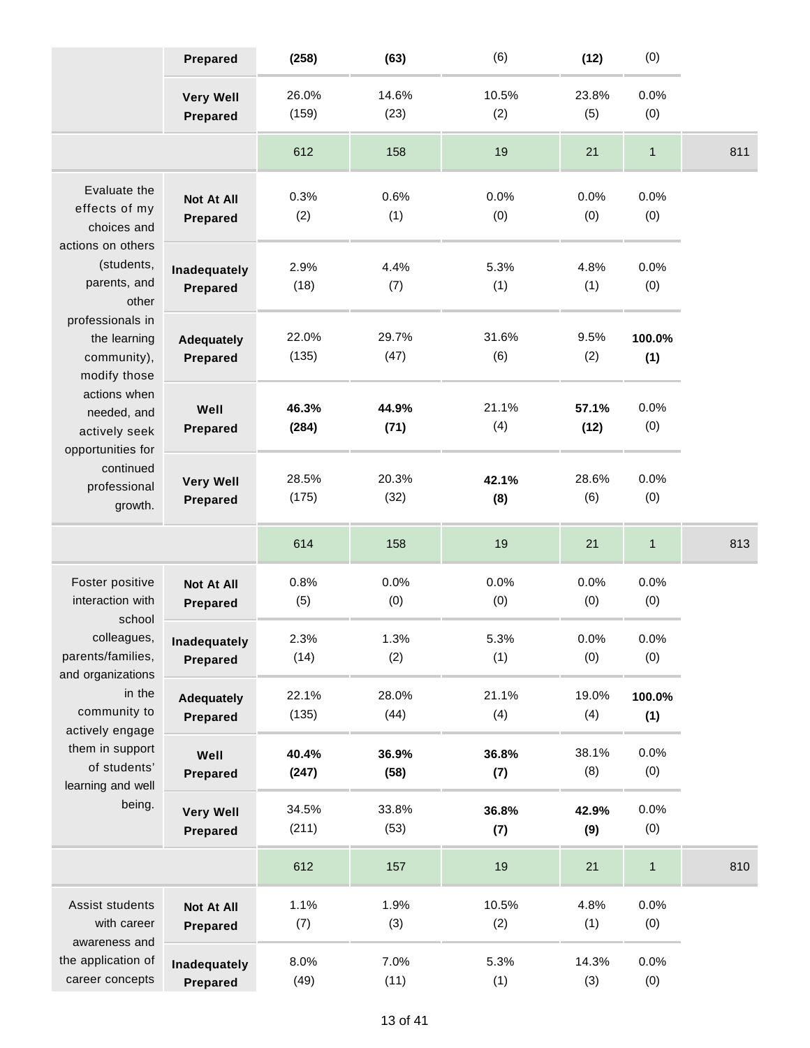|                                                                                                          | <b>Prepared</b>                      | (258)          | (63)          | (6)          | (12)          | (0)           |     |
|----------------------------------------------------------------------------------------------------------|--------------------------------------|----------------|---------------|--------------|---------------|---------------|-----|
|                                                                                                          | <b>Very Well</b><br><b>Prepared</b>  | 26.0%<br>(159) | 14.6%<br>(23) | 10.5%<br>(2) | 23.8%<br>(5)  | 0.0%<br>(0)   |     |
|                                                                                                          |                                      | 612            | 158           | 19           | 21            | $\mathbf{1}$  | 811 |
| Evaluate the<br>effects of my<br>choices and<br>actions on others<br>(students,<br>parents, and<br>other | <b>Not At All</b><br>Prepared        | 0.3%<br>(2)    | 0.6%<br>(1)   | 0.0%<br>(0)  | 0.0%<br>(0)   | 0.0%<br>(0)   |     |
|                                                                                                          | Inadequately<br><b>Prepared</b>      | 2.9%<br>(18)   | 4.4%<br>(7)   | 5.3%<br>(1)  | 4.8%<br>(1)   | 0.0%<br>(0)   |     |
| professionals in<br>the learning<br>community),<br>modify those                                          | <b>Adequately</b><br>Prepared        | 22.0%<br>(135) | 29.7%<br>(47) | 31.6%<br>(6) | 9.5%<br>(2)   | 100.0%<br>(1) |     |
| actions when<br>needed, and<br>actively seek<br>opportunities for                                        | Well<br><b>Prepared</b>              | 46.3%<br>(284) | 44.9%<br>(71) | 21.1%<br>(4) | 57.1%<br>(12) | 0.0%<br>(0)   |     |
| continued<br>professional<br>growth.                                                                     | <b>Very Well</b><br>Prepared         | 28.5%<br>(175) | 20.3%<br>(32) | 42.1%<br>(8) | 28.6%<br>(6)  | 0.0%<br>(0)   |     |
|                                                                                                          |                                      | 614            | 158           | 19           | 21            | $\mathbf{1}$  | 813 |
| Foster positive<br>interaction with<br>school                                                            | <b>Not At All</b><br><b>Prepared</b> | 0.8%<br>(5)    | 0.0%<br>(0)   | 0.0%<br>(0)  | 0.0%<br>(0)   | 0.0%<br>(0)   |     |
| colleagues,<br>parents/families,<br>and organizations                                                    | Inadequately<br>Prepared             | 2.3%<br>(14)   | 1.3%<br>(2)   | 5.3%<br>(1)  | 0.0%<br>(0)   | 0.0%<br>(0)   |     |
| in the<br>community to<br>actively engage                                                                | <b>Adequately</b><br>Prepared        | 22.1%<br>(135) | 28.0%<br>(44) | 21.1%<br>(4) | 19.0%<br>(4)  | 100.0%<br>(1) |     |
| them in support<br>of students'<br>learning and well                                                     | Well<br>Prepared                     | 40.4%<br>(247) | 36.9%<br>(58) | 36.8%<br>(7) | 38.1%<br>(8)  | 0.0%<br>(0)   |     |
| being.                                                                                                   | <b>Very Well</b><br>Prepared         | 34.5%<br>(211) | 33.8%<br>(53) | 36.8%<br>(7) | 42.9%<br>(9)  | 0.0%<br>(0)   |     |
|                                                                                                          |                                      | 612            | 157           | 19           | 21            | $\mathbf{1}$  | 810 |
| Assist students<br>with career<br>awareness and                                                          | <b>Not At All</b><br>Prepared        | 1.1%<br>(7)    | 1.9%<br>(3)   | 10.5%<br>(2) | 4.8%<br>(1)   | 0.0%<br>(0)   |     |
| the application of<br>career concepts                                                                    | Inadequately<br>Prepared             | 8.0%<br>(49)   | 7.0%<br>(11)  | 5.3%<br>(1)  | 14.3%<br>(3)  | 0.0%<br>(0)   |     |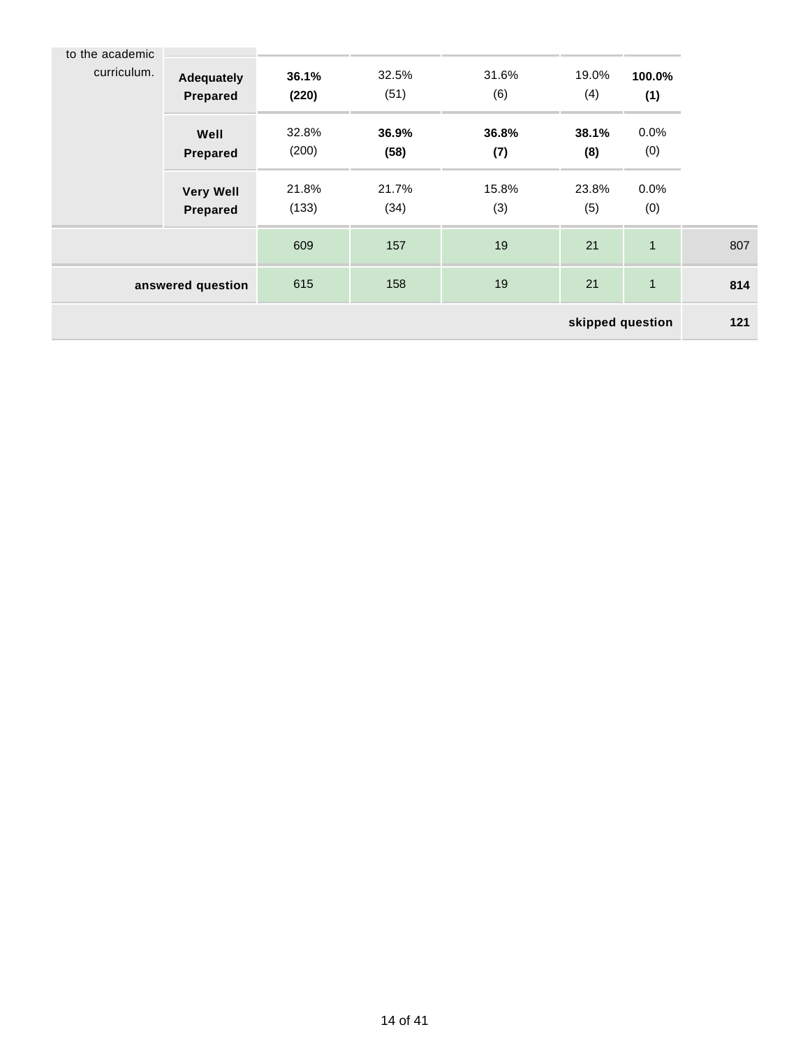| to the academic |                                     |                |               |              |                  |               |     |
|-----------------|-------------------------------------|----------------|---------------|--------------|------------------|---------------|-----|
| curriculum.     | <b>Adequately</b><br>Prepared       | 36.1%<br>(220) | 32.5%<br>(51) | 31.6%<br>(6) | 19.0%<br>(4)     | 100.0%<br>(1) |     |
|                 | Well<br>Prepared                    | 32.8%<br>(200) | 36.9%<br>(58) | 36.8%<br>(7) | 38.1%<br>(8)     | 0.0%<br>(0)   |     |
|                 | <b>Very Well</b><br><b>Prepared</b> | 21.8%<br>(133) | 21.7%<br>(34) | 15.8%<br>(3) | 23.8%<br>(5)     | 0.0%<br>(0)   |     |
|                 |                                     | 609            | 157           | 19           | 21               | $\mathbf{1}$  | 807 |
|                 | answered question                   | 615            | 158           | 19           | 21               | $\mathbf{1}$  | 814 |
|                 |                                     |                |               |              | skipped question |               | 121 |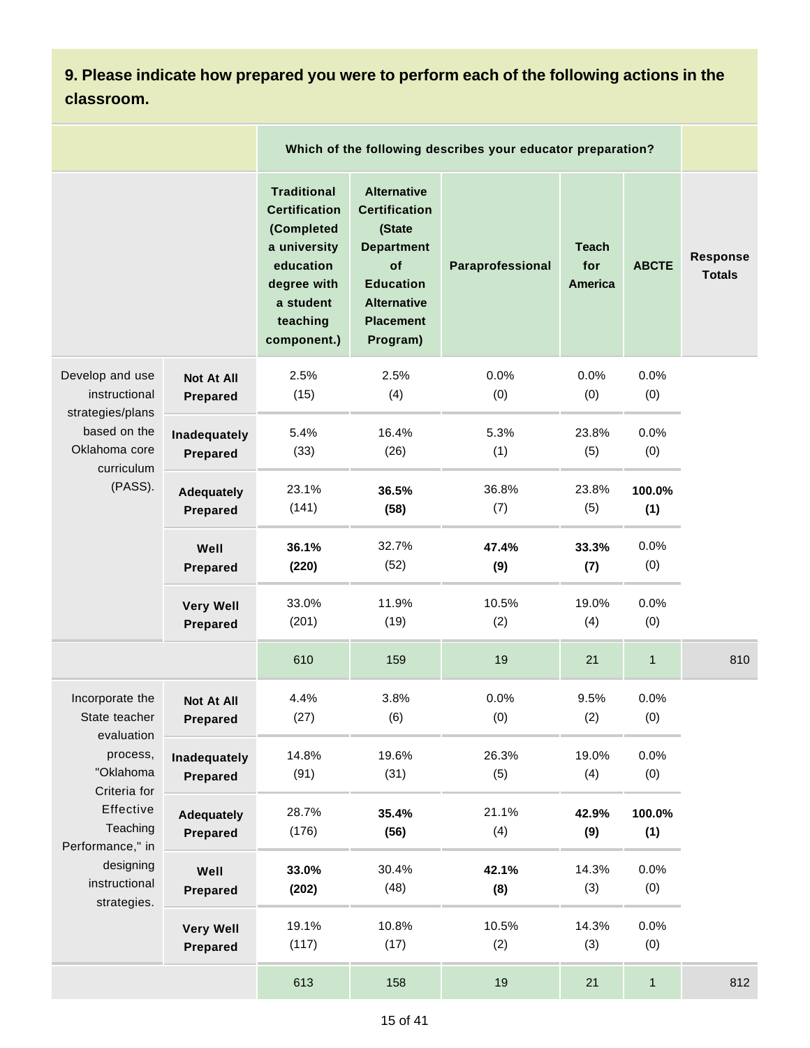**9. Please indicate how prepared you were to perform each of the following actions in the classroom.**

|                                                                                                                                               |                                      |                                                                                                                                              |                                                                                                                                                           | Which of the following describes your educator preparation? |                                       |               |                                  |
|-----------------------------------------------------------------------------------------------------------------------------------------------|--------------------------------------|----------------------------------------------------------------------------------------------------------------------------------------------|-----------------------------------------------------------------------------------------------------------------------------------------------------------|-------------------------------------------------------------|---------------------------------------|---------------|----------------------------------|
|                                                                                                                                               |                                      | <b>Traditional</b><br><b>Certification</b><br>(Completed<br>a university<br>education<br>degree with<br>a student<br>teaching<br>component.) | <b>Alternative</b><br><b>Certification</b><br>(State<br><b>Department</b><br>of<br><b>Education</b><br><b>Alternative</b><br><b>Placement</b><br>Program) | Paraprofessional                                            | <b>Teach</b><br>for<br><b>America</b> | <b>ABCTE</b>  | <b>Response</b><br><b>Totals</b> |
| Develop and use<br>instructional                                                                                                              | <b>Not At All</b><br><b>Prepared</b> | 2.5%<br>(15)                                                                                                                                 | 2.5%<br>(4)                                                                                                                                               | 0.0%<br>(0)                                                 | 0.0%<br>(0)                           | 0.0%<br>(0)   |                                  |
| strategies/plans<br>based on the<br>Oklahoma core<br>curriculum<br>(PASS).<br>Well                                                            | Inadequately<br>Prepared             | 5.4%<br>(33)                                                                                                                                 | 16.4%<br>(26)                                                                                                                                             | 5.3%<br>(1)                                                 | 23.8%<br>(5)                          | 0.0%<br>(0)   |                                  |
|                                                                                                                                               | <b>Adequately</b><br>Prepared        | 23.1%<br>(141)                                                                                                                               | 36.5%<br>(58)                                                                                                                                             | 36.8%<br>(7)                                                | 23.8%<br>(5)                          | 100.0%<br>(1) |                                  |
|                                                                                                                                               | <b>Prepared</b>                      | 36.1%<br>(220)                                                                                                                               | 32.7%<br>(52)                                                                                                                                             | 47.4%<br>(9)                                                | 33.3%<br>(7)                          | 0.0%<br>(0)   |                                  |
|                                                                                                                                               | <b>Very Well</b><br>Prepared         | 33.0%<br>(201)                                                                                                                               | 11.9%<br>(19)                                                                                                                                             | 10.5%<br>(2)                                                | 19.0%<br>(4)                          | 0.0%<br>(0)   |                                  |
|                                                                                                                                               |                                      | 610                                                                                                                                          | 159                                                                                                                                                       | 19                                                          | 21                                    | $\mathbf{1}$  | 810                              |
| Incorporate the<br>State teacher                                                                                                              | <b>Not At All</b><br><b>Prepared</b> | 4.4%<br>(27)                                                                                                                                 | 3.8%<br>(6)                                                                                                                                               | 0.0%<br>(0)                                                 | 9.5%<br>(2)                           | 0.0%<br>(0)   |                                  |
| evaluation<br>process,<br>"Oklahoma<br>Criteria for<br>Effective<br>Teaching<br>Performance," in<br>designing<br>instructional<br>strategies. | Inadequately<br>Prepared             | 14.8%<br>(91)                                                                                                                                | 19.6%<br>(31)                                                                                                                                             | 26.3%<br>(5)                                                | 19.0%<br>(4)                          | 0.0%<br>(0)   |                                  |
|                                                                                                                                               | <b>Adequately</b><br>Prepared        | 28.7%<br>(176)                                                                                                                               | 35.4%<br>(56)                                                                                                                                             | 21.1%<br>(4)                                                | 42.9%<br>(9)                          | 100.0%<br>(1) |                                  |
|                                                                                                                                               | Well<br>Prepared                     | 33.0%<br>(202)                                                                                                                               | 30.4%<br>(48)                                                                                                                                             | 42.1%<br>(8)                                                | 14.3%<br>(3)                          | 0.0%<br>(0)   |                                  |
|                                                                                                                                               | <b>Very Well</b><br>Prepared         | 19.1%<br>(117)                                                                                                                               | 10.8%<br>(17)                                                                                                                                             | 10.5%<br>(2)                                                | 14.3%<br>(3)                          | 0.0%<br>(0)   |                                  |
|                                                                                                                                               |                                      | 613                                                                                                                                          | 158                                                                                                                                                       | 19                                                          | 21                                    | $\mathbf{1}$  | 812                              |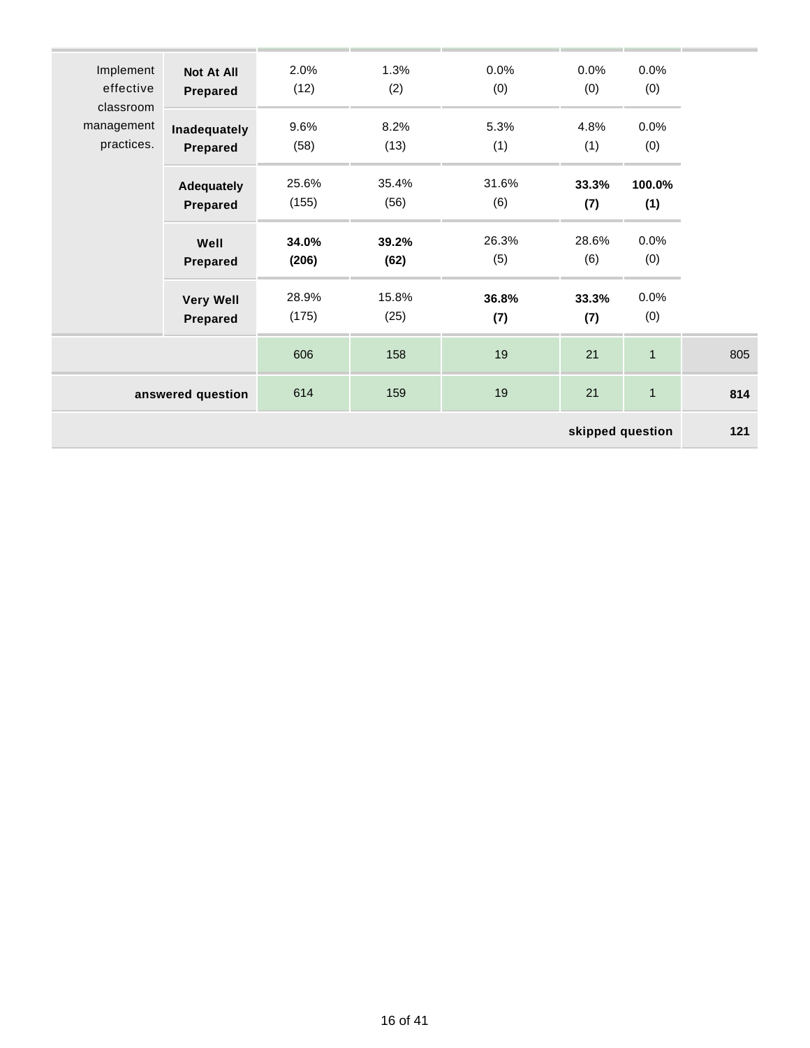| Implement               | <b>Not At All</b>                    | 2.0%           | 1.3%          | 0.0%         | 0.0%             | 0.0%           |     |
|-------------------------|--------------------------------------|----------------|---------------|--------------|------------------|----------------|-----|
| effective               | Prepared                             | (12)           | (2)           | (0)          | (0)              | (0)            |     |
| classroom<br>management | Inadequately                         | 9.6%           | 8.2%          | 5.3%         | 4.8%             | 0.0%           |     |
| practices.              | <b>Prepared</b>                      | (58)           | (13)          | (1)          | (1)              | (0)            |     |
|                         |                                      | 25.6%          | 35.4%         | 31.6%        | 33.3%            | 100.0%         |     |
|                         | <b>Adequately</b><br><b>Prepared</b> | (155)          | (56)          | (6)          | (7)              | (1)            |     |
|                         |                                      |                |               |              |                  |                |     |
|                         | Well<br><b>Prepared</b>              | 34.0%<br>(206) | 39.2%<br>(62) | 26.3%<br>(5) | 28.6%<br>(6)     | 0.0%<br>(0)    |     |
|                         |                                      |                |               |              |                  |                |     |
|                         | <b>Very Well</b>                     | 28.9%          | 15.8%         | 36.8%        | 33.3%            | 0.0%           |     |
|                         | <b>Prepared</b>                      | (175)          | (25)          | (7)          | (7)              | (0)            |     |
|                         |                                      | 606            | 158           | 19           | 21               | $\mathbf{1}$   | 805 |
|                         | answered question                    | 614            | 159           | 19           | 21               | $\overline{1}$ | 814 |
|                         |                                      |                |               |              | skipped question |                | 121 |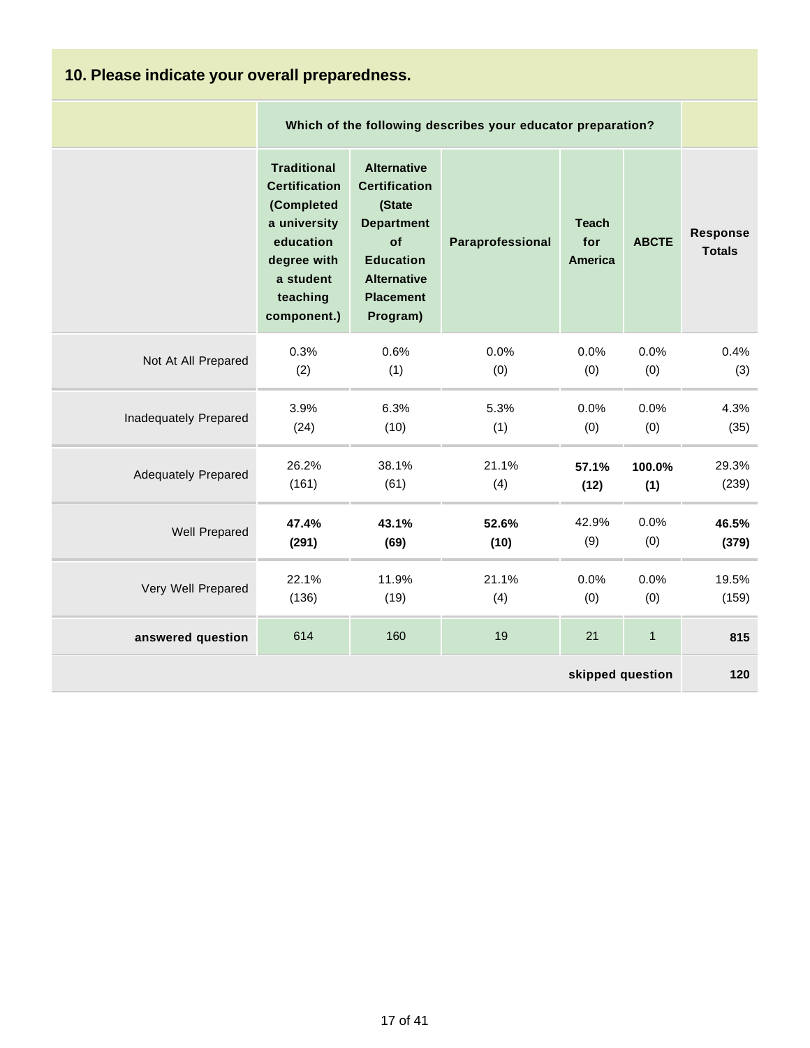| 10. Please indicate your overall preparedness. |                                                                                                                                              |                                                                                                                                                           |                                                             |                                       |              |                           |  |  |
|------------------------------------------------|----------------------------------------------------------------------------------------------------------------------------------------------|-----------------------------------------------------------------------------------------------------------------------------------------------------------|-------------------------------------------------------------|---------------------------------------|--------------|---------------------------|--|--|
|                                                |                                                                                                                                              |                                                                                                                                                           | Which of the following describes your educator preparation? |                                       |              |                           |  |  |
|                                                | <b>Traditional</b><br><b>Certification</b><br>(Completed<br>a university<br>education<br>degree with<br>a student<br>teaching<br>component.) | <b>Alternative</b><br><b>Certification</b><br>(State<br><b>Department</b><br>of<br><b>Education</b><br><b>Alternative</b><br><b>Placement</b><br>Program) | Paraprofessional                                            | <b>Teach</b><br>for<br><b>America</b> | <b>ABCTE</b> | Response<br><b>Totals</b> |  |  |
| Not At All Prepared                            | 0.3%                                                                                                                                         | 0.6%                                                                                                                                                      | 0.0%                                                        | 0.0%                                  | 0.0%         | 0.4%                      |  |  |
|                                                | (2)                                                                                                                                          | (1)                                                                                                                                                       | (0)                                                         | (0)                                   | (0)          | (3)                       |  |  |
| Inadequately Prepared                          | 3.9%                                                                                                                                         | 6.3%                                                                                                                                                      | 5.3%                                                        | 0.0%                                  | 0.0%         | 4.3%                      |  |  |
|                                                | (24)                                                                                                                                         | (10)                                                                                                                                                      | (1)                                                         | (0)                                   | (0)          | (35)                      |  |  |
| <b>Adequately Prepared</b>                     | 26.2%                                                                                                                                        | 38.1%                                                                                                                                                     | 21.1%                                                       | 57.1%                                 | 100.0%       | 29.3%                     |  |  |
|                                                | (161)                                                                                                                                        | (61)                                                                                                                                                      | (4)                                                         | (12)                                  | (1)          | (239)                     |  |  |
| Well Prepared                                  | 47.4%                                                                                                                                        | 43.1%                                                                                                                                                     | 52.6%                                                       | 42.9%                                 | 0.0%         | 46.5%                     |  |  |
|                                                | (291)                                                                                                                                        | (69)                                                                                                                                                      | (10)                                                        | (9)                                   | (0)          | (379)                     |  |  |
| Very Well Prepared                             | 22.1%                                                                                                                                        | 11.9%                                                                                                                                                     | 21.1%                                                       | 0.0%                                  | 0.0%         | 19.5%                     |  |  |
|                                                | (136)                                                                                                                                        | (19)                                                                                                                                                      | (4)                                                         | (0)                                   | (0)          | (159)                     |  |  |
| answered question                              | 614                                                                                                                                          | 160                                                                                                                                                       | 19                                                          | 21                                    | $\mathbf{1}$ | 815                       |  |  |
| skipped question                               |                                                                                                                                              |                                                                                                                                                           |                                                             |                                       |              |                           |  |  |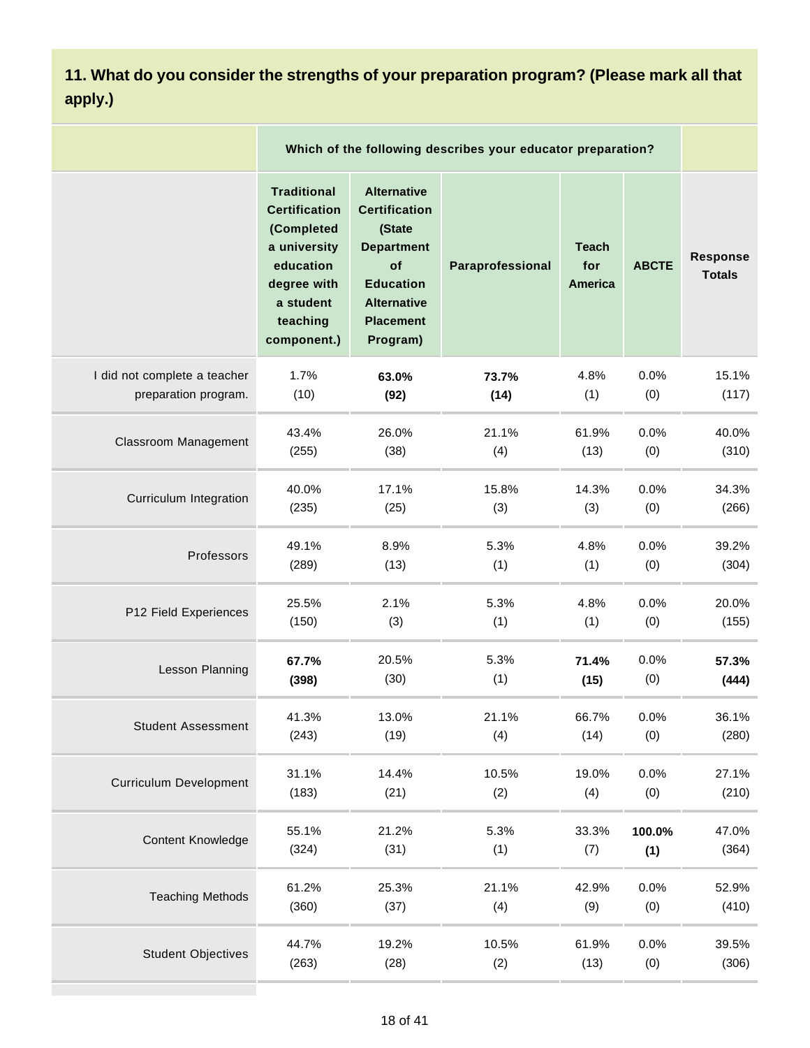# **11. What do you consider the strengths of your preparation program? (Please mark all that apply.)**

|                               |                                                                                                                                              |                                                                                                                                                           | Which of the following describes your educator preparation? |                                |              |                                  |
|-------------------------------|----------------------------------------------------------------------------------------------------------------------------------------------|-----------------------------------------------------------------------------------------------------------------------------------------------------------|-------------------------------------------------------------|--------------------------------|--------------|----------------------------------|
|                               | <b>Traditional</b><br><b>Certification</b><br>(Completed<br>a university<br>education<br>degree with<br>a student<br>teaching<br>component.) | <b>Alternative</b><br><b>Certification</b><br>(State<br><b>Department</b><br>of<br><b>Education</b><br><b>Alternative</b><br><b>Placement</b><br>Program) | Paraprofessional                                            | <b>Teach</b><br>for<br>America | <b>ABCTE</b> | <b>Response</b><br><b>Totals</b> |
| I did not complete a teacher  | 1.7%                                                                                                                                         | 63.0%                                                                                                                                                     | 73.7%                                                       | 4.8%                           | 0.0%         | 15.1%                            |
| preparation program.          | (10)                                                                                                                                         | (92)                                                                                                                                                      | (14)                                                        | (1)                            | (0)          | (117)                            |
| Classroom Management          | 43.4%                                                                                                                                        | 26.0%                                                                                                                                                     | 21.1%                                                       | 61.9%                          | 0.0%         | 40.0%                            |
|                               | (255)                                                                                                                                        | (38)                                                                                                                                                      | (4)                                                         | (13)                           | (0)          | (310)                            |
| Curriculum Integration        | 40.0%                                                                                                                                        | 17.1%                                                                                                                                                     | 15.8%                                                       | 14.3%                          | 0.0%         | 34.3%                            |
|                               | (235)                                                                                                                                        | (25)                                                                                                                                                      | (3)                                                         | (3)                            | (0)          | (266)                            |
| Professors                    | 49.1%                                                                                                                                        | 8.9%                                                                                                                                                      | 5.3%                                                        | 4.8%                           | 0.0%         | 39.2%                            |
|                               | (289)                                                                                                                                        | (13)                                                                                                                                                      | (1)                                                         | (1)                            | (0)          | (304)                            |
| P12 Field Experiences         | 25.5%                                                                                                                                        | 2.1%                                                                                                                                                      | 5.3%                                                        | 4.8%                           | 0.0%         | 20.0%                            |
|                               | (150)                                                                                                                                        | (3)                                                                                                                                                       | (1)                                                         | (1)                            | (0)          | (155)                            |
| Lesson Planning               | 67.7%                                                                                                                                        | 20.5%                                                                                                                                                     | 5.3%                                                        | 71.4%                          | 0.0%         | 57.3%                            |
|                               | (398)                                                                                                                                        | (30)                                                                                                                                                      | (1)                                                         | (15)                           | (0)          | (444)                            |
| <b>Student Assessment</b>     | 41.3%                                                                                                                                        | 13.0%                                                                                                                                                     | 21.1%                                                       | 66.7%                          | 0.0%         | 36.1%                            |
|                               | (243)                                                                                                                                        | (19)                                                                                                                                                      | (4)                                                         | (14)                           | (0)          | (280)                            |
| <b>Curriculum Development</b> | 31.1%                                                                                                                                        | 14.4%                                                                                                                                                     | 10.5%                                                       | 19.0%                          | 0.0%         | 27.1%                            |
|                               | (183)                                                                                                                                        | (21)                                                                                                                                                      | (2)                                                         | (4)                            | (0)          | (210)                            |
| <b>Content Knowledge</b>      | 55.1%                                                                                                                                        | 21.2%                                                                                                                                                     | 5.3%                                                        | 33.3%                          | 100.0%       | 47.0%                            |
|                               | (324)                                                                                                                                        | (31)                                                                                                                                                      | (1)                                                         | (7)                            | (1)          | (364)                            |
| <b>Teaching Methods</b>       | 61.2%                                                                                                                                        | 25.3%                                                                                                                                                     | 21.1%                                                       | 42.9%                          | 0.0%         | 52.9%                            |
|                               | (360)                                                                                                                                        | (37)                                                                                                                                                      | (4)                                                         | (9)                            | (0)          | (410)                            |
| <b>Student Objectives</b>     | 44.7%                                                                                                                                        | 19.2%                                                                                                                                                     | 10.5%                                                       | 61.9%                          | 0.0%         | 39.5%                            |
|                               | (263)                                                                                                                                        | (28)                                                                                                                                                      | (2)                                                         | (13)                           | (0)          | (306)                            |
|                               |                                                                                                                                              |                                                                                                                                                           |                                                             |                                |              |                                  |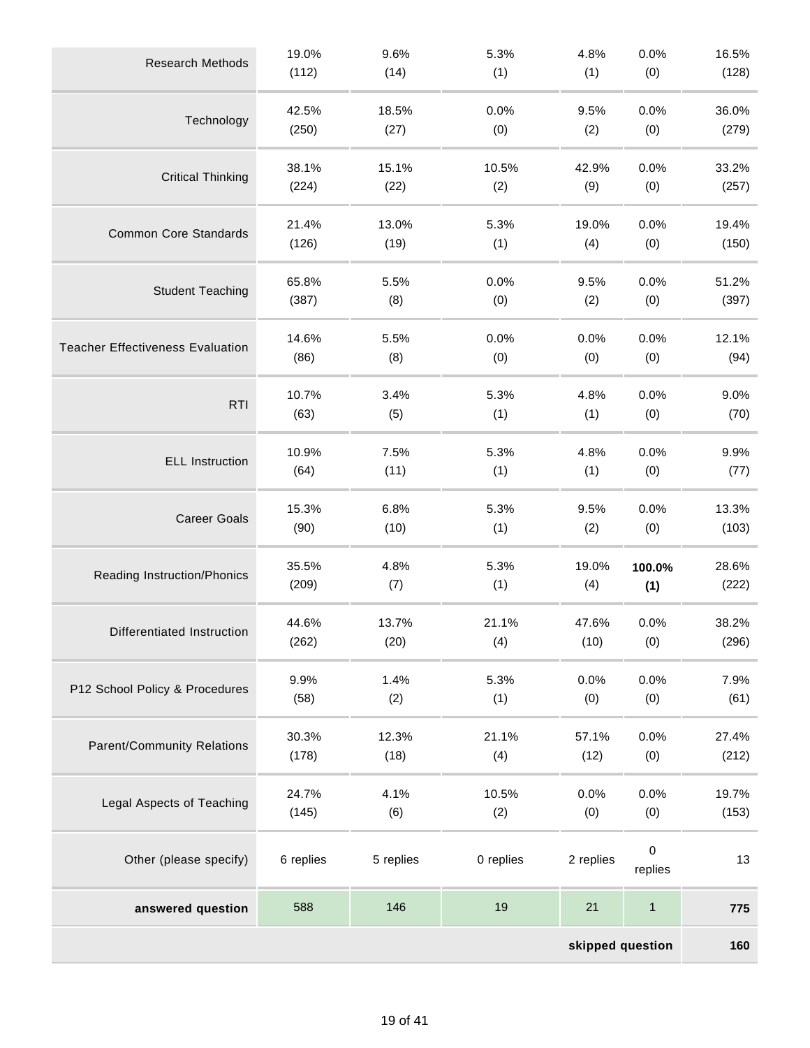| <b>Research Methods</b>                 | 19.0%<br>(112) | 9.6%<br>(14)  | 5.3%<br>(1) | 4.8%<br>(1) | 0.0%<br>(0)         | 16.5%<br>(128) |  |
|-----------------------------------------|----------------|---------------|-------------|-------------|---------------------|----------------|--|
|                                         |                |               |             |             |                     |                |  |
| Technology                              | 42.5%<br>(250) | 18.5%<br>(27) | 0.0%<br>(0) | 9.5%<br>(2) | 0.0%<br>(0)         | 36.0%<br>(279) |  |
|                                         | 38.1%          | 15.1%         | 10.5%       | 42.9%       | 0.0%                | 33.2%          |  |
| <b>Critical Thinking</b>                | (224)          | (22)          | (2)         | (9)         | (0)                 | (257)          |  |
|                                         | 21.4%          | 13.0%         | 5.3%        | 19.0%       | 0.0%                | 19.4%          |  |
| <b>Common Core Standards</b>            | (126)          | (19)          | (1)         | (4)         | (0)                 | (150)          |  |
| <b>Student Teaching</b>                 | 65.8%          | 5.5%          | 0.0%        | 9.5%        | 0.0%                | 51.2%          |  |
|                                         | (387)          | (8)           | (0)         | (2)         | (0)                 | (397)          |  |
| <b>Teacher Effectiveness Evaluation</b> | 14.6%          | 5.5%          | 0.0%        | 0.0%        | 0.0%                | 12.1%          |  |
|                                         | (86)           | (8)           | (0)         | (0)         | (0)                 | (94)           |  |
| <b>RTI</b>                              | 10.7%          | 3.4%          | 5.3%        | 4.8%        | 0.0%                | 9.0%           |  |
|                                         | (63)           | (5)           | (1)         | (1)         | (0)                 | (70)           |  |
| <b>ELL Instruction</b>                  | 10.9%          | 7.5%          | 5.3%        | 4.8%        | 0.0%                | 9.9%           |  |
|                                         | (64)           | (11)          | (1)         | (1)         | (0)                 | (77)           |  |
| <b>Career Goals</b>                     | 15.3%          | 6.8%          | 5.3%        | 9.5%        | 0.0%                | 13.3%          |  |
|                                         | (90)           | (10)          | (1)         | (2)         | (0)                 | (103)          |  |
| Reading Instruction/Phonics             | 35.5%          | 4.8%          | 5.3%        | 19.0%       | 100.0%              | 28.6%          |  |
|                                         | (209)          | (7)           | (1)         | (4)         | (1)                 | (222)          |  |
| Differentiated Instruction              | 44.6%          | 13.7%         | 21.1%       | 47.6%       | 0.0%                | 38.2%          |  |
|                                         | (262)          | (20)          | (4)         | (10)        | (0)                 | (296)          |  |
| P12 School Policy & Procedures          | 9.9%           | 1.4%          | 5.3%        | 0.0%        | 0.0%                | 7.9%           |  |
|                                         | (58)           | (2)           | (1)         | (0)         | (0)                 | (61)           |  |
| <b>Parent/Community Relations</b>       | 30.3%          | 12.3%         | 21.1%       | 57.1%       | 0.0%                | 27.4%          |  |
|                                         | (178)          | (18)          | (4)         | (12)        | (0)                 | (212)          |  |
|                                         | 24.7%          | 4.1%          | 10.5%       | 0.0%        | 0.0%                | 19.7%          |  |
| Legal Aspects of Teaching               | (145)          | (6)           | (2)         | (0)         | (0)                 | (153)          |  |
| Other (please specify)                  | 6 replies      | 5 replies     | 0 replies   | 2 replies   | $\mathsf{O}\xspace$ | 13             |  |
|                                         |                |               |             |             | replies             |                |  |
| answered question                       | 588            | 146           | 19          | 21          | $\mathbf{1}$        | 775            |  |
| skipped question                        |                |               |             |             |                     |                |  |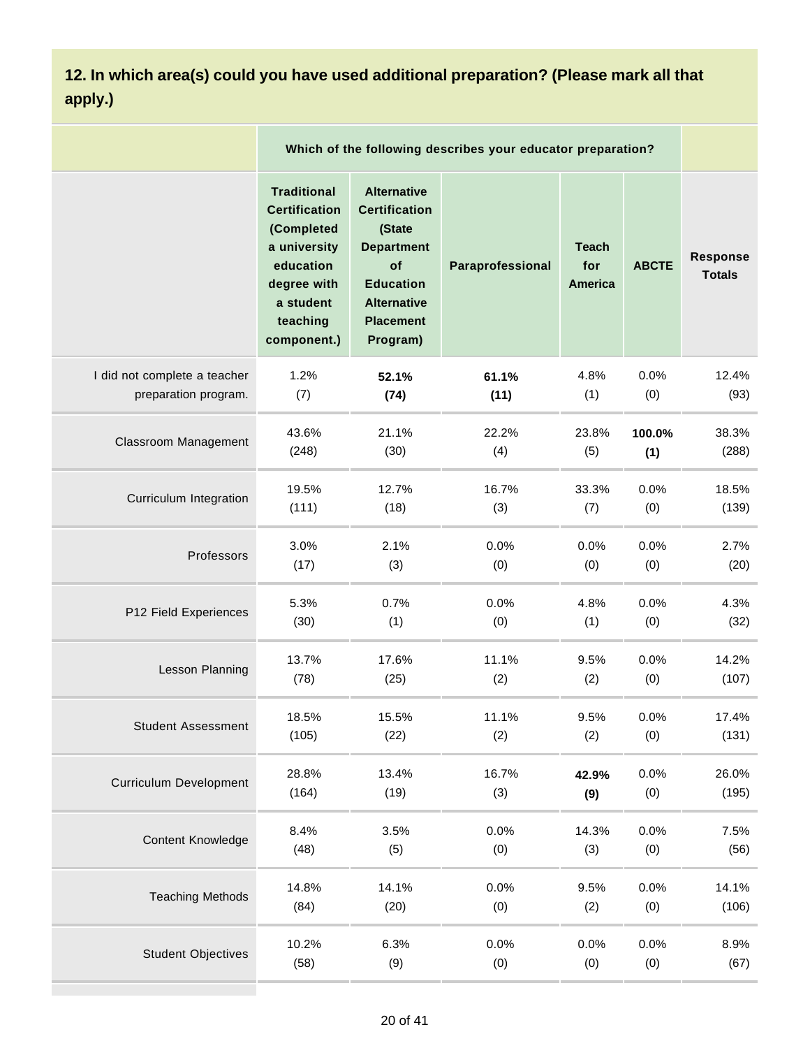**12. In which area(s) could you have used additional preparation? (Please mark all that apply.)**

|                               |                                                                                                                                              | Which of the following describes your educator preparation?                                                                                               |                  |                                       |              |                                  |  |  |
|-------------------------------|----------------------------------------------------------------------------------------------------------------------------------------------|-----------------------------------------------------------------------------------------------------------------------------------------------------------|------------------|---------------------------------------|--------------|----------------------------------|--|--|
|                               | <b>Traditional</b><br><b>Certification</b><br>(Completed<br>a university<br>education<br>degree with<br>a student<br>teaching<br>component.) | <b>Alternative</b><br><b>Certification</b><br>(State<br><b>Department</b><br>of<br><b>Education</b><br><b>Alternative</b><br><b>Placement</b><br>Program) | Paraprofessional | <b>Teach</b><br>for<br><b>America</b> | <b>ABCTE</b> | <b>Response</b><br><b>Totals</b> |  |  |
| I did not complete a teacher  | 1.2%                                                                                                                                         | 52.1%                                                                                                                                                     | 61.1%            | 4.8%                                  | 0.0%         | 12.4%                            |  |  |
| preparation program.          | (7)                                                                                                                                          | (74)                                                                                                                                                      | (11)             | (1)                                   | (0)          | (93)                             |  |  |
| <b>Classroom Management</b>   | 43.6%                                                                                                                                        | 21.1%                                                                                                                                                     | 22.2%            | 23.8%                                 | 100.0%       | 38.3%                            |  |  |
|                               | (248)                                                                                                                                        | (30)                                                                                                                                                      | (4)              | (5)                                   | (1)          | (288)                            |  |  |
| Curriculum Integration        | 19.5%                                                                                                                                        | 12.7%                                                                                                                                                     | 16.7%            | 33.3%                                 | 0.0%         | 18.5%                            |  |  |
|                               | (111)                                                                                                                                        | (18)                                                                                                                                                      | (3)              | (7)                                   | (0)          | (139)                            |  |  |
| Professors                    | 3.0%                                                                                                                                         | 2.1%                                                                                                                                                      | 0.0%             | 0.0%                                  | 0.0%         | 2.7%                             |  |  |
|                               | (17)                                                                                                                                         | (3)                                                                                                                                                       | (0)              | (0)                                   | (0)          | (20)                             |  |  |
| P12 Field Experiences         | 5.3%                                                                                                                                         | 0.7%                                                                                                                                                      | 0.0%             | 4.8%                                  | 0.0%         | 4.3%                             |  |  |
|                               | (30)                                                                                                                                         | (1)                                                                                                                                                       | (0)              | (1)                                   | (0)          | (32)                             |  |  |
| Lesson Planning               | 13.7%                                                                                                                                        | 17.6%                                                                                                                                                     | 11.1%            | 9.5%                                  | 0.0%         | 14.2%                            |  |  |
|                               | (78)                                                                                                                                         | (25)                                                                                                                                                      | (2)              | (2)                                   | (0)          | (107)                            |  |  |
| <b>Student Assessment</b>     | 18.5%                                                                                                                                        | 15.5%                                                                                                                                                     | 11.1%            | 9.5%                                  | 0.0%         | 17.4%                            |  |  |
|                               | (105)                                                                                                                                        | (22)                                                                                                                                                      | (2)              | (2)                                   | (0)          | (131)                            |  |  |
| <b>Curriculum Development</b> | 28.8%                                                                                                                                        | 13.4%                                                                                                                                                     | 16.7%            | 42.9%                                 | 0.0%         | 26.0%                            |  |  |
|                               | (164)                                                                                                                                        | (19)                                                                                                                                                      | (3)              | (9)                                   | (0)          | (195)                            |  |  |
| <b>Content Knowledge</b>      | 8.4%                                                                                                                                         | 3.5%                                                                                                                                                      | 0.0%             | 14.3%                                 | 0.0%         | 7.5%                             |  |  |
|                               | (48)                                                                                                                                         | (5)                                                                                                                                                       | (0)              | (3)                                   | (0)          | (56)                             |  |  |
| <b>Teaching Methods</b>       | 14.8%                                                                                                                                        | 14.1%                                                                                                                                                     | 0.0%             | 9.5%                                  | 0.0%         | 14.1%                            |  |  |
|                               | (84)                                                                                                                                         | (20)                                                                                                                                                      | (0)              | (2)                                   | (0)          | (106)                            |  |  |
| <b>Student Objectives</b>     | 10.2%                                                                                                                                        | 6.3%                                                                                                                                                      | 0.0%             | 0.0%                                  | 0.0%         | 8.9%                             |  |  |
|                               | (58)                                                                                                                                         | (9)                                                                                                                                                       | (0)              | (0)                                   | (0)          | (67)                             |  |  |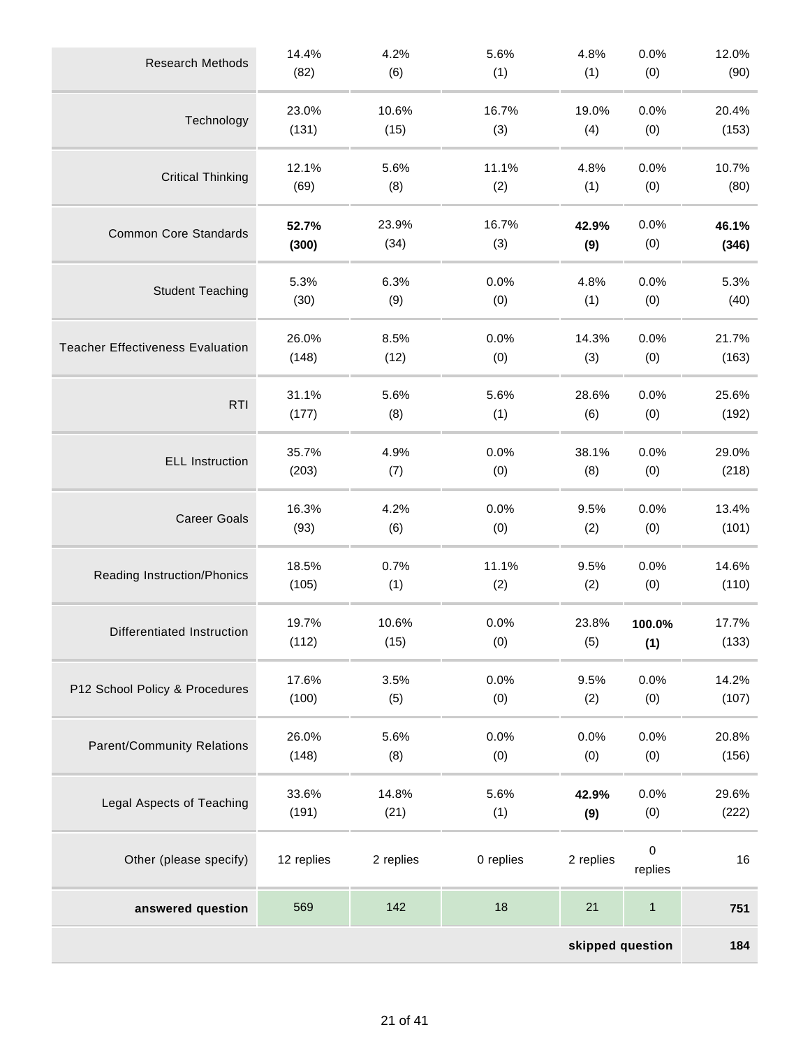| <b>Research Methods</b>                 | 14.4%      | 4.2%      | 5.6%      | 4.8%      | 0.0%         | 12.0% |  |  |
|-----------------------------------------|------------|-----------|-----------|-----------|--------------|-------|--|--|
|                                         | (82)       | (6)       | (1)       | (1)       | (0)          | (90)  |  |  |
| Technology                              | 23.0%      | 10.6%     | 16.7%     | 19.0%     | 0.0%         | 20.4% |  |  |
|                                         | (131)      | (15)      | (3)       | (4)       | (0)          | (153) |  |  |
| <b>Critical Thinking</b>                | 12.1%      | 5.6%      | 11.1%     | 4.8%      | 0.0%         | 10.7% |  |  |
|                                         | (69)       | (8)       | (2)       | (1)       | (0)          | (80)  |  |  |
| <b>Common Core Standards</b>            | 52.7%      | 23.9%     | 16.7%     | 42.9%     | 0.0%         | 46.1% |  |  |
|                                         | (300)      | (34)      | (3)       | (9)       | (0)          | (346) |  |  |
| <b>Student Teaching</b>                 | 5.3%       | 6.3%      | 0.0%      | 4.8%      | 0.0%         | 5.3%  |  |  |
|                                         | (30)       | (9)       | (0)       | (1)       | (0)          | (40)  |  |  |
| <b>Teacher Effectiveness Evaluation</b> | 26.0%      | 8.5%      | 0.0%      | 14.3%     | 0.0%         | 21.7% |  |  |
|                                         | (148)      | (12)      | (0)       | (3)       | (0)          | (163) |  |  |
| <b>RTI</b>                              | 31.1%      | 5.6%      | 5.6%      | 28.6%     | 0.0%         | 25.6% |  |  |
|                                         | (177)      | (8)       | (1)       | (6)       | (0)          | (192) |  |  |
| <b>ELL Instruction</b>                  | 35.7%      | 4.9%      | 0.0%      | 38.1%     | 0.0%         | 29.0% |  |  |
|                                         | (203)      | (7)       | (0)       | (8)       | (0)          | (218) |  |  |
| <b>Career Goals</b>                     | 16.3%      | 4.2%      | 0.0%      | 9.5%      | 0.0%         | 13.4% |  |  |
|                                         | (93)       | (6)       | (0)       | (2)       | (0)          | (101) |  |  |
| Reading Instruction/Phonics             | 18.5%      | 0.7%      | 11.1%     | 9.5%      | 0.0%         | 14.6% |  |  |
|                                         | (105)      | (1)       | (2)       | (2)       | (0)          | (110) |  |  |
| Differentiated Instruction              | 19.7%      | 10.6%     | 0.0%      | 23.8%     | 100.0%       | 17.7% |  |  |
|                                         | (112)      | (15)      | (0)       | (5)       | (1)          | (133) |  |  |
| P12 School Policy & Procedures          | 17.6%      | 3.5%      | 0.0%      | 9.5%      | 0.0%         | 14.2% |  |  |
|                                         | (100)      | (5)       | (0)       | (2)       | (0)          | (107) |  |  |
| <b>Parent/Community Relations</b>       | 26.0%      | 5.6%      | 0.0%      | 0.0%      | 0.0%         | 20.8% |  |  |
|                                         | (148)      | (8)       | (0)       | (0)       | (0)          | (156) |  |  |
| Legal Aspects of Teaching               | 33.6%      | 14.8%     | 5.6%      | 42.9%     | 0.0%         | 29.6% |  |  |
|                                         | (191)      | (21)      | (1)       | (9)       | (0)          | (222) |  |  |
| Other (please specify)                  | 12 replies | 2 replies | 0 replies | 2 replies | 0<br>replies | 16    |  |  |
| answered question                       | 569        | 142       | 18        | 21        | $\mathbf{1}$ | 751   |  |  |
| skipped question                        |            |           |           |           |              |       |  |  |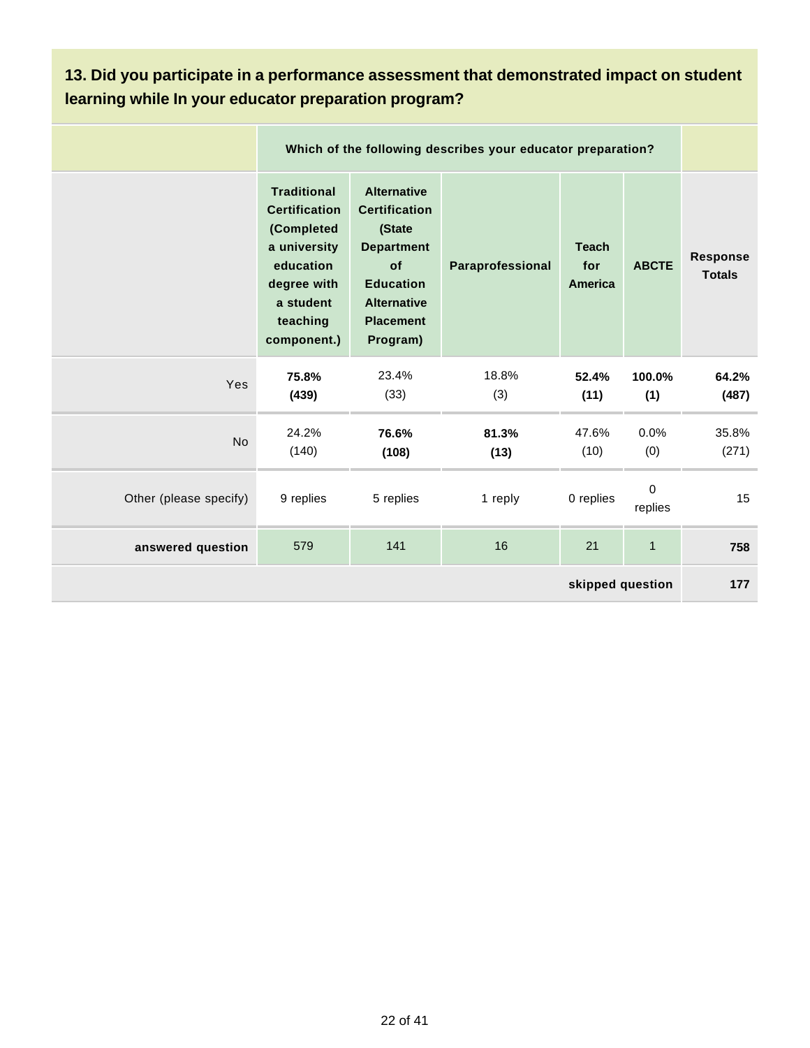#### **13. Did you participate in a performance assessment that demonstrated impact on student learning while In your educator preparation program?**

|                        |                                                                                                                                              | Which of the following describes your educator preparation?                                                                                               |                  |                                       |                        |                                  |  |  |  |  |  |
|------------------------|----------------------------------------------------------------------------------------------------------------------------------------------|-----------------------------------------------------------------------------------------------------------------------------------------------------------|------------------|---------------------------------------|------------------------|----------------------------------|--|--|--|--|--|
|                        | <b>Traditional</b><br><b>Certification</b><br>(Completed<br>a university<br>education<br>degree with<br>a student<br>teaching<br>component.) | <b>Alternative</b><br><b>Certification</b><br>(State<br><b>Department</b><br>of<br><b>Education</b><br><b>Alternative</b><br><b>Placement</b><br>Program) | Paraprofessional | <b>Teach</b><br>for<br><b>America</b> | <b>ABCTE</b>           | <b>Response</b><br><b>Totals</b> |  |  |  |  |  |
| Yes                    | 75.8%<br>(439)                                                                                                                               | 23.4%<br>(33)                                                                                                                                             | 18.8%<br>(3)     | 52.4%<br>(11)                         | 100.0%<br>(1)          | 64.2%<br>(487)                   |  |  |  |  |  |
| <b>No</b>              | 24.2%<br>(140)                                                                                                                               | 76.6%<br>(108)                                                                                                                                            | 81.3%<br>(13)    | 47.6%<br>(10)                         | 0.0%<br>(0)            | 35.8%<br>(271)                   |  |  |  |  |  |
| Other (please specify) | 9 replies                                                                                                                                    | 5 replies                                                                                                                                                 | 1 reply          | 0 replies                             | $\mathbf 0$<br>replies | 15                               |  |  |  |  |  |
| answered question      | 579                                                                                                                                          | 141                                                                                                                                                       | 16               | 21                                    | $\mathbf{1}$           | 758                              |  |  |  |  |  |
| skipped question       |                                                                                                                                              |                                                                                                                                                           |                  |                                       |                        |                                  |  |  |  |  |  |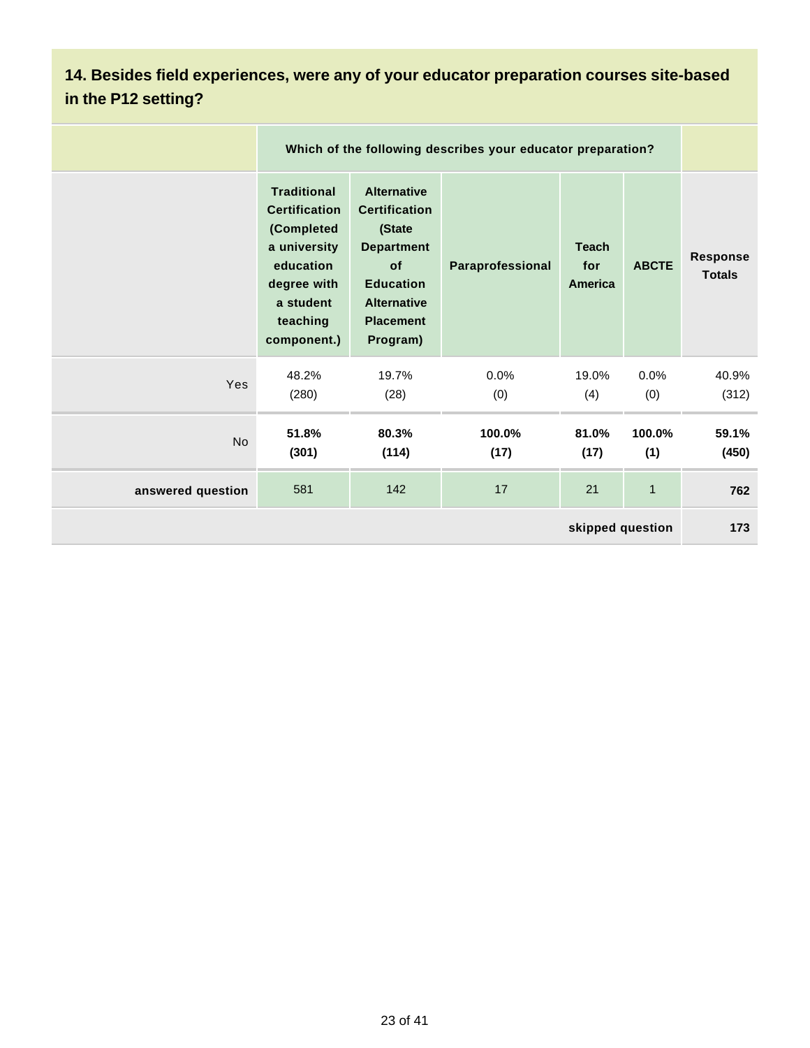## **14. Besides field experiences, were any of your educator preparation courses site-based in the P12 setting?**

|                   |                                                                                                                                              | Which of the following describes your educator preparation?                                                                                               |                  |                                |               |                           |  |
|-------------------|----------------------------------------------------------------------------------------------------------------------------------------------|-----------------------------------------------------------------------------------------------------------------------------------------------------------|------------------|--------------------------------|---------------|---------------------------|--|
|                   | <b>Traditional</b><br><b>Certification</b><br>(Completed<br>a university<br>education<br>degree with<br>a student<br>teaching<br>component.) | <b>Alternative</b><br><b>Certification</b><br>(State<br><b>Department</b><br>of<br><b>Education</b><br><b>Alternative</b><br><b>Placement</b><br>Program) | Paraprofessional | <b>Teach</b><br>for<br>America | <b>ABCTE</b>  | Response<br><b>Totals</b> |  |
| Yes               | 48.2%<br>(280)                                                                                                                               | 19.7%<br>(28)                                                                                                                                             | 0.0%<br>(0)      | 19.0%<br>(4)                   | 0.0%<br>(0)   | 40.9%<br>(312)            |  |
| <b>No</b>         | 51.8%<br>(301)                                                                                                                               | 80.3%<br>(114)                                                                                                                                            | 100.0%<br>(17)   | 81.0%<br>(17)                  | 100.0%<br>(1) | 59.1%<br>(450)            |  |
| answered question | 581                                                                                                                                          | 142                                                                                                                                                       | 17               | 21                             | $\mathbf{1}$  | 762                       |  |
| skipped question  |                                                                                                                                              |                                                                                                                                                           |                  |                                |               |                           |  |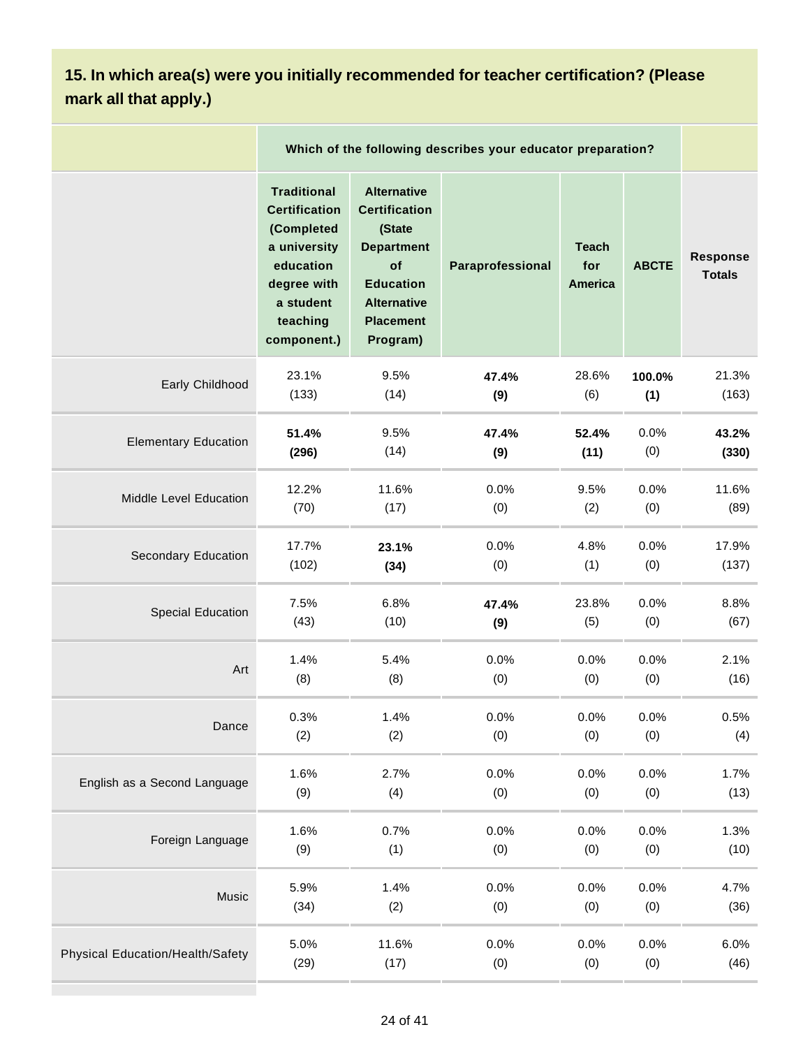## **15. In which area(s) were you initially recommended for teacher certification? (Please mark all that apply.)**

|                                         | Which of the following describes your educator preparation?                                                                                  |                                                                                                                                                           |                  |                                       |              |                                  |
|-----------------------------------------|----------------------------------------------------------------------------------------------------------------------------------------------|-----------------------------------------------------------------------------------------------------------------------------------------------------------|------------------|---------------------------------------|--------------|----------------------------------|
|                                         | <b>Traditional</b><br><b>Certification</b><br>(Completed<br>a university<br>education<br>degree with<br>a student<br>teaching<br>component.) | <b>Alternative</b><br><b>Certification</b><br>(State<br><b>Department</b><br>of<br><b>Education</b><br><b>Alternative</b><br><b>Placement</b><br>Program) | Paraprofessional | <b>Teach</b><br>for<br><b>America</b> | <b>ABCTE</b> | <b>Response</b><br><b>Totals</b> |
| Early Childhood                         | 23.1%                                                                                                                                        | 9.5%                                                                                                                                                      | 47.4%            | 28.6%                                 | 100.0%       | 21.3%                            |
|                                         | (133)                                                                                                                                        | (14)                                                                                                                                                      | (9)              | (6)                                   | (1)          | (163)                            |
| <b>Elementary Education</b>             | 51.4%                                                                                                                                        | 9.5%                                                                                                                                                      | 47.4%            | 52.4%                                 | 0.0%         | 43.2%                            |
|                                         | (296)                                                                                                                                        | (14)                                                                                                                                                      | (9)              | (11)                                  | (0)          | (330)                            |
| Middle Level Education                  | 12.2%                                                                                                                                        | 11.6%                                                                                                                                                     | 0.0%             | 9.5%                                  | 0.0%         | 11.6%                            |
|                                         | (70)                                                                                                                                         | (17)                                                                                                                                                      | (0)              | (2)                                   | (0)          | (89)                             |
| Secondary Education                     | 17.7%                                                                                                                                        | 23.1%                                                                                                                                                     | 0.0%             | 4.8%                                  | 0.0%         | 17.9%                            |
|                                         | (102)                                                                                                                                        | (34)                                                                                                                                                      | (0)              | (1)                                   | (0)          | (137)                            |
| <b>Special Education</b>                | 7.5%                                                                                                                                         | 6.8%                                                                                                                                                      | 47.4%            | 23.8%                                 | 0.0%         | 8.8%                             |
|                                         | (43)                                                                                                                                         | (10)                                                                                                                                                      | (9)              | (5)                                   | (0)          | (67)                             |
| Art                                     | 1.4%                                                                                                                                         | 5.4%                                                                                                                                                      | 0.0%             | 0.0%                                  | 0.0%         | 2.1%                             |
|                                         | (8)                                                                                                                                          | (8)                                                                                                                                                       | (0)              | (0)                                   | (0)          | (16)                             |
| Dance                                   | 0.3%                                                                                                                                         | 1.4%                                                                                                                                                      | 0.0%             | 0.0%                                  | 0.0%         | 0.5%                             |
|                                         | (2)                                                                                                                                          | (2)                                                                                                                                                       | (0)              | (0)                                   | (0)          | (4)                              |
| English as a Second Language            | 1.6%                                                                                                                                         | 2.7%                                                                                                                                                      | 0.0%             | 0.0%                                  | 0.0%         | 1.7%                             |
|                                         | (9)                                                                                                                                          | (4)                                                                                                                                                       | (0)              | (0)                                   | (0)          | (13)                             |
| Foreign Language                        | 1.6%                                                                                                                                         | 0.7%                                                                                                                                                      | 0.0%             | 0.0%                                  | 0.0%         | 1.3%                             |
|                                         | (9)                                                                                                                                          | (1)                                                                                                                                                       | (0)              | (0)                                   | (0)          | (10)                             |
| Music                                   | 5.9%                                                                                                                                         | 1.4%                                                                                                                                                      | 0.0%             | 0.0%                                  | 0.0%         | 4.7%                             |
|                                         | (34)                                                                                                                                         | (2)                                                                                                                                                       | (0)              | (0)                                   | (0)          | (36)                             |
| <b>Physical Education/Health/Safety</b> | 5.0%                                                                                                                                         | 11.6%                                                                                                                                                     | 0.0%             | 0.0%                                  | 0.0%         | 6.0%                             |
|                                         | (29)                                                                                                                                         | (17)                                                                                                                                                      | (0)              | (0)                                   | (0)          | (46)                             |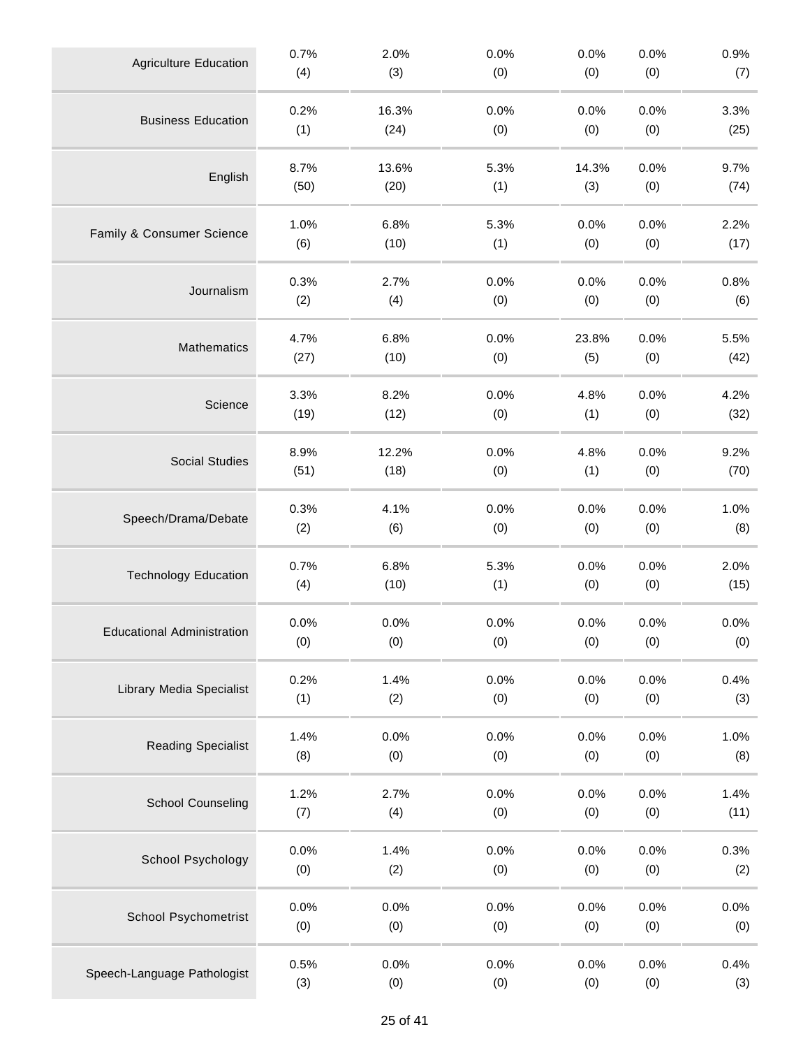| <b>Agriculture Education</b>      | 0.7% | 2.0%  | 0.0% | 0.0%  | 0.0% | 0.9% |
|-----------------------------------|------|-------|------|-------|------|------|
|                                   | (4)  | (3)   | (0)  | (0)   | (0)  | (7)  |
| <b>Business Education</b>         | 0.2% | 16.3% | 0.0% | 0.0%  | 0.0% | 3.3% |
|                                   | (1)  | (24)  | (0)  | (0)   | (0)  | (25) |
| English                           | 8.7% | 13.6% | 5.3% | 14.3% | 0.0% | 9.7% |
|                                   | (50) | (20)  | (1)  | (3)   | (0)  | (74) |
| Family & Consumer Science         | 1.0% | 6.8%  | 5.3% | 0.0%  | 0.0% | 2.2% |
|                                   | (6)  | (10)  | (1)  | (0)   | (0)  | (17) |
| Journalism                        | 0.3% | 2.7%  | 0.0% | 0.0%  | 0.0% | 0.8% |
|                                   | (2)  | (4)   | (0)  | (0)   | (0)  | (6)  |
| Mathematics                       | 4.7% | 6.8%  | 0.0% | 23.8% | 0.0% | 5.5% |
|                                   | (27) | (10)  | (0)  | (5)   | (0)  | (42) |
| Science                           | 3.3% | 8.2%  | 0.0% | 4.8%  | 0.0% | 4.2% |
|                                   | (19) | (12)  | (0)  | (1)   | (0)  | (32) |
| <b>Social Studies</b>             | 8.9% | 12.2% | 0.0% | 4.8%  | 0.0% | 9.2% |
|                                   | (51) | (18)  | (0)  | (1)   | (0)  | (70) |
| Speech/Drama/Debate               | 0.3% | 4.1%  | 0.0% | 0.0%  | 0.0% | 1.0% |
|                                   | (2)  | (6)   | (0)  | (0)   | (0)  | (8)  |
| <b>Technology Education</b>       | 0.7% | 6.8%  | 5.3% | 0.0%  | 0.0% | 2.0% |
|                                   | (4)  | (10)  | (1)  | (0)   | (0)  | (15) |
| <b>Educational Administration</b> | 0.0% | 0.0%  | 0.0% | 0.0%  | 0.0% | 0.0% |
|                                   | (0)  | (0)   | (0)  | (0)   | (0)  | (0)  |
| <b>Library Media Specialist</b>   | 0.2% | 1.4%  | 0.0% | 0.0%  | 0.0% | 0.4% |
|                                   | (1)  | (2)   | (0)  | (0)   | (0)  | (3)  |
| <b>Reading Specialist</b>         | 1.4% | 0.0%  | 0.0% | 0.0%  | 0.0% | 1.0% |
|                                   | (8)  | (0)   | (0)  | (0)   | (0)  | (8)  |
| <b>School Counseling</b>          | 1.2% | 2.7%  | 0.0% | 0.0%  | 0.0% | 1.4% |
|                                   | (7)  | (4)   | (0)  | (0)   | (0)  | (11) |
| School Psychology                 | 0.0% | 1.4%  | 0.0% | 0.0%  | 0.0% | 0.3% |
|                                   | (0)  | (2)   | (0)  | (0)   | (0)  | (2)  |
| <b>School Psychometrist</b>       | 0.0% | 0.0%  | 0.0% | 0.0%  | 0.0% | 0.0% |
|                                   | (0)  | (0)   | (0)  | (0)   | (0)  | (0)  |
| Speech-Language Pathologist       | 0.5% | 0.0%  | 0.0% | 0.0%  | 0.0% | 0.4% |
|                                   | (3)  | (0)   | (0)  | (0)   | (0)  | (3)  |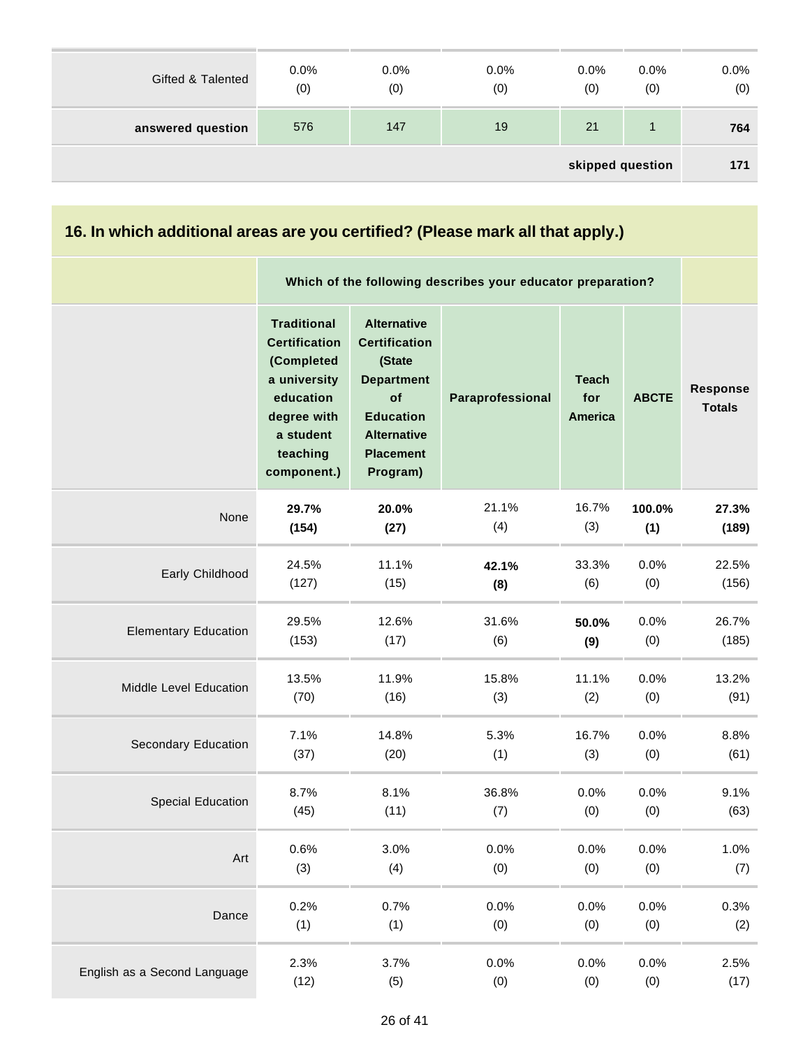| Gifted & Talented | 0.0%<br>(0) | 0.0%<br>(0) | $0.0\%$<br>(0) | $0.0\%$<br>(0) | $0.0\%$<br>(0) | $0.0\%$<br>(0) |
|-------------------|-------------|-------------|----------------|----------------|----------------|----------------|
| answered question | 576         | 147         | 19             | 21             |                | 764            |
| skipped question  |             |             |                |                |                |                |

| 16. In which additional areas are you certified? (Please mark all that apply.) |                                                                                                                                              |                                                                                                                                                           |                                                             |                                       |              |                                  |  |  |
|--------------------------------------------------------------------------------|----------------------------------------------------------------------------------------------------------------------------------------------|-----------------------------------------------------------------------------------------------------------------------------------------------------------|-------------------------------------------------------------|---------------------------------------|--------------|----------------------------------|--|--|
|                                                                                |                                                                                                                                              |                                                                                                                                                           | Which of the following describes your educator preparation? |                                       |              |                                  |  |  |
|                                                                                | <b>Traditional</b><br><b>Certification</b><br>(Completed<br>a university<br>education<br>degree with<br>a student<br>teaching<br>component.) | <b>Alternative</b><br><b>Certification</b><br>(State<br><b>Department</b><br>of<br><b>Education</b><br><b>Alternative</b><br><b>Placement</b><br>Program) | Paraprofessional                                            | <b>Teach</b><br>for<br><b>America</b> | <b>ABCTE</b> | <b>Response</b><br><b>Totals</b> |  |  |
| None                                                                           | 29.7%                                                                                                                                        | 20.0%                                                                                                                                                     | 21.1%                                                       | 16.7%                                 | 100.0%       | 27.3%                            |  |  |
|                                                                                | (154)                                                                                                                                        | (27)                                                                                                                                                      | (4)                                                         | (3)                                   | (1)          | (189)                            |  |  |
| Early Childhood                                                                | 24.5%                                                                                                                                        | 11.1%                                                                                                                                                     | 42.1%                                                       | 33.3%                                 | 0.0%         | 22.5%                            |  |  |
|                                                                                | (127)                                                                                                                                        | (15)                                                                                                                                                      | (8)                                                         | (6)                                   | (0)          | (156)                            |  |  |
| <b>Elementary Education</b>                                                    | 29.5%                                                                                                                                        | 12.6%                                                                                                                                                     | 31.6%                                                       | 50.0%                                 | 0.0%         | 26.7%                            |  |  |
|                                                                                | (153)                                                                                                                                        | (17)                                                                                                                                                      | (6)                                                         | (9)                                   | (0)          | (185)                            |  |  |
| Middle Level Education                                                         | 13.5%                                                                                                                                        | 11.9%                                                                                                                                                     | 15.8%                                                       | 11.1%                                 | 0.0%         | 13.2%                            |  |  |
|                                                                                | (70)                                                                                                                                         | (16)                                                                                                                                                      | (3)                                                         | (2)                                   | (0)          | (91)                             |  |  |
| <b>Secondary Education</b>                                                     | 7.1%                                                                                                                                         | 14.8%                                                                                                                                                     | 5.3%                                                        | 16.7%                                 | 0.0%         | 8.8%                             |  |  |
|                                                                                | (37)                                                                                                                                         | (20)                                                                                                                                                      | (1)                                                         | (3)                                   | (0)          | (61)                             |  |  |
| <b>Special Education</b>                                                       | 8.7%                                                                                                                                         | 8.1%                                                                                                                                                      | 36.8%                                                       | 0.0%                                  | 0.0%         | 9.1%                             |  |  |
|                                                                                | (45)                                                                                                                                         | (11)                                                                                                                                                      | (7)                                                         | (0)                                   | (0)          | (63)                             |  |  |
| Art                                                                            | 0.6%                                                                                                                                         | 3.0%                                                                                                                                                      | 0.0%                                                        | 0.0%                                  | 0.0%         | 1.0%                             |  |  |
|                                                                                | (3)                                                                                                                                          | (4)                                                                                                                                                       | (0)                                                         | (0)                                   | (0)          | (7)                              |  |  |
| Dance                                                                          | 0.2%                                                                                                                                         | 0.7%                                                                                                                                                      | 0.0%                                                        | 0.0%                                  | 0.0%         | 0.3%                             |  |  |
|                                                                                | (1)                                                                                                                                          | (1)                                                                                                                                                       | (0)                                                         | (0)                                   | (0)          | (2)                              |  |  |
| English as a Second Language                                                   | 2.3%                                                                                                                                         | 3.7%                                                                                                                                                      | 0.0%                                                        | 0.0%                                  | 0.0%         | 2.5%                             |  |  |
|                                                                                | (12)                                                                                                                                         | (5)                                                                                                                                                       | (0)                                                         | (0)                                   | (0)          | (17)                             |  |  |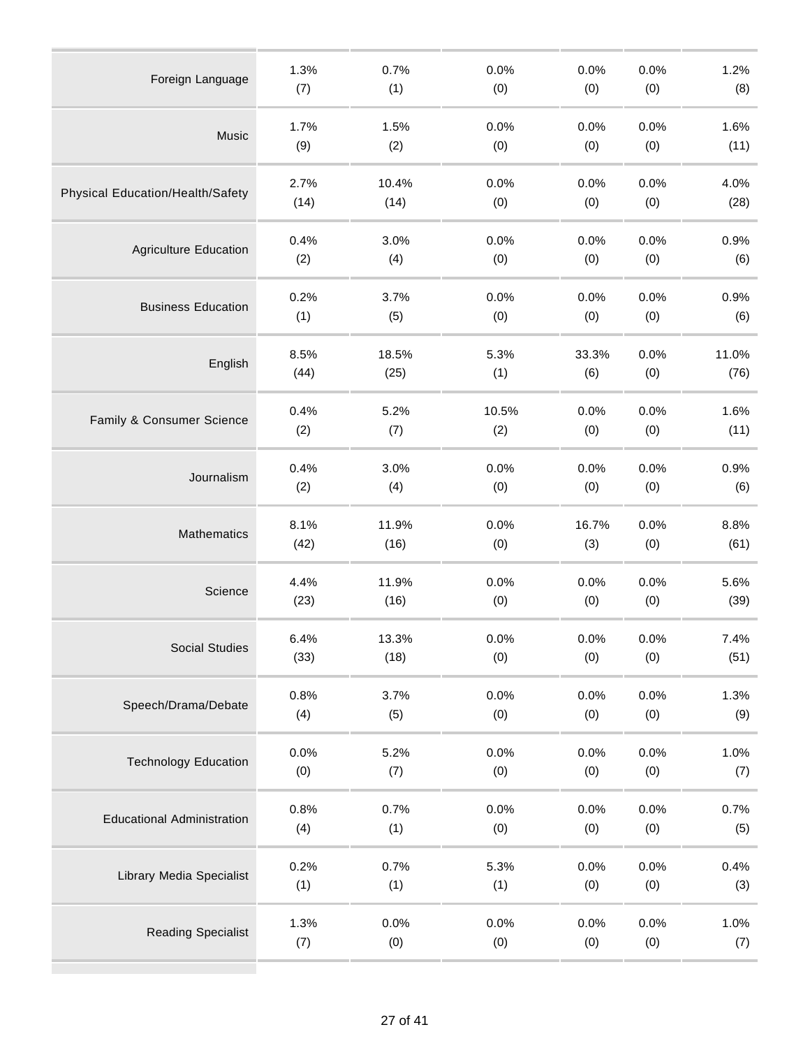| Foreign Language                  | 1.3% | 0.7%  | 0.0%  | 0.0%  | 0.0% | 1.2%  |
|-----------------------------------|------|-------|-------|-------|------|-------|
|                                   | (7)  | (1)   | (0)   | (0)   | (0)  | (8)   |
| Music                             | 1.7% | 1.5%  | 0.0%  | 0.0%  | 0.0% | 1.6%  |
|                                   | (9)  | (2)   | (0)   | (0)   | (0)  | (11)  |
| Physical Education/Health/Safety  | 2.7% | 10.4% | 0.0%  | 0.0%  | 0.0% | 4.0%  |
|                                   | (14) | (14)  | (0)   | (0)   | (0)  | (28)  |
| <b>Agriculture Education</b>      | 0.4% | 3.0%  | 0.0%  | 0.0%  | 0.0% | 0.9%  |
|                                   | (2)  | (4)   | (0)   | (0)   | (0)  | (6)   |
| <b>Business Education</b>         | 0.2% | 3.7%  | 0.0%  | 0.0%  | 0.0% | 0.9%  |
|                                   | (1)  | (5)   | (0)   | (0)   | (0)  | (6)   |
| English                           | 8.5% | 18.5% | 5.3%  | 33.3% | 0.0% | 11.0% |
|                                   | (44) | (25)  | (1)   | (6)   | (0)  | (76)  |
| Family & Consumer Science         | 0.4% | 5.2%  | 10.5% | 0.0%  | 0.0% | 1.6%  |
|                                   | (2)  | (7)   | (2)   | (0)   | (0)  | (11)  |
| Journalism                        | 0.4% | 3.0%  | 0.0%  | 0.0%  | 0.0% | 0.9%  |
|                                   | (2)  | (4)   | (0)   | (0)   | (0)  | (6)   |
| Mathematics                       | 8.1% | 11.9% | 0.0%  | 16.7% | 0.0% | 8.8%  |
|                                   | (42) | (16)  | (0)   | (3)   | (0)  | (61)  |
| Science                           | 4.4% | 11.9% | 0.0%  | 0.0%  | 0.0% | 5.6%  |
|                                   | (23) | (16)  | (0)   | (0)   | (0)  | (39)  |
| Social Studies                    | 6.4% | 13.3% | 0.0%  | 0.0%  | 0.0% | 7.4%  |
|                                   | (33) | (18)  | (0)   | (0)   | (0)  | (51)  |
| Speech/Drama/Debate               | 0.8% | 3.7%  | 0.0%  | 0.0%  | 0.0% | 1.3%  |
|                                   | (4)  | (5)   | (0)   | (0)   | (0)  | (9)   |
| <b>Technology Education</b>       | 0.0% | 5.2%  | 0.0%  | 0.0%  | 0.0% | 1.0%  |
|                                   | (0)  | (7)   | (0)   | (0)   | (0)  | (7)   |
| <b>Educational Administration</b> | 0.8% | 0.7%  | 0.0%  | 0.0%  | 0.0% | 0.7%  |
|                                   | (4)  | (1)   | (0)   | (0)   | (0)  | (5)   |
| <b>Library Media Specialist</b>   | 0.2% | 0.7%  | 5.3%  | 0.0%  | 0.0% | 0.4%  |
|                                   | (1)  | (1)   | (1)   | (0)   | (0)  | (3)   |
| <b>Reading Specialist</b>         | 1.3% | 0.0%  | 0.0%  | 0.0%  | 0.0% | 1.0%  |
|                                   | (7)  | (0)   | (0)   | (0)   | (0)  | (7)   |
|                                   |      |       |       |       |      |       |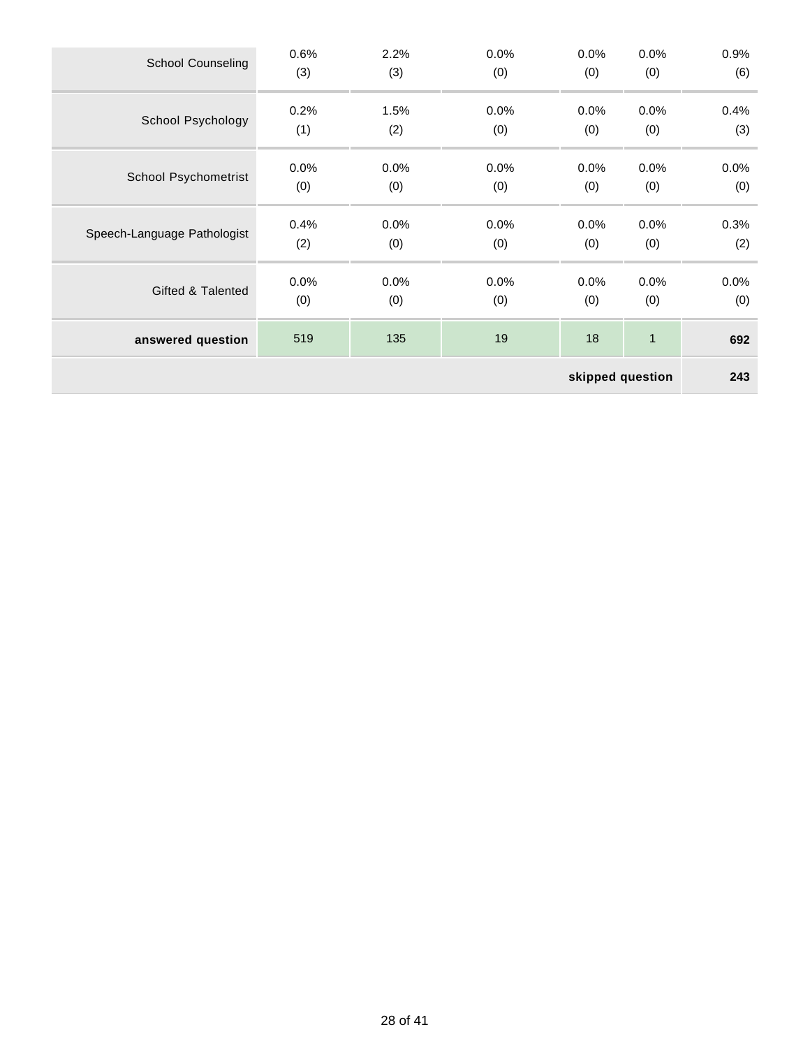| <b>School Counseling</b>    | 0.6% | 2.2% | 0.0%    | 0.0% | 0.0%         | 0.9% |
|-----------------------------|------|------|---------|------|--------------|------|
|                             | (3)  | (3)  | (0)     | (0)  | (0)          | (6)  |
| School Psychology           | 0.2% | 1.5% | $0.0\%$ | 0.0% | 0.0%         | 0.4% |
|                             | (1)  | (2)  | (0)     | (0)  | (0)          | (3)  |
| <b>School Psychometrist</b> | 0.0% | 0.0% | 0.0%    | 0.0% | 0.0%         | 0.0% |
|                             | (0)  | (0)  | (0)     | (0)  | (0)          | (0)  |
| Speech-Language Pathologist | 0.4% | 0.0% | 0.0%    | 0.0% | 0.0%         | 0.3% |
|                             | (2)  | (0)  | (0)     | (0)  | (0)          | (2)  |
| Gifted & Talented           | 0.0% | 0.0% | 0.0%    | 0.0% | 0.0%         | 0.0% |
|                             | (0)  | (0)  | (0)     | (0)  | (0)          | (0)  |
| answered question           | 519  | 135  | 19      | 18   | $\mathbf{1}$ | 692  |
| skipped question            |      |      |         |      |              |      |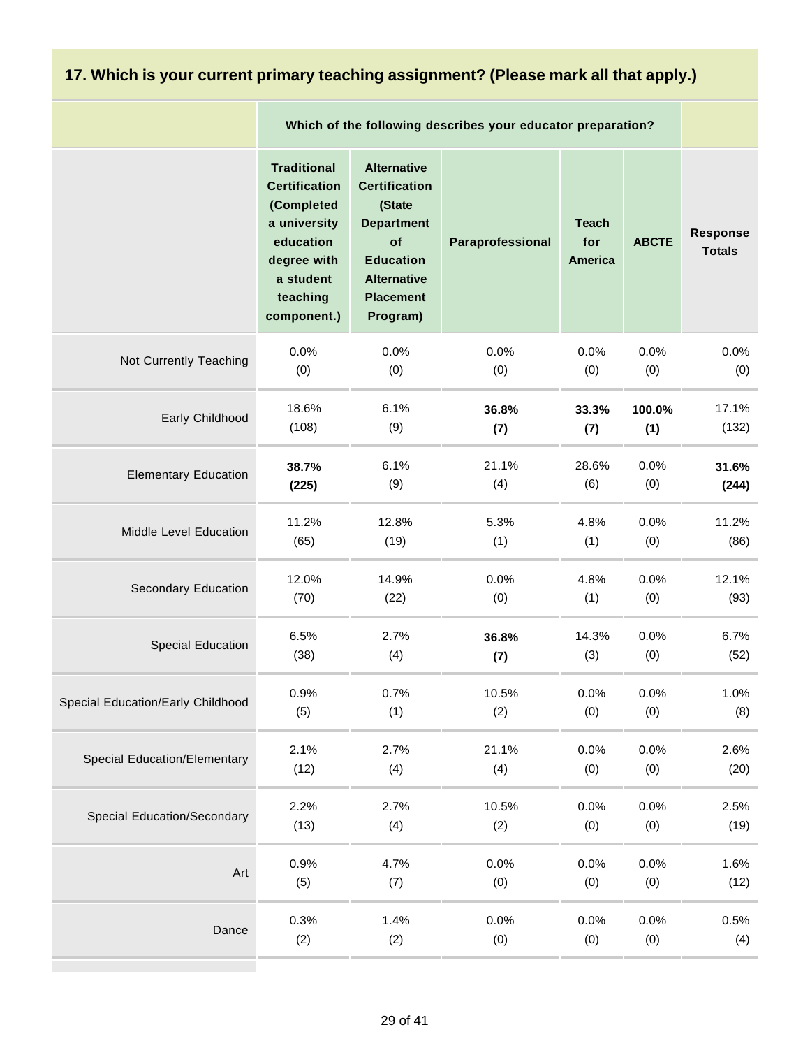#### **17. Which is your current primary teaching assignment? (Please mark all that apply.)**

|                                     | Which of the following describes your educator preparation?                                                                                  |                                                                                                                                                           |                  |                                       |              |                           |
|-------------------------------------|----------------------------------------------------------------------------------------------------------------------------------------------|-----------------------------------------------------------------------------------------------------------------------------------------------------------|------------------|---------------------------------------|--------------|---------------------------|
|                                     | <b>Traditional</b><br><b>Certification</b><br>(Completed<br>a university<br>education<br>degree with<br>a student<br>teaching<br>component.) | <b>Alternative</b><br><b>Certification</b><br>(State<br><b>Department</b><br>of<br><b>Education</b><br><b>Alternative</b><br><b>Placement</b><br>Program) | Paraprofessional | <b>Teach</b><br>for<br><b>America</b> | <b>ABCTE</b> | Response<br><b>Totals</b> |
| Not Currently Teaching              | 0.0%                                                                                                                                         | 0.0%                                                                                                                                                      | 0.0%             | 0.0%                                  | 0.0%         | 0.0%                      |
|                                     | (0)                                                                                                                                          | (0)                                                                                                                                                       | (0)              | (0)                                   | (0)          | (0)                       |
| Early Childhood                     | 18.6%                                                                                                                                        | 6.1%                                                                                                                                                      | 36.8%            | 33.3%                                 | 100.0%       | 17.1%                     |
|                                     | (108)                                                                                                                                        | (9)                                                                                                                                                       | (7)              | (7)                                   | (1)          | (132)                     |
| <b>Elementary Education</b>         | 38.7%                                                                                                                                        | 6.1%                                                                                                                                                      | 21.1%            | 28.6%                                 | 0.0%         | 31.6%                     |
|                                     | (225)                                                                                                                                        | (9)                                                                                                                                                       | (4)              | (6)                                   | (0)          | (244)                     |
| Middle Level Education              | 11.2%                                                                                                                                        | 12.8%                                                                                                                                                     | 5.3%             | 4.8%                                  | 0.0%         | 11.2%                     |
|                                     | (65)                                                                                                                                         | (19)                                                                                                                                                      | (1)              | (1)                                   | (0)          | (86)                      |
| Secondary Education                 | 12.0%                                                                                                                                        | 14.9%                                                                                                                                                     | 0.0%             | 4.8%                                  | 0.0%         | 12.1%                     |
|                                     | (70)                                                                                                                                         | (22)                                                                                                                                                      | (0)              | (1)                                   | (0)          | (93)                      |
| <b>Special Education</b>            | 6.5%                                                                                                                                         | 2.7%                                                                                                                                                      | 36.8%            | 14.3%                                 | 0.0%         | 6.7%                      |
|                                     | (38)                                                                                                                                         | (4)                                                                                                                                                       | (7)              | (3)                                   | (0)          | (52)                      |
| Special Education/Early Childhood   | 0.9%                                                                                                                                         | 0.7%                                                                                                                                                      | 10.5%            | 0.0%                                  | 0.0%         | 1.0%                      |
|                                     | (5)                                                                                                                                          | (1)                                                                                                                                                       | (2)              | (0)                                   | (0)          | (8)                       |
| <b>Special Education/Elementary</b> | 2.1%                                                                                                                                         | 2.7%                                                                                                                                                      | 21.1%            | 0.0%                                  | 0.0%         | 2.6%                      |
|                                     | (12)                                                                                                                                         | (4)                                                                                                                                                       | (4)              | (0)                                   | (0)          | (20)                      |
| Special Education/Secondary         | 2.2%                                                                                                                                         | 2.7%                                                                                                                                                      | 10.5%            | 0.0%                                  | 0.0%         | 2.5%                      |
|                                     | (13)                                                                                                                                         | (4)                                                                                                                                                       | (2)              | (0)                                   | (0)          | (19)                      |
| Art                                 | 0.9%                                                                                                                                         | 4.7%                                                                                                                                                      | 0.0%             | 0.0%                                  | 0.0%         | 1.6%                      |
|                                     | (5)                                                                                                                                          | (7)                                                                                                                                                       | (0)              | (0)                                   | (0)          | (12)                      |
| Dance                               | 0.3%                                                                                                                                         | 1.4%                                                                                                                                                      | 0.0%             | 0.0%                                  | 0.0%         | 0.5%                      |
|                                     | (2)                                                                                                                                          | (2)                                                                                                                                                       | (0)              | (0)                                   | (0)          | (4)                       |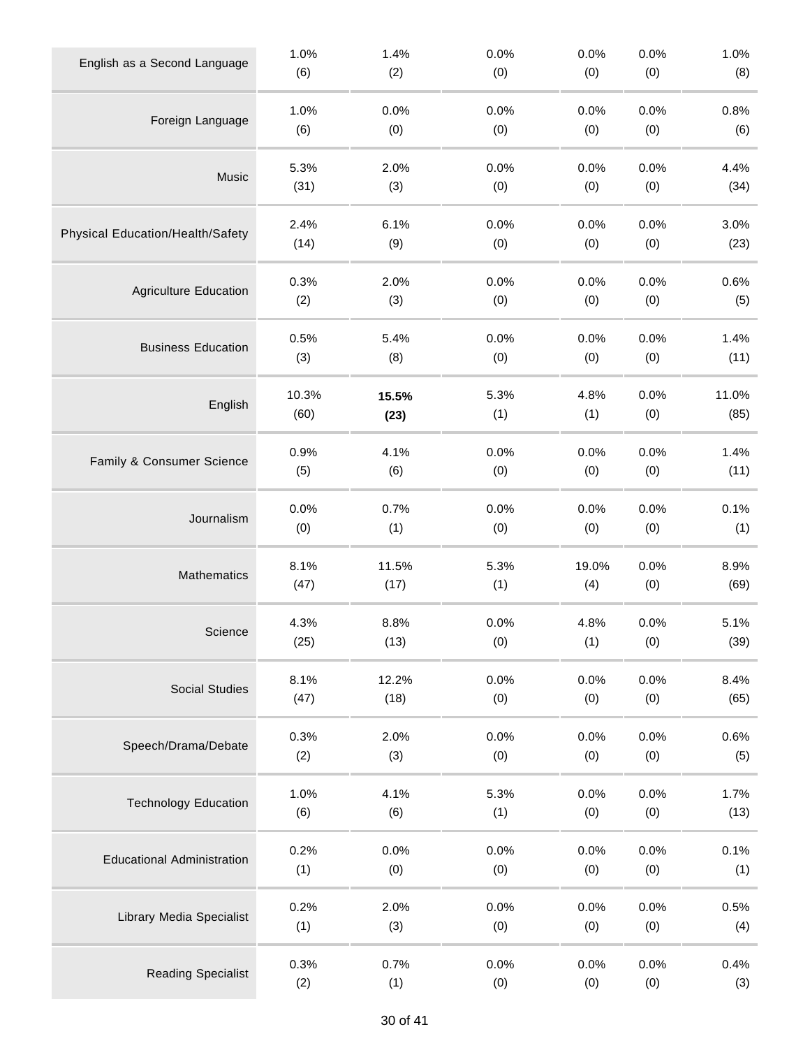| English as a Second Language      | 1.0%  | 1.4%  | 0.0% | 0.0%  | 0.0% | 1.0%  |
|-----------------------------------|-------|-------|------|-------|------|-------|
|                                   | (6)   | (2)   | (0)  | (0)   | (0)  | (8)   |
| Foreign Language                  | 1.0%  | 0.0%  | 0.0% | 0.0%  | 0.0% | 0.8%  |
|                                   | (6)   | (0)   | (0)  | (0)   | (0)  | (6)   |
| Music                             | 5.3%  | 2.0%  | 0.0% | 0.0%  | 0.0% | 4.4%  |
|                                   | (31)  | (3)   | (0)  | (0)   | (0)  | (34)  |
| Physical Education/Health/Safety  | 2.4%  | 6.1%  | 0.0% | 0.0%  | 0.0% | 3.0%  |
|                                   | (14)  | (9)   | (0)  | (0)   | (0)  | (23)  |
| <b>Agriculture Education</b>      | 0.3%  | 2.0%  | 0.0% | 0.0%  | 0.0% | 0.6%  |
|                                   | (2)   | (3)   | (0)  | (0)   | (0)  | (5)   |
| <b>Business Education</b>         | 0.5%  | 5.4%  | 0.0% | 0.0%  | 0.0% | 1.4%  |
|                                   | (3)   | (8)   | (0)  | (0)   | (0)  | (11)  |
| English                           | 10.3% | 15.5% | 5.3% | 4.8%  | 0.0% | 11.0% |
|                                   | (60)  | (23)  | (1)  | (1)   | (0)  | (85)  |
| Family & Consumer Science         | 0.9%  | 4.1%  | 0.0% | 0.0%  | 0.0% | 1.4%  |
|                                   | (5)   | (6)   | (0)  | (0)   | (0)  | (11)  |
| Journalism                        | 0.0%  | 0.7%  | 0.0% | 0.0%  | 0.0% | 0.1%  |
|                                   | (0)   | (1)   | (0)  | (0)   | (0)  | (1)   |
| Mathematics                       | 8.1%  | 11.5% | 5.3% | 19.0% | 0.0% | 8.9%  |
|                                   | (47)  | (17)  | (1)  | (4)   | (0)  | (69)  |
| Science                           | 4.3%  | 8.8%  | 0.0% | 4.8%  | 0.0% | 5.1%  |
|                                   | (25)  | (13)  | (0)  | (1)   | (0)  | (39)  |
| <b>Social Studies</b>             | 8.1%  | 12.2% | 0.0% | 0.0%  | 0.0% | 8.4%  |
|                                   | (47)  | (18)  | (0)  | (0)   | (0)  | (65)  |
| Speech/Drama/Debate               | 0.3%  | 2.0%  | 0.0% | 0.0%  | 0.0% | 0.6%  |
|                                   | (2)   | (3)   | (0)  | (0)   | (0)  | (5)   |
| <b>Technology Education</b>       | 1.0%  | 4.1%  | 5.3% | 0.0%  | 0.0% | 1.7%  |
|                                   | (6)   | (6)   | (1)  | (0)   | (0)  | (13)  |
| <b>Educational Administration</b> | 0.2%  | 0.0%  | 0.0% | 0.0%  | 0.0% | 0.1%  |
|                                   | (1)   | (0)   | (0)  | (0)   | (0)  | (1)   |
| <b>Library Media Specialist</b>   | 0.2%  | 2.0%  | 0.0% | 0.0%  | 0.0% | 0.5%  |
|                                   | (1)   | (3)   | (0)  | (0)   | (0)  | (4)   |
| <b>Reading Specialist</b>         | 0.3%  | 0.7%  | 0.0% | 0.0%  | 0.0% | 0.4%  |
|                                   | (2)   | (1)   | (0)  | (0)   | (0)  | (3)   |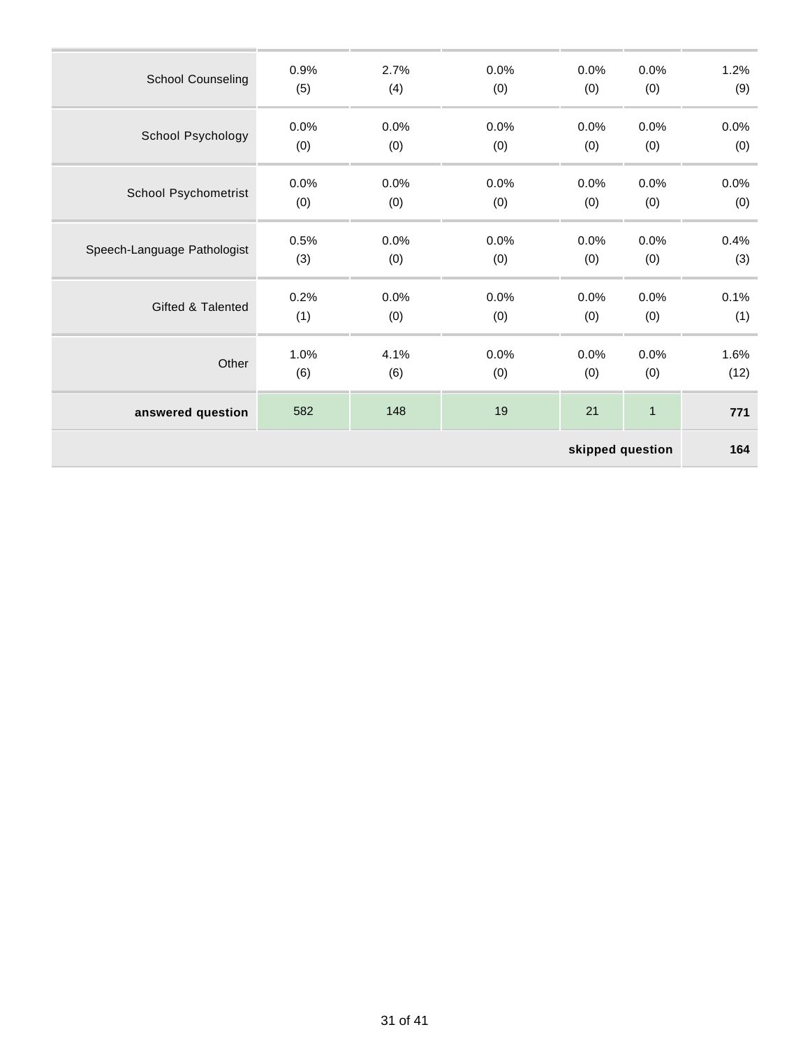| skipped question             |      |      |      |      |              |      |
|------------------------------|------|------|------|------|--------------|------|
| answered question            | 582  | 148  | 19   | 21   | $\mathbf{1}$ | 771  |
| Other                        | 1.0% | 4.1% | 0.0% | 0.0% | 0.0%         | 1.6% |
|                              | (6)  | (6)  | (0)  | (0)  | (0)          | (12) |
| <b>Gifted &amp; Talented</b> | 0.2% | 0.0% | 0.0% | 0.0% | 0.0%         | 0.1% |
|                              | (1)  | (0)  | (0)  | (0)  | (0)          | (1)  |
| Speech-Language Pathologist  | 0.5% | 0.0% | 0.0% | 0.0% | 0.0%         | 0.4% |
|                              | (3)  | (0)  | (0)  | (0)  | (0)          | (3)  |
| School Psychometrist         | 0.0% | 0.0% | 0.0% | 0.0% | 0.0%         | 0.0% |
|                              | (0)  | (0)  | (0)  | (0)  | (0)          | (0)  |
| School Psychology            | 0.0% | 0.0% | 0.0% | 0.0% | 0.0%         | 0.0% |
|                              | (0)  | (0)  | (0)  | (0)  | (0)          | (0)  |
| <b>School Counseling</b>     | 0.9% | 2.7% | 0.0% | 0.0% | 0.0%         | 1.2% |
|                              | (5)  | (4)  | (0)  | (0)  | (0)          | (9)  |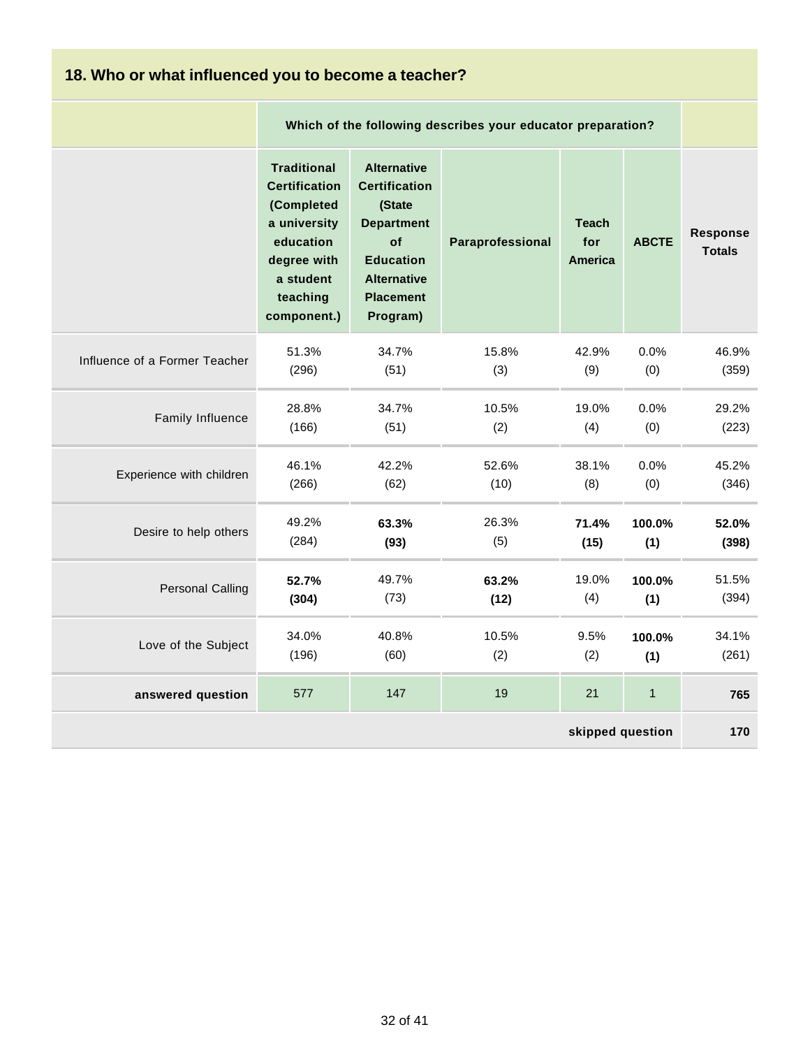| 18. Who or what influenced you to become a teacher? |                                                                                                                                              |                                                                                                                                                           |                  |                                       |              |                                  |  |
|-----------------------------------------------------|----------------------------------------------------------------------------------------------------------------------------------------------|-----------------------------------------------------------------------------------------------------------------------------------------------------------|------------------|---------------------------------------|--------------|----------------------------------|--|
|                                                     |                                                                                                                                              | Which of the following describes your educator preparation?                                                                                               |                  |                                       |              |                                  |  |
|                                                     | <b>Traditional</b><br><b>Certification</b><br>(Completed<br>a university<br>education<br>degree with<br>a student<br>teaching<br>component.) | <b>Alternative</b><br><b>Certification</b><br>(State<br><b>Department</b><br>of<br><b>Education</b><br><b>Alternative</b><br><b>Placement</b><br>Program) | Paraprofessional | <b>Teach</b><br>for<br><b>America</b> | <b>ABCTE</b> | <b>Response</b><br><b>Totals</b> |  |
| Influence of a Former Teacher                       | 51.3%                                                                                                                                        | 34.7%                                                                                                                                                     | 15.8%            | 42.9%                                 | 0.0%         | 46.9%                            |  |
|                                                     | (296)                                                                                                                                        | (51)                                                                                                                                                      | (3)              | (9)                                   | (0)          | (359)                            |  |
| Family Influence                                    | 28.8%                                                                                                                                        | 34.7%                                                                                                                                                     | 10.5%            | 19.0%                                 | 0.0%         | 29.2%                            |  |
|                                                     | (166)                                                                                                                                        | (51)                                                                                                                                                      | (2)              | (4)                                   | (0)          | (223)                            |  |
| Experience with children                            | 46.1%                                                                                                                                        | 42.2%                                                                                                                                                     | 52.6%            | 38.1%                                 | 0.0%         | 45.2%                            |  |
|                                                     | (266)                                                                                                                                        | (62)                                                                                                                                                      | (10)             | (8)                                   | (0)          | (346)                            |  |
| Desire to help others                               | 49.2%                                                                                                                                        | 63.3%                                                                                                                                                     | 26.3%            | 71.4%                                 | 100.0%       | 52.0%                            |  |
|                                                     | (284)                                                                                                                                        | (93)                                                                                                                                                      | (5)              | (15)                                  | (1)          | (398)                            |  |
| <b>Personal Calling</b>                             | 52.7%                                                                                                                                        | 49.7%                                                                                                                                                     | 63.2%            | 19.0%                                 | 100.0%       | 51.5%                            |  |
|                                                     | (304)                                                                                                                                        | (73)                                                                                                                                                      | (12)             | (4)                                   | (1)          | (394)                            |  |
| Love of the Subject                                 | 34.0%                                                                                                                                        | 40.8%                                                                                                                                                     | 10.5%            | 9.5%                                  | 100.0%       | 34.1%                            |  |
|                                                     | (196)                                                                                                                                        | (60)                                                                                                                                                      | (2)              | (2)                                   | (1)          | (261)                            |  |
| answered question                                   | 577                                                                                                                                          | 147                                                                                                                                                       | 19               | 21                                    | $\mathbf{1}$ | 765                              |  |
| skipped question                                    |                                                                                                                                              |                                                                                                                                                           |                  |                                       |              | 170                              |  |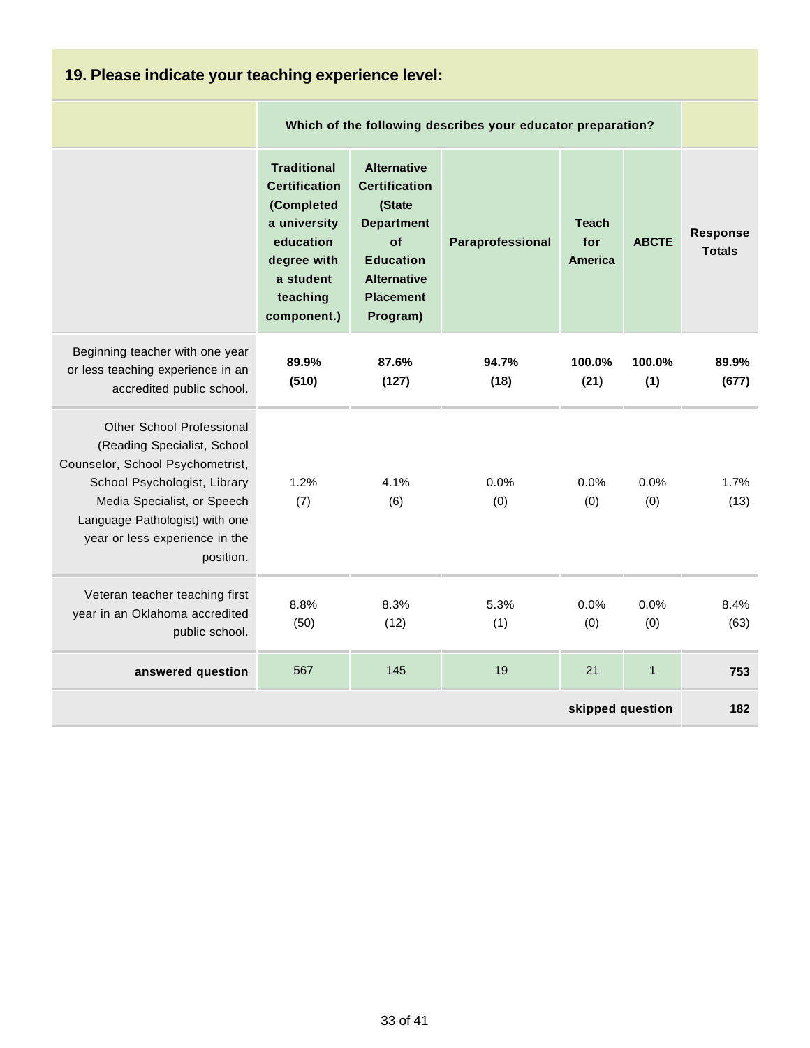| 19. Please indicate your teaching experience level:                                                                                                                                                                                                 |                                                                                                                                              |                                                                                                                                                           |                                                             |                                |               |                                  |  |  |
|-----------------------------------------------------------------------------------------------------------------------------------------------------------------------------------------------------------------------------------------------------|----------------------------------------------------------------------------------------------------------------------------------------------|-----------------------------------------------------------------------------------------------------------------------------------------------------------|-------------------------------------------------------------|--------------------------------|---------------|----------------------------------|--|--|
|                                                                                                                                                                                                                                                     |                                                                                                                                              |                                                                                                                                                           | Which of the following describes your educator preparation? |                                |               |                                  |  |  |
|                                                                                                                                                                                                                                                     | <b>Traditional</b><br><b>Certification</b><br>(Completed<br>a university<br>education<br>degree with<br>a student<br>teaching<br>component.) | <b>Alternative</b><br><b>Certification</b><br>(State<br><b>Department</b><br>of<br><b>Education</b><br><b>Alternative</b><br><b>Placement</b><br>Program) | Paraprofessional                                            | <b>Teach</b><br>for<br>America | <b>ABCTE</b>  | <b>Response</b><br><b>Totals</b> |  |  |
| Beginning teacher with one year<br>or less teaching experience in an<br>accredited public school.                                                                                                                                                   | 89.9%<br>(510)                                                                                                                               | 87.6%<br>(127)                                                                                                                                            | 94.7%<br>(18)                                               | 100.0%<br>(21)                 | 100.0%<br>(1) | 89.9%<br>(677)                   |  |  |
| <b>Other School Professional</b><br>(Reading Specialist, School<br>Counselor, School Psychometrist,<br>School Psychologist, Library<br>Media Specialist, or Speech<br>Language Pathologist) with one<br>year or less experience in the<br>position. | 1.2%<br>(7)                                                                                                                                  | 4.1%<br>(6)                                                                                                                                               | 0.0%<br>(0)                                                 | 0.0%<br>(0)                    | 0.0%<br>(0)   | 1.7%<br>(13)                     |  |  |
| Veteran teacher teaching first<br>year in an Oklahoma accredited<br>public school.                                                                                                                                                                  | 8.8%<br>(50)                                                                                                                                 | 8.3%<br>(12)                                                                                                                                              | 5.3%<br>(1)                                                 | 0.0%<br>(0)                    | 0.0%<br>(0)   | 8.4%<br>(63)                     |  |  |
| answered question                                                                                                                                                                                                                                   | 567                                                                                                                                          | 145                                                                                                                                                       | 19                                                          | 21                             | $\mathbf{1}$  | 753                              |  |  |
|                                                                                                                                                                                                                                                     |                                                                                                                                              |                                                                                                                                                           |                                                             | skipped question               |               | 182                              |  |  |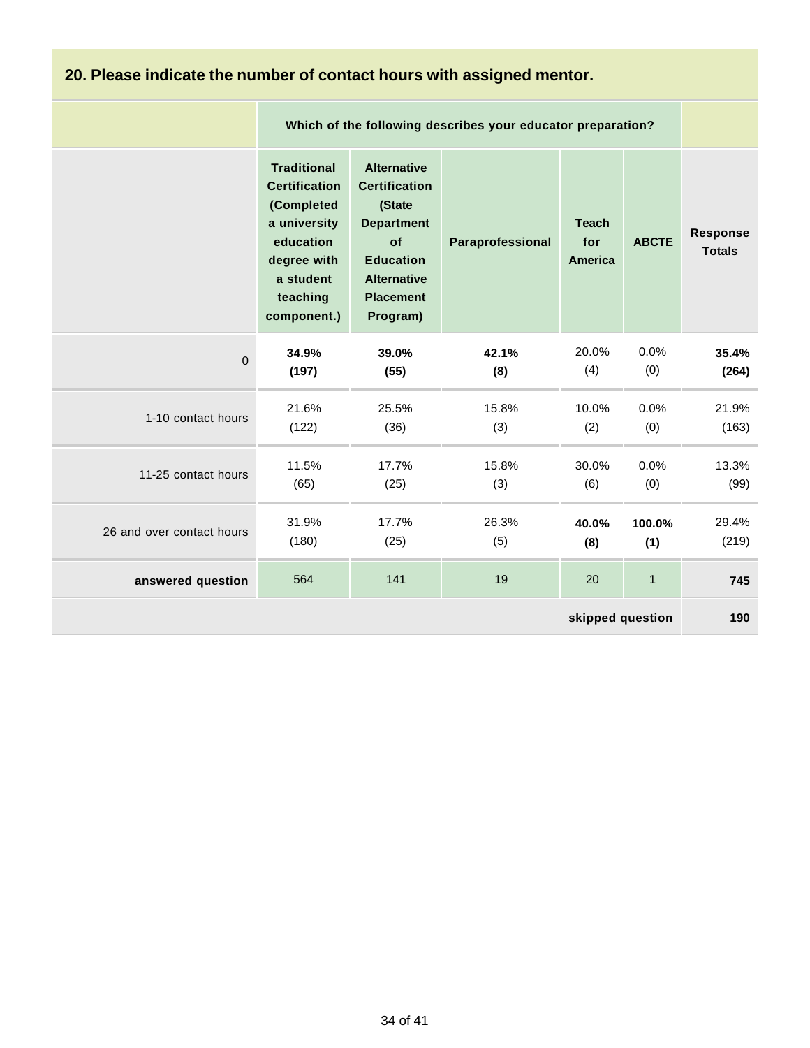# **20. Please indicate the number of contact hours with assigned mentor.**

|                           |                                                                                                                                              | Which of the following describes your educator preparation?                                                                                               |                  |                                |              |                           |  |  |
|---------------------------|----------------------------------------------------------------------------------------------------------------------------------------------|-----------------------------------------------------------------------------------------------------------------------------------------------------------|------------------|--------------------------------|--------------|---------------------------|--|--|
|                           | <b>Traditional</b><br><b>Certification</b><br>(Completed<br>a university<br>education<br>degree with<br>a student<br>teaching<br>component.) | <b>Alternative</b><br><b>Certification</b><br>(State<br><b>Department</b><br>of<br><b>Education</b><br><b>Alternative</b><br><b>Placement</b><br>Program) | Paraprofessional | <b>Teach</b><br>for<br>America | <b>ABCTE</b> | Response<br><b>Totals</b> |  |  |
| $\overline{0}$            | 34.9%                                                                                                                                        | 39.0%                                                                                                                                                     | 42.1%            | 20.0%                          | 0.0%         | 35.4%                     |  |  |
|                           | (197)                                                                                                                                        | (55)                                                                                                                                                      | (8)              | (4)                            | (0)          | (264)                     |  |  |
| 1-10 contact hours        | 21.6%                                                                                                                                        | 25.5%                                                                                                                                                     | 15.8%            | 10.0%                          | 0.0%         | 21.9%                     |  |  |
|                           | (122)                                                                                                                                        | (36)                                                                                                                                                      | (3)              | (2)                            | (0)          | (163)                     |  |  |
| 11-25 contact hours       | 11.5%                                                                                                                                        | 17.7%                                                                                                                                                     | 15.8%            | 30.0%                          | 0.0%         | 13.3%                     |  |  |
|                           | (65)                                                                                                                                         | (25)                                                                                                                                                      | (3)              | (6)                            | (0)          | (99)                      |  |  |
| 26 and over contact hours | 31.9%                                                                                                                                        | 17.7%                                                                                                                                                     | 26.3%            | 40.0%                          | 100.0%       | 29.4%                     |  |  |
|                           | (180)                                                                                                                                        | (25)                                                                                                                                                      | (5)              | (8)                            | (1)          | (219)                     |  |  |
| answered question         | 564                                                                                                                                          | 141                                                                                                                                                       | 19               | 20                             | $\mathbf{1}$ | 745                       |  |  |
| skipped question          |                                                                                                                                              |                                                                                                                                                           |                  |                                |              | 190                       |  |  |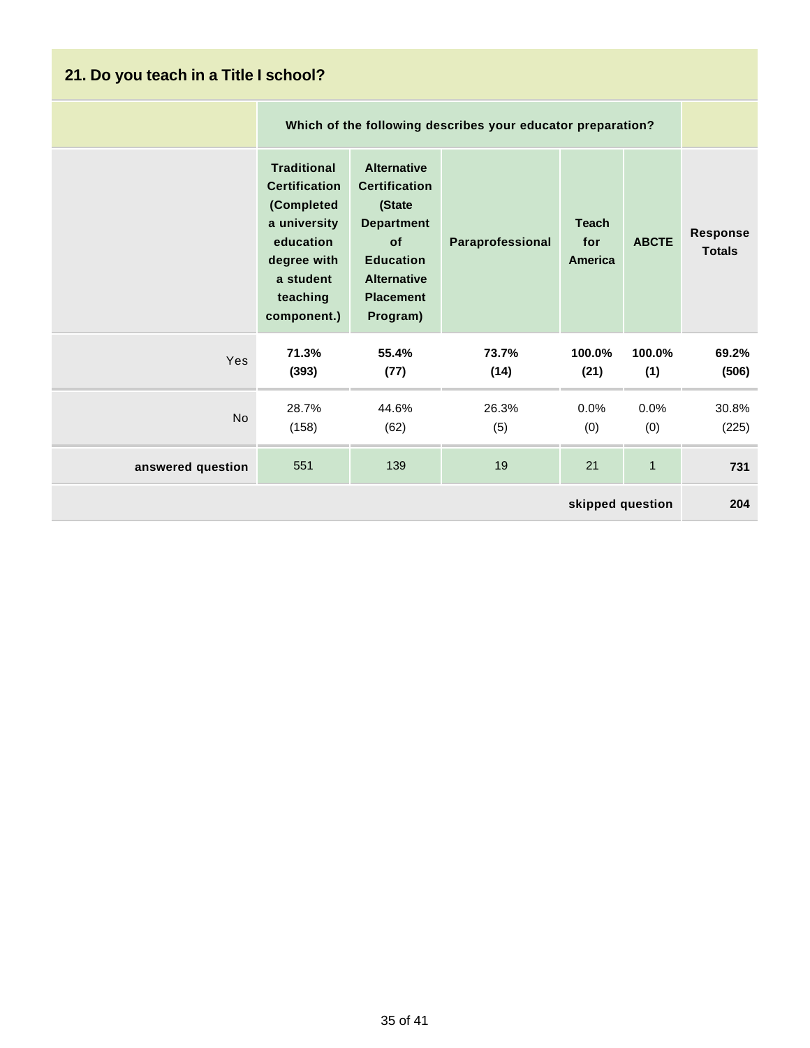| 21. Do you teach in a Title I school? |                                                                                                                                              |                                                                                                                                                           |                  |                                |               |                                  |  |  |
|---------------------------------------|----------------------------------------------------------------------------------------------------------------------------------------------|-----------------------------------------------------------------------------------------------------------------------------------------------------------|------------------|--------------------------------|---------------|----------------------------------|--|--|
|                                       |                                                                                                                                              | Which of the following describes your educator preparation?                                                                                               |                  |                                |               |                                  |  |  |
|                                       | <b>Traditional</b><br><b>Certification</b><br>(Completed<br>a university<br>education<br>degree with<br>a student<br>teaching<br>component.) | <b>Alternative</b><br><b>Certification</b><br>(State<br><b>Department</b><br>of<br><b>Education</b><br><b>Alternative</b><br><b>Placement</b><br>Program) | Paraprofessional | <b>Teach</b><br>for<br>America | <b>ABCTE</b>  | <b>Response</b><br><b>Totals</b> |  |  |
| Yes                                   | 71.3%<br>(393)                                                                                                                               | 55.4%<br>(77)                                                                                                                                             | 73.7%<br>(14)    | 100.0%<br>(21)                 | 100.0%<br>(1) | 69.2%<br>(506)                   |  |  |
| <b>No</b>                             | 28.7%<br>(158)                                                                                                                               | 44.6%<br>(62)                                                                                                                                             | 26.3%<br>(5)     | $0.0\%$<br>(0)                 | 0.0%<br>(0)   | 30.8%<br>(225)                   |  |  |
| answered question                     | 551                                                                                                                                          | 139                                                                                                                                                       | 19               | 21                             | $\mathbf{1}$  | 731                              |  |  |
| skipped question                      |                                                                                                                                              |                                                                                                                                                           |                  |                                |               | 204                              |  |  |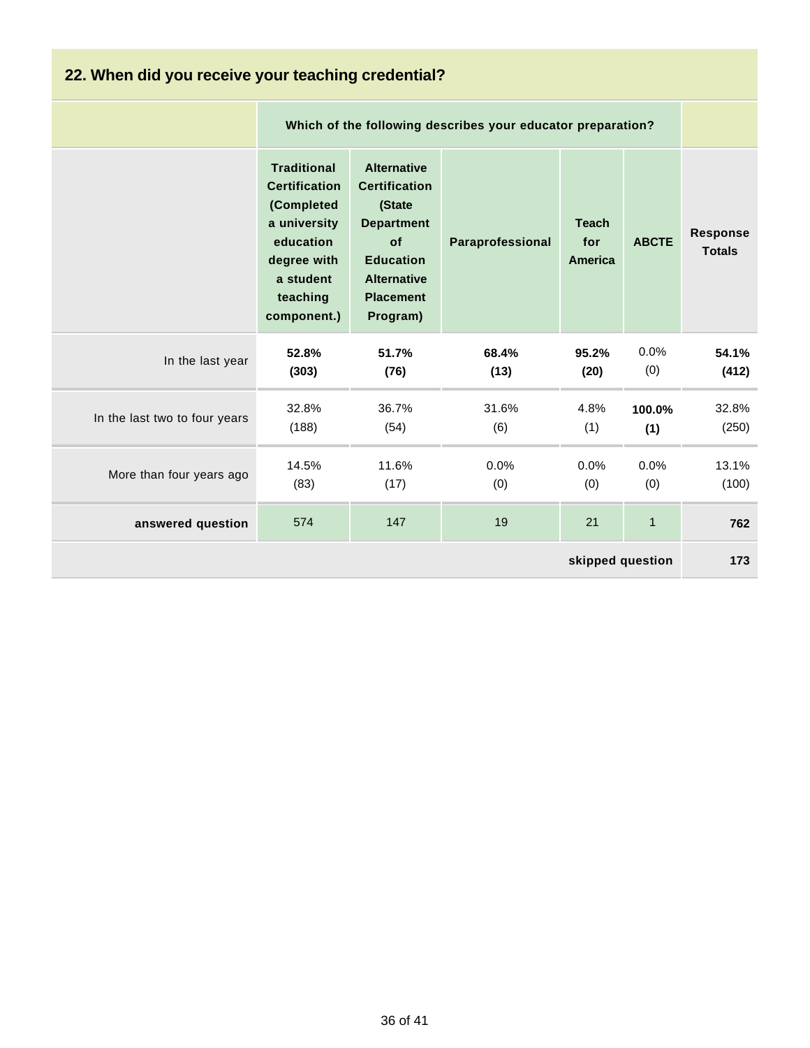| 22. When did you receive your teaching credential? |                                                                                                                                              |                                                                                                                                                           |                                                             |                                |               |                                  |  |
|----------------------------------------------------|----------------------------------------------------------------------------------------------------------------------------------------------|-----------------------------------------------------------------------------------------------------------------------------------------------------------|-------------------------------------------------------------|--------------------------------|---------------|----------------------------------|--|
|                                                    |                                                                                                                                              |                                                                                                                                                           | Which of the following describes your educator preparation? |                                |               |                                  |  |
|                                                    | <b>Traditional</b><br><b>Certification</b><br>(Completed<br>a university<br>education<br>degree with<br>a student<br>teaching<br>component.) | <b>Alternative</b><br><b>Certification</b><br>(State<br><b>Department</b><br>of<br><b>Education</b><br><b>Alternative</b><br><b>Placement</b><br>Program) | Paraprofessional                                            | <b>Teach</b><br>for<br>America | <b>ABCTE</b>  | <b>Response</b><br><b>Totals</b> |  |
| In the last year                                   | 52.8%<br>(303)                                                                                                                               | 51.7%<br>(76)                                                                                                                                             | 68.4%<br>(13)                                               | 95.2%<br>(20)                  | 0.0%<br>(0)   | 54.1%<br>(412)                   |  |
| In the last two to four years                      | 32.8%<br>(188)                                                                                                                               | 36.7%<br>(54)                                                                                                                                             | 31.6%<br>(6)                                                | 4.8%<br>(1)                    | 100.0%<br>(1) | 32.8%<br>(250)                   |  |
| More than four years ago                           | 14.5%<br>(83)                                                                                                                                | 11.6%<br>(17)                                                                                                                                             | 0.0%<br>(0)                                                 | $0.0\%$<br>(0)                 | 0.0%<br>(0)   | 13.1%<br>(100)                   |  |
| answered question                                  | 574                                                                                                                                          | 147                                                                                                                                                       | 19                                                          | 21                             | $\mathbf{1}$  | 762                              |  |
| skipped question                                   |                                                                                                                                              |                                                                                                                                                           |                                                             |                                | 173           |                                  |  |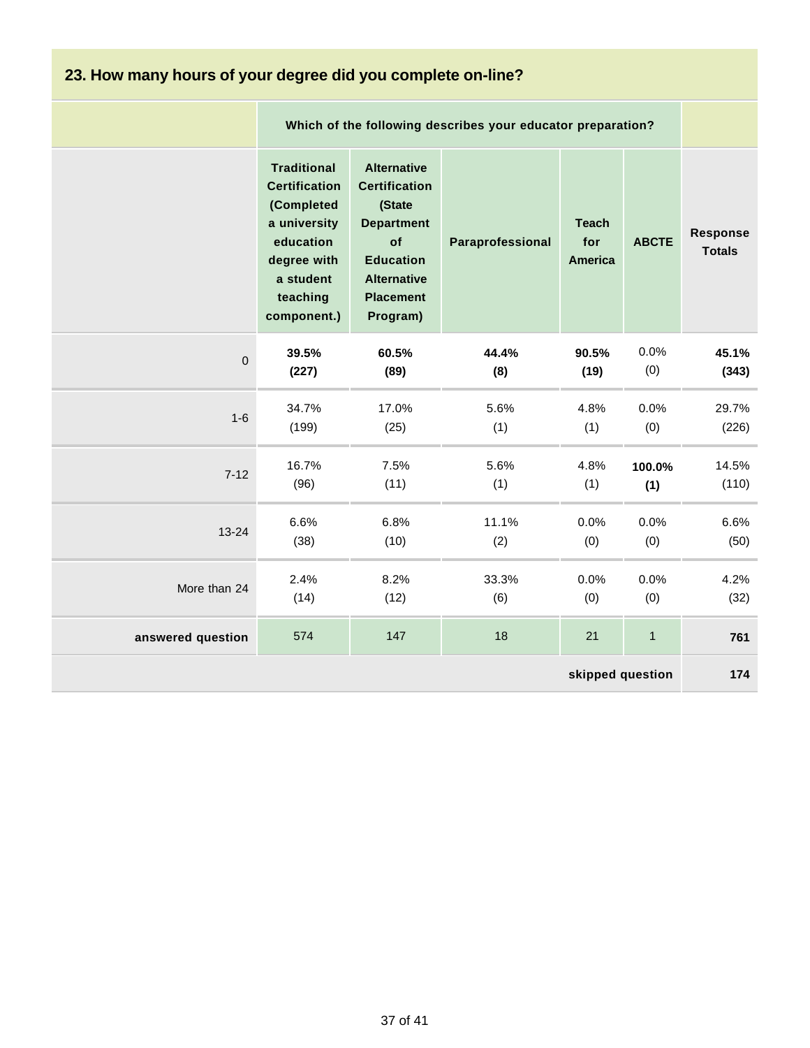| 23. How many hours of your degree did you complete on-line? |                                                                                                                                              |                                                                                                                                                           |                  |                                       |              |                           |  |
|-------------------------------------------------------------|----------------------------------------------------------------------------------------------------------------------------------------------|-----------------------------------------------------------------------------------------------------------------------------------------------------------|------------------|---------------------------------------|--------------|---------------------------|--|
|                                                             |                                                                                                                                              | Which of the following describes your educator preparation?                                                                                               |                  |                                       |              |                           |  |
|                                                             | <b>Traditional</b><br><b>Certification</b><br>(Completed<br>a university<br>education<br>degree with<br>a student<br>teaching<br>component.) | <b>Alternative</b><br><b>Certification</b><br>(State<br><b>Department</b><br>of<br><b>Education</b><br><b>Alternative</b><br><b>Placement</b><br>Program) | Paraprofessional | <b>Teach</b><br>for<br><b>America</b> | <b>ABCTE</b> | Response<br><b>Totals</b> |  |
| $\mathbf 0$                                                 | 39.5%                                                                                                                                        | 60.5%                                                                                                                                                     | 44.4%            | 90.5%                                 | 0.0%         | 45.1%                     |  |
|                                                             | (227)                                                                                                                                        | (89)                                                                                                                                                      | (8)              | (19)                                  | (0)          | (343)                     |  |
| $1 - 6$                                                     | 34.7%                                                                                                                                        | 17.0%                                                                                                                                                     | 5.6%             | 4.8%                                  | 0.0%         | 29.7%                     |  |
|                                                             | (199)                                                                                                                                        | (25)                                                                                                                                                      | (1)              | (1)                                   | (0)          | (226)                     |  |
| $7 - 12$                                                    | 16.7%                                                                                                                                        | 7.5%                                                                                                                                                      | 5.6%             | 4.8%                                  | 100.0%       | 14.5%                     |  |
|                                                             | (96)                                                                                                                                         | (11)                                                                                                                                                      | (1)              | (1)                                   | (1)          | (110)                     |  |
| $13 - 24$                                                   | 6.6%                                                                                                                                         | 6.8%                                                                                                                                                      | 11.1%            | 0.0%                                  | 0.0%         | 6.6%                      |  |
|                                                             | (38)                                                                                                                                         | (10)                                                                                                                                                      | (2)              | (0)                                   | (0)          | (50)                      |  |
| More than 24                                                | 2.4%                                                                                                                                         | 8.2%                                                                                                                                                      | 33.3%            | 0.0%                                  | 0.0%         | 4.2%                      |  |
|                                                             | (14)                                                                                                                                         | (12)                                                                                                                                                      | (6)              | (0)                                   | (0)          | (32)                      |  |
| answered question                                           | 574                                                                                                                                          | 147                                                                                                                                                       | 18               | 21                                    | $\mathbf{1}$ | 761                       |  |
| skipped question                                            |                                                                                                                                              |                                                                                                                                                           |                  |                                       | 174          |                           |  |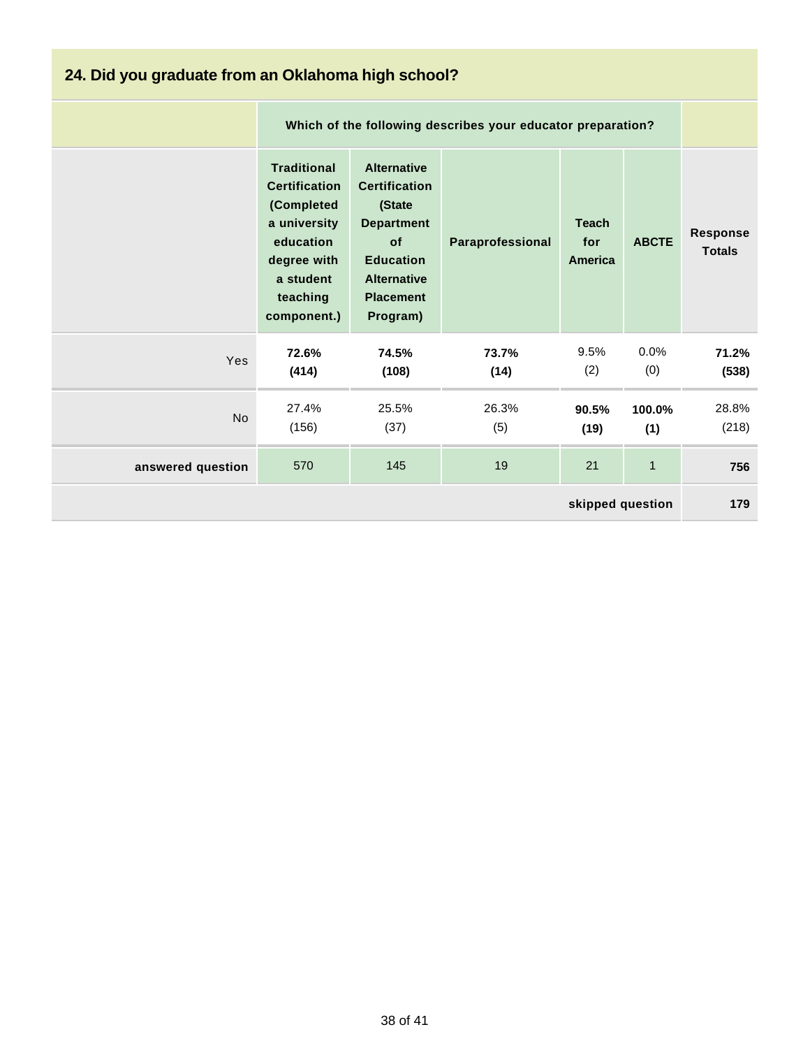| 24. Did you graduate from an Oklahoma high school? |                                                                                                                                              |                                                                                                                                                           |                  |                                |               |                                  |  |
|----------------------------------------------------|----------------------------------------------------------------------------------------------------------------------------------------------|-----------------------------------------------------------------------------------------------------------------------------------------------------------|------------------|--------------------------------|---------------|----------------------------------|--|
|                                                    |                                                                                                                                              | Which of the following describes your educator preparation?                                                                                               |                  |                                |               |                                  |  |
|                                                    | <b>Traditional</b><br><b>Certification</b><br>(Completed<br>a university<br>education<br>degree with<br>a student<br>teaching<br>component.) | <b>Alternative</b><br><b>Certification</b><br>(State<br><b>Department</b><br>of<br><b>Education</b><br><b>Alternative</b><br><b>Placement</b><br>Program) | Paraprofessional | <b>Teach</b><br>for<br>America | <b>ABCTE</b>  | <b>Response</b><br><b>Totals</b> |  |
| Yes                                                | 72.6%<br>(414)                                                                                                                               | 74.5%<br>(108)                                                                                                                                            | 73.7%<br>(14)    | 9.5%<br>(2)                    | 0.0%<br>(0)   | 71.2%<br>(538)                   |  |
| <b>No</b>                                          | 27.4%<br>(156)                                                                                                                               | 25.5%<br>(37)                                                                                                                                             | 26.3%<br>(5)     | 90.5%<br>(19)                  | 100.0%<br>(1) | 28.8%<br>(218)                   |  |
| answered question                                  | 570                                                                                                                                          | 145                                                                                                                                                       | 19               | 21                             | $\mathbf{1}$  | 756                              |  |
| skipped question                                   |                                                                                                                                              |                                                                                                                                                           |                  |                                |               | 179                              |  |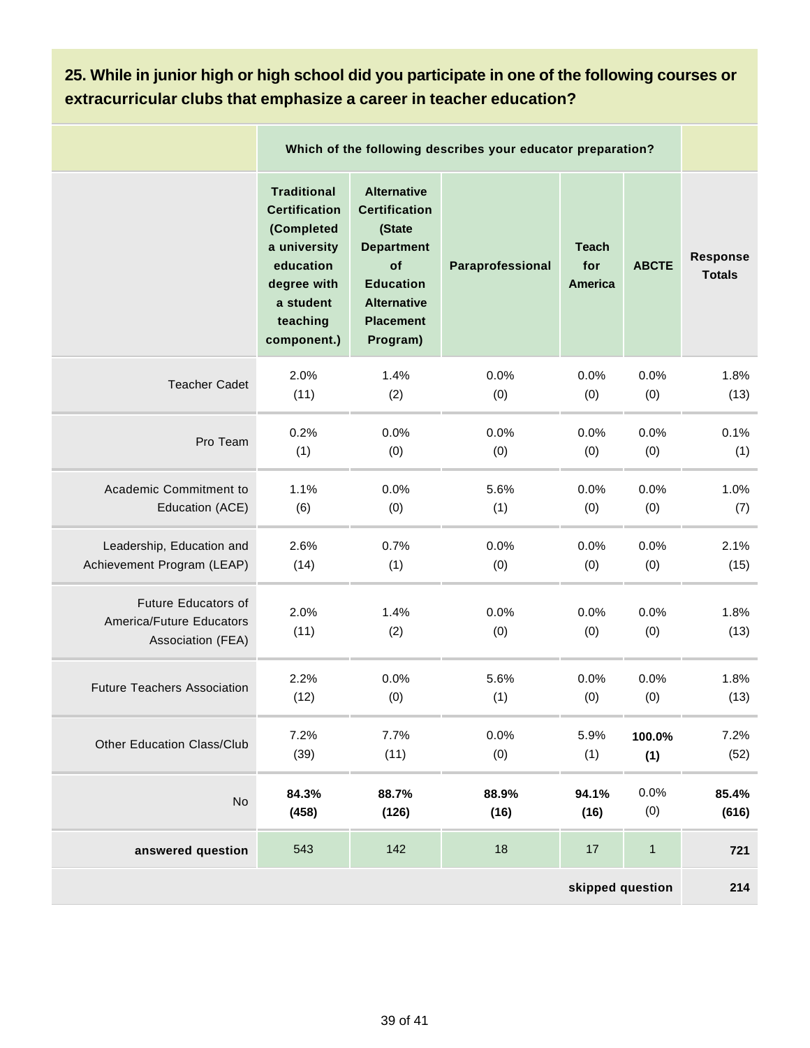#### **25. While in junior high or high school did you participate in one of the following courses or extracurricular clubs that emphasize a career in teacher education?**

|                                                                      | Which of the following describes your educator preparation?                                                                                  |                                                                                                                                                           |                  |                                       |              |                                  |
|----------------------------------------------------------------------|----------------------------------------------------------------------------------------------------------------------------------------------|-----------------------------------------------------------------------------------------------------------------------------------------------------------|------------------|---------------------------------------|--------------|----------------------------------|
|                                                                      | <b>Traditional</b><br><b>Certification</b><br>(Completed<br>a university<br>education<br>degree with<br>a student<br>teaching<br>component.) | <b>Alternative</b><br><b>Certification</b><br>(State<br><b>Department</b><br>of<br><b>Education</b><br><b>Alternative</b><br><b>Placement</b><br>Program) | Paraprofessional | <b>Teach</b><br>for<br><b>America</b> | <b>ABCTE</b> | <b>Response</b><br><b>Totals</b> |
| <b>Teacher Cadet</b>                                                 | 2.0%                                                                                                                                         | 1.4%                                                                                                                                                      | 0.0%             | 0.0%                                  | 0.0%         | 1.8%                             |
|                                                                      | (11)                                                                                                                                         | (2)                                                                                                                                                       | (0)              | (0)                                   | (0)          | (13)                             |
| Pro Team                                                             | 0.2%                                                                                                                                         | 0.0%                                                                                                                                                      | 0.0%             | 0.0%                                  | 0.0%         | 0.1%                             |
|                                                                      | (1)                                                                                                                                          | (0)                                                                                                                                                       | (0)              | (0)                                   | (0)          | (1)                              |
| Academic Commitment to                                               | 1.1%                                                                                                                                         | 0.0%                                                                                                                                                      | 5.6%             | 0.0%                                  | 0.0%         | 1.0%                             |
| Education (ACE)                                                      | (6)                                                                                                                                          | (0)                                                                                                                                                       | (1)              | (0)                                   | (0)          | (7)                              |
| Leadership, Education and                                            | 2.6%                                                                                                                                         | 0.7%                                                                                                                                                      | 0.0%             | 0.0%                                  | 0.0%         | 2.1%                             |
| Achievement Program (LEAP)                                           | (14)                                                                                                                                         | (1)                                                                                                                                                       | (0)              | (0)                                   | (0)          | (15)                             |
| Future Educators of<br>America/Future Educators<br>Association (FEA) | 2.0%<br>(11)                                                                                                                                 | 1.4%<br>(2)                                                                                                                                               | 0.0%<br>(0)      | 0.0%<br>(0)                           | 0.0%<br>(0)  | 1.8%<br>(13)                     |
| <b>Future Teachers Association</b>                                   | 2.2%                                                                                                                                         | 0.0%                                                                                                                                                      | 5.6%             | 0.0%                                  | 0.0%         | 1.8%                             |
|                                                                      | (12)                                                                                                                                         | (0)                                                                                                                                                       | (1)              | (0)                                   | (0)          | (13)                             |
| <b>Other Education Class/Club</b>                                    | 7.2%                                                                                                                                         | 7.7%                                                                                                                                                      | 0.0%             | 5.9%                                  | 100.0%       | 7.2%                             |
|                                                                      | (39)                                                                                                                                         | (11)                                                                                                                                                      | (0)              | (1)                                   | (1)          | (52)                             |
| No                                                                   | 84.3%                                                                                                                                        | 88.7%                                                                                                                                                     | 88.9%            | 94.1%                                 | 0.0%         | 85.4%                            |
|                                                                      | (458)                                                                                                                                        | (126)                                                                                                                                                     | (16)             | (16)                                  | (0)          | (616)                            |
| answered question                                                    | 543                                                                                                                                          | 142                                                                                                                                                       | 18               | 17                                    | $\mathbf{1}$ | 721                              |
|                                                                      |                                                                                                                                              |                                                                                                                                                           |                  | skipped question                      |              | 214                              |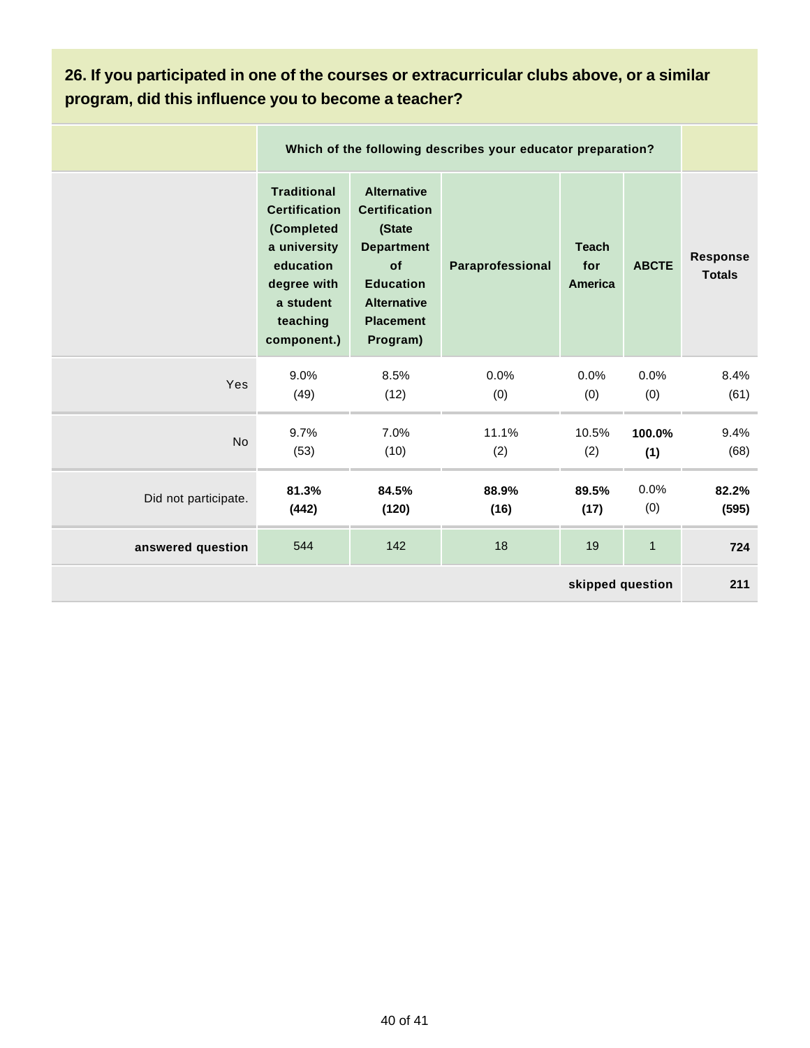#### **26. If you participated in one of the courses or extracurricular clubs above, or a similar program, did this influence you to become a teacher?**

|                      |                                                                                                                                              | Which of the following describes your educator preparation?                                                                                               |                  |                                |               |                                  |  |  |
|----------------------|----------------------------------------------------------------------------------------------------------------------------------------------|-----------------------------------------------------------------------------------------------------------------------------------------------------------|------------------|--------------------------------|---------------|----------------------------------|--|--|
|                      | <b>Traditional</b><br><b>Certification</b><br>(Completed<br>a university<br>education<br>degree with<br>a student<br>teaching<br>component.) | <b>Alternative</b><br><b>Certification</b><br>(State<br><b>Department</b><br>of<br><b>Education</b><br><b>Alternative</b><br><b>Placement</b><br>Program) | Paraprofessional | <b>Teach</b><br>for<br>America | <b>ABCTE</b>  | <b>Response</b><br><b>Totals</b> |  |  |
| Yes                  | 9.0%<br>(49)                                                                                                                                 | 8.5%<br>(12)                                                                                                                                              | 0.0%<br>(0)      | 0.0%<br>(0)                    | 0.0%<br>(0)   | 8.4%<br>(61)                     |  |  |
| <b>No</b>            | 9.7%<br>(53)                                                                                                                                 | 7.0%<br>(10)                                                                                                                                              | 11.1%<br>(2)     | 10.5%<br>(2)                   | 100.0%<br>(1) | 9.4%<br>(68)                     |  |  |
| Did not participate. | 81.3%<br>(442)                                                                                                                               | 84.5%<br>(120)                                                                                                                                            | 88.9%<br>(16)    | 89.5%<br>(17)                  | 0.0%<br>(0)   | 82.2%<br>(595)                   |  |  |
| answered question    | 544                                                                                                                                          | 142                                                                                                                                                       | 18               | 19                             | $\mathbf 1$   | 724                              |  |  |
| skipped question     |                                                                                                                                              |                                                                                                                                                           |                  |                                |               | 211                              |  |  |